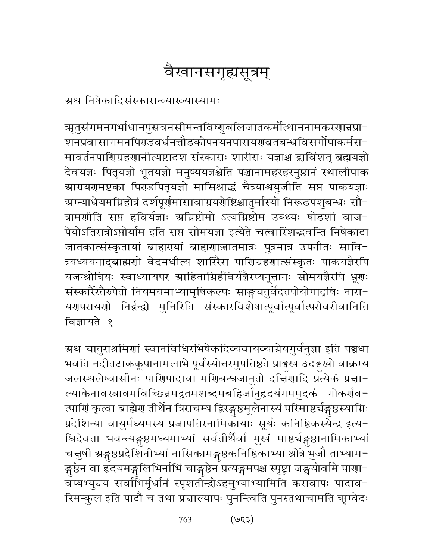# वैखानसगृह्यसूत्रम्

ग्रथ निषेकादिसंस्कारान्व्याख्यास्यामः

ॠृतुसंगमनगर्भाधानपुंसवनसीमन्तविष्णुबलिजातकर्मोत्थाननामकरणान्नप्रा-शनप्रवासागमनपिराडवर्धनत्तौडकोपनयनपारायराबतबन्धविसर्गोपाकर्मस− मावर्तनपाणिग्रहणानीत्यष्टादश संस्काराः शारीराः यज्ञाश्च द्वाविंशत् ब्रह्मयज्ञो देवयज्ञः पितृयज्ञो भूतयज्ञो मनुष्ययज्ञश्चेति पञ्चानामहरहरनुष्ठानं स्थालीपाक ग्राग्रयगमष्टका पिराडपितृयज्ञो मासिश्राद्धं चैत्र्याश्वयुजीति सप्त पाकयज्ञाः ग्रग्न्याधेयमग्निहोत्रं दर्शपूर्णमासावाग्रयणेष्टिश्चातुर्मास्यो निरूढपशुबन्धः सौ-त्रामणीति सप्त हविर्यज्ञाः अग्निष्टोमो ऽत्यग्निष्टोम उक्थ्यः षोडशी वाज-पेयोऽतिरात्रोऽप्तोर्याम इति सप्त सोमयज्ञा इत्येते चत्वारिंशद्धवन्ति निषेकादा जातकात्संस्कृतायां ब्राह्मरायां ब्राह्मरणजातमात्रः पुत्रमात्र उपनीतः सावि-त्र्यध्ययनाद्ब्राह्मणो वेदमधीत्य शारिरैरा पाणिग्रहणात्संस्कृतः पाकयज्ञैरपि यजन्श्रोत्रियः स्वाध्यायपर स्राहिताम्निर्हविर्यज्ञैरप्यनूत्तानः सोमयज्ञैरपि भ्रूणः संस्कारैरेतैरुपेतो नियमयमाभ्यामृषिकल्पः साङ्गचतुर्वेदतपोयोगादृषिः नारा-यगपरायगो निर्द्वन्द्वो मुनिरिति संस्कारविशेषात्पूर्वात्पूर्वात्परोवरीवानिति विज्ञायते १

ग्रथ चातुराश्रमिणां स्वानविधिरभिषेकदिव्यवायव्याग्नेयगुर्वनुज्ञा इति पञ्चधा भवति नदीतटाककूपानामलाभे पूर्वस्योत्तरमुपतिष्ठते प्राङ्गख उदङ्गखो वाक्रम्य जलस्थलेष्वासीनः पाणिपादावा मणिबन्धजानुतो दच्चिणादि प्रत्येकं प्रचा-ल्याकेनावस्त्रावमविच्छिन्नमद्रुतमशब्दमबहिर्जानुहृदयंगममुदकं गोकर्णव-त्पाणिं कृत्वा ब्राह्मेण तीर्थेन त्रिराचम्य द्विरङ्गुष्ठमूलेनास्यं परिमाष्टर्यङ्गुष्ठस्याग्निः प्रदेशिन्या वायुर्मध्यमस्य प्रजापतिरनामिकायाः सूर्यः कनिष्ठिकस्येन्द्र इत्य-धिदेवता भवन्त्यङ्गुष्ठमध्यमाभ्यां सर्वतीर्थैर्वा मुखं माष्टर्चङ्गुष्ठानामिकाभ्यां चत्तुषी ग्रङ्गुष्ठप्रदेशिनीभ्यां नासिकामङ्गुष्ठकनिष्ठिकाभ्यां श्रोत्रे भुजौ ताभ्याम− ङ्गुष्ठेन वा हृदयमङ्गलिभिर्नाभिं चाङ्गुष्ठेन प्रत्यङ्गमपश्च स्पृष्ट्वा जङ्घयोर्वामे पाणा− वप्यभ्युन्त्य सर्वाभिर्मूर्धानं स्पृशतींन्द्रोऽहमुभ्याभ्यामिति करावापः पादाव-स्मिन्कुल इति पादौ च तथा प्रज्ञाल्यापः पुनन्त्विति पुनस्तथाचामति ऋग्वेदः

> $($ 959) 763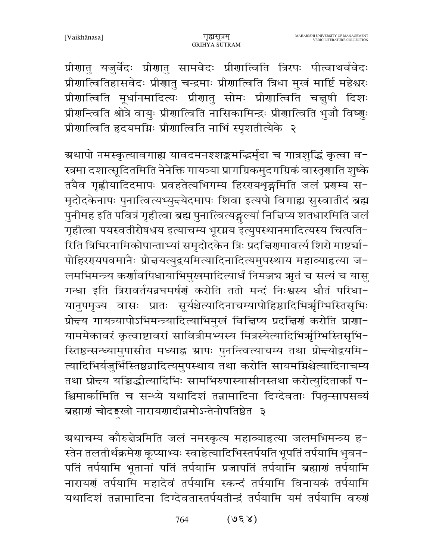प्रीणातु यजुर्वेदः प्रीणातु सामवेदः प्रीणात्विति त्रिरपः पीत्वाथर्ववेदः प्रीणात्वितिहासवेदः प्रीणातु चन्द्रमाः प्रीणात्विति त्रिधा मुखं मार्ष्टि महेश्वरः प्रीणात्विति मूर्धानमादित्यः प्रीणातु सोमः प्रीणात्विति चत्तुषी दिशः प्रीगन्त्विति श्रोत्रे वायुः प्रीगात्विति नासिकामिन्द्रः प्रीगात्विति भुजौ विष्णुः प्रीणात्विति हृदयमग्निः प्रीणात्विति नाभिं स्पृशतीत्येके २

ग्रथापो नमस्कृत्यावगाह्य यावदमनश्शङ्कमद्भिर्मृदा च गात्रशुद्धिं कृत्वा व− स्त्रमा दशात्सूदितमिति नेनेक्ति गायत्र्या प्रागग्रिकमुदगग्रिकं वास्तृणाति शुष्के तयैव गृह्णीयादिदमापः प्रवहतेत्यभिगम्य हिररयथृङ्गमिति जलं प्रराम्य स-मृदोदकेनापः पुनात्वित्यभ्युद्त्येदमापः शिवा इत्यपो विगाह्य सुस्वातीदं ब्रह्म पुनीमह इति पवित्रं गृहीत्वा ब्रह्म पुनात्वित्यङ्गल्यां निच्चिप्य शतधारमिति जलं गृहीत्वा पयस्वतीरोषधय इत्याचम्य भूरग्नय इत्युपस्थानमादित्यस्य चित्पति− रिति त्रिभिरनामिकोपान्ताभ्यां समृदोदकेन त्रिः प्रदत्तिरामावर्त्य शिरो माष्टर्या-पोहिररयपवमानैः प्रोत्तयत्युद्वयमित्यादिनादित्यमुपस्थाय महाव्याहृत्या ज-लमभिमन्त्र्य कर्णावपिधायाभिमुखमादित्यार्धं निमज्जच ऋतं च सत्यं च यासु गन्धा इति त्रिरावर्तयन्नघमर्षणं करोति ततो मन्दं निःश्वस्य धौतं परिधा-यानुपमृज्य वासः प्रातः सूर्यश्चेत्यादिनाचम्यापोहिष्ठादिभिर्ऋगिभस्तिसृभिः प्रोन्दय गायत्र्यापोऽभिमन्त्र्यादित्याभिमुखं विचिप्य प्रदच्चिणं करोति प्राणा-याममेकावरं कृत्वाष्टावरां सावित्रीमभ्यस्य मित्रस्येत्यादिभिर्त्राग्भिस्तिसृभि-स्तिष्ठन्सन्ध्यामुपासीत मध्याह्न ग्रापः पुनन्त्वित्याचम्य तथा प्रोच्च्योद्वयमि-त्यादिभिर्यजुर्भिस्तिष्ठन्नादित्यमुपस्थाय तथा करोति सायमग्निश्चेत्यादिनाचम्य तथा प्रोन्चय यच्चिद्धीत्यादिभिः सामभिरुपास्यासीनस्तथा करोत्युदितार्कां प-श्चिमार्कामिति च सन्ध्ये यथादिशं तन्नामादिना दिग्देवताः पितन्सापसव्यं ब्रह्माणं चोदङ्गखो नारायणादीव्रमोऽन्तेनोपतिष्ठेत ३

ग्रथाचम्य कौरुन्नेत्रमिति जलं नमस्कृत्य महाव्याहृत्या जलमभिमन्त्र्य ह-स्तेन तलतीर्थक्रमेर कूप्याभ्यः स्वाहेत्यादिभिस्तर्पयति भूपतिं तर्पयामि भुवन-पतिं तर्पयामि भूतानां पतिं तर्पयामि प्रजापतिं तर्पयामि ब्रह्माणं तर्पयामि नारायणं तर्पयामि महादेवं तर्पयामि स्कन्दं तर्पयामि विनायकं तर्पयामि यथादिशं तन्नामादिना दिग्देवतास्तर्पयतीन्द्रं तर्पयामि यमं तर्पयामि वरुणं

> $(S, \mathcal{S})$ 764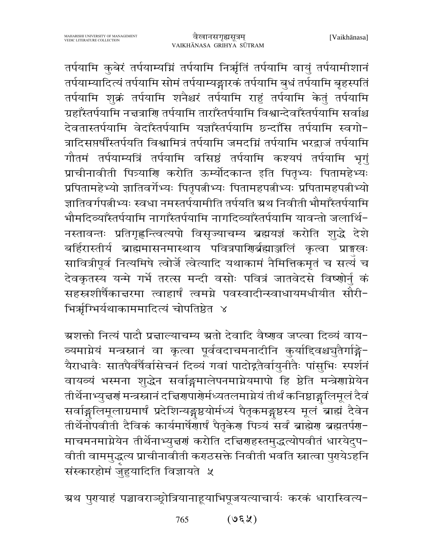तर्पयामि कुबेरं तर्पयाम्यग्निं तर्पयामि निर्ऋतिं तर्पयामि वायुं तर्पयामीशानं तर्पयाम्यादित्यं तर्पयामि सोमं तर्पयाम्यङ्गारकं तर्पयामि बुधं तर्पयामि बृहस्पतिं तर्पयामि शुक्रं तर्पयामि शनैश्चरं तर्पयामि राहुं तर्पयामि केतुं तर्पयामि ग्रहाँस्तर्पयामि नत्तत्राणि तर्पयामि ताराँस्तर्पयामि विश्वान्देवाँस्तर्पयामि सर्वाश्च देवतास्तर्पयामि वेदाँस्तर्पयामि यज्ञाँस्तर्पयामि छन्दाँसि तर्पयामि स्वगो-त्रादिसप्तर्षींस्तर्पयति विश्वामित्रं तर्पयामि जमदग्निं तर्पयामि भरद्वाजं तर्पयामि गौतमं तर्पयाम्यत्रिं तर्पयामि वसिष्ठं तर्पयामि कश्यपं तर्पयामि भूगुं प्राचीनावीती पित्र्याणि करोति ऊर्म्योदकान्त इति पितृभ्यः पितामहेभ्यः प्रपितामहेभ्यो ज्ञातिवर्गेभ्यः पितृपत्नीभ्यः पितामहपत्नीभ्यः प्रपितामहपत्नीभ्यो ज्ञातिवर्गपत्नीभ्यः स्वधा नमस्तर्पयामीति तर्पयति ग्रथ निवीती भौमाँस्तर्पयामि भौमदिव्याँस्तर्पयामि नागाँस्तर्पयामि नागदिव्याँस्तर्पयामि यावन्तो जलार्थि-नस्तावन्तः प्रतिगृह्णन्त्वित्यपो विसृज्याचम्य ब्रह्मयज्ञं करोति शुद्धे देशे बर्हिरास्तीर्य ब्राह्ममासनमास्थाय पवित्रपाणिर्ब्रह्माञ्जलिं कृत्वा प्राङ्मखः सावित्रीपूर्व नित्यमिषे त्वोर्जे त्वेत्यादि यथाकामं नैमित्तिकमृतं च सत्यं च देवकृतस्य यन्मे गर्भे तरत्स मन्दी वसोः पवित्रं जातवेदसे विष्णोर्नु कं सहस्रशीर्षैकान्नरमा त्वाहार्षं त्वमग्ने पवस्वादीन्स्वाधायमधीयीत सौरी-भिर्ऋग्भिर्यथाकाममादित्यं चोपतिष्ठेत ४

ग्रशक्तो नित्यं पादौ प्रज्ञाल्याचम्य ग्रतो देवादि वैष्णव जप्त्वा दिव्यं वाय-व्यमाग्नेयं मन्त्रस्नानं वा कृत्वा पूर्ववदाचमनादीनि कुर्याद्दिवश्चचुतैर्गाङ्गे-यैराधावैः सातपैर्वर्षैर्वासेचनं दिव्यं गवां पादोद्गतैर्वायुनीतैः पांसुभिः स्पर्शनं वायव्यं भस्मना शुद्धेन सर्वाङ्गमालेपनमाग्नेयमापो हि ष्ठेति मन्त्रेणाग्नेयेन तीर्थेनाभ्युच्चणं मन्त्रस्त्रानं दच्चिणपार्णर्मध्यतलमाग्नेयं तीर्थं कनिष्ठाङ्गलिमूलं दैवं सर्वाङ्गलिमूलाग्रमार्षं प्रदेशिन्यङ्गष्ठयोर्मध्यं पैतृकमङ्गष्ठस्य मूलं बाह्यं दैवेन तीर्थेनोपवीती दैविकं कार्यमार्षेणार्षं पैतृकेण पित्र्यं सर्वं ब्राह्मेण ब्रह्मतर्पण-माचमनमाग्नेयेन तीर्थैनाभ्युन्नणं करोति दच्चिणहस्तमुद्धत्योपवीतं धारयेदुप-वीती वाममुद्धत्य प्राचीनावीती कराठसक्ते निवीती भवति स्नात्वा पुर्ग्येऽहनि संस्कारहोमं जुहुयादिति विज्ञायते ५

ग्रथ पुरायाहं पञ्चावराञ्छ्रोत्रियानाहूयाभिपूजयत्याचार्यः करकं धारास्वित्य-

 $( \forall \xi \forall )$ 765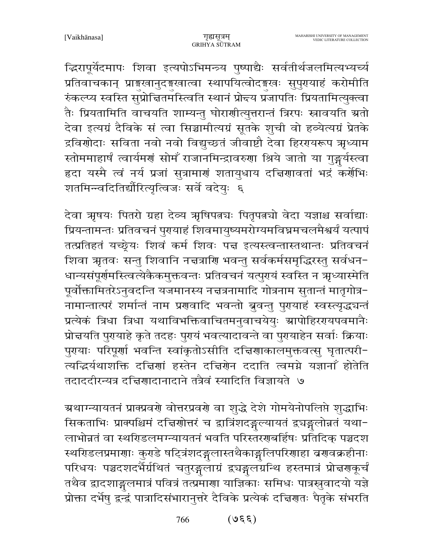द्धिरापूर्येदमापः शिवा इत्यपोऽभिमन्त्र्य पुष्पाद्यैः सर्वतीर्थजलमित्यभ्यर्च्य प्रतिवाचकान् प्राङ्गखानुदङ्गखात्वा स्थापयित्वोदङ्गखः सुपुरायाहं करोमीति रुंकल्प्य स्वस्ति सुप्रोच्तितमस्त्विति स्थानं प्रोद्यय प्रजापतिः प्रियतामित्युक्त्वा तैः प्रियतामिति वाचयति शाम्यन्तु घोराणीत्युत्तरान्तं त्रिरपः स्नावयति ग्रतो देवा इत्यग्रं दैविके सं त्वा सिञ्चामीत्यग्रं सूतके शुची वो हव्येत्यग्रं प्रेतके द्रविणोदाः सविता नवो नवो विद्युच्छतं जीवाष्टौ देवा हिरगयरूप ऋृध्याम स्तोममाहार्षं त्वार्यमणं सोमँ राजानमिन्द्रावरुणा श्रिये जातो या गुङ्गर्यस्त्वा हृदा यस्मै त्वं नर्य प्रजां सुत्रामाणं शतायुधाय दचिणावतां भद्रं कर्णेभिः शतमिन्त्वदितिर्द्यौरित्यृत्विजः सर्वे वदेयुः ६

देवा ऋषयः पितरो ग्रहा देव्य ऋषिपत्नचः पितृपत्नचो वेदा यज्ञाश्च सर्वाद्याः प्रियन्तामन्तः प्रतिवचनं पुरायाहं शिवमायुष्यमरोग्यमविघ्नमचलमैश्वर्यं यत्पापं तत्प्रतिहतं यच्छ्रेयः शिवं कर्म शिवः पत्त इत्यस्त्वन्तास्तथान्तः प्रतिवचनं शिवा ऋृतवः सन्तु शिवानि नच्चत्राणि भवन्तु सर्वकर्मसमृद्धिरस्तु सर्वधन-धान्यसंपूर्णमस्त्वित्येकैकमुक्तवन्तः प्रतिवचनं यत्पुरयं स्वस्ति न ऋृध्यास्मेति पूर्वोक्तामितरेऽनुवदन्ति यजमानस्य नच्चत्रनामादि गोत्रनाम सुतान्तं मातृगोत्र-नामान्तात्परं शर्मान्तं नाम प्रणवादि भवन्तो बुवन्तु पुरायाहं स्वस्त्यृद्धचन्तं प्रत्येकं त्रिधा त्रिधा यथाविभक्तिवाचितमनुवाचयेयुः स्रापोहिररयपवमानैः प्रोन्नयति पुरायाहे कृते तदहः पुरायं भवत्यादावन्ते वा पुरायाहेन सर्वाः क्रियाः पुरयाः परिपूर्णा भवन्ति स्वांकृतोऽसीति दच्चिणाकालमुक्तवत्सु घृतात्परी-त्यद्भिर्यथाशक्ति दचिणां हस्तेन दचिणेन ददाति त्वमग्ने यज्ञानाँ होतेति तदाददीरन्यत्र दच्चिगादानादाने तत्रैवं स्यादिति विज्ञायते ७

ग्रथाग्न्यायतनं प्राक्प्रवर्णे वोत्तरप्रवर्णे वा शुद्धे देशे गोमयेनोपलिप्ते शुद्धाभिः सिकताभिः प्राक्पश्चिमं दच्चिणोत्तरं च द्वात्रिंशदङ्गल्यायतं द्वयङ्गलोन्नतं यथा-लाभोन्नतं वा स्थरिडलमग्न्यायतनं भवति परिस्तररणबर्हिषः प्रतिदिक् पञ्चदश स्थरिडलप्रमाणाः कुरुडे षट्त्रिंशदङ्गलास्तथैकाङ्गलिपरिणाहा व्रणवक्रहीनाः परिधयः पञ्चदशदर्भैर्ग्रथितं चतुरङ्गुलाग्रं द्र्यङ्गुलग्रन्थि हस्तमात्रं प्रोत्तरणकूर्चं तथैव द्वादशाङ्गलमात्रं पवित्रं तत्प्रमाणा याज्ञिकाः समिधः पात्रस्रुवादयो यज्ञे प्रोक्ता दर्भेषु द्वन्द्वं पात्रादिसंभारानुत्तरे दैविके प्रत्येकं दच्चिणतः पैतृके संभरति

> $(330)$ 766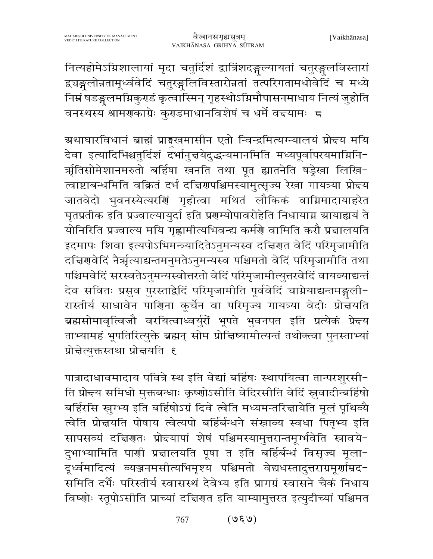नित्यहोमेऽग्निशालायां मृदा चतुर्दिशं द्वात्रिंशदङ्गुल्यायतां चतुरङ्गुलविस्तारां द्र्यङ्गलोन्नतामूर्ध्ववेदिं चतुरङ्गलिविस्तारोन्नतां तत्परिगतामधोवेदिं च मध्ये निम्नं षडङ्गुलमग्निकुराडं कृत्वास्मिन् गृहस्थोऽग्निमौपासनमाधाय नित्यं जुहोति वनस्थस्य श्रामणकाग्रेः कराडमाधानविशेषं च धर्मे वन्त्यामः ८

ग्रथाघारविधानं ब्राह्मं प्राङ्गखमासीन एतो न्विन्द्रमित्यग्न्यालयं प्रोद्त्य मयि देवा इत्यादिभिश्चतुर्दिशं दर्भानुच्चयेदुद्धन्यमानमिति मध्यपूर्वापरयमाग्निनि-र्ऋतिसोमेशानमरुतो बर्हिषा खनति तथा पूत ह्यातनेति षड्रेखा लिखि-.<br>त्वाष्टाबन्धमिति वक्रितं दर्भं दद्विरणपश्चिमस्यामुत्सृज्य रेखा गायत्र्या प्रो<del>द</del>य जातवेदो भुवनस्येत्यरणिं गृहीत्वा मथितं लौकिकं वाग्निमादायाहरेत घृतप्रतीक इति प्रज्वाल्यायुर्दा इति प्रशम्योपावरोहेति निधायाग्न स्रायाह्ययं ते योनिरिति प्रज्वाल्य मयि गृह्णामीत्यभिवन्द्य कर्मणे वामिति करौ प्रत्नालयति इदमापः शिवा इत्यपोऽभिमन्त्र्यादितेऽनुमन्यस्व दत्त्विरात वेदिं परिमृजामीति दच्चिरणवेदिं नैर्ऋत्याद्यन्तमनुमतेऽनुमन्यस्व पश्चिमतो वेदिं परिमृजामीति तथा पश्चिमवेदिं सरस्वतेऽनुमन्यस्वोत्तरतो वेदिं परिमृजामीत्युत्तरवेदिं वायव्याद्यन्तं देव सवितः प्रसुव पुरस्ताद्वेदिं परिमृजामीति पूर्ववेदिं चाग्नेयाद्यन्तमङ्गली-रास्तीर्य साधावेन पाणिना कूर्चेन वा परिमृज्य गायत्र्या वेदीः प्रोज्ञयति ब्रह्मसोमावृत्विजौ वरयित्वाध्वर्युरों भूपते भुवनपत इति प्रत्येकं प्रे<del>द</del>य ताभ्यामहं भूपतिरित्युक्ते ब्रह्मन् सोम प्रोचिष्यामीत्यन्तं तथोक्त्वा पुनस्ताभ्यां प्रोन्नेत्युक्तस्तथा प्रोन्नयति ६

पात्रादाधावमादाय पवित्रे स्थ इति वेद्यां बर्हिषः स्थापयित्वा तान्परशुरसी-ति प्रोच्च समिधो मुक्तबन्धाः कृष्णोऽसीति वेदिरसीति वेदिं स्रुवादीन्बर्हिषो बर्हिरसि स्नुग्भ्य इति बर्हिषोऽग्रं दिवे त्वेति मध्यमन्तरिज्ञायेति मूलं पृथिव्यै त्वेति प्रोन्नयति पोषाय त्वेत्यपो बर्हिर्बन्धने संस्नाव्य स्वधा पितृभ्य इति सापसव्यं दचिरणतः प्रोद्त्यापां शेषं पश्चिमस्यामुत्तरान्तमूर्ग्भवेति स्नावये-दुभाभ्यामिति पार्णी प्रचालयति पूषा त इति बर्हिर्बन्धं विसृज्य मूला− दूर्ध्वमादित्यं व्यञ्जनमसीत्यभिमृश्य पश्चिमतो वेद्यधस्तादुत्तराग्रमूर्णाम्रद-समिति दर्भैः परिस्तीर्य स्वासस्थं देवेभ्य इति प्रागग्रं स्वासने चैकं निधाय विष्णोः स्तूपोऽसीति प्राच्यां दच्चिणत इति याम्यामुत्तरत इत्युदीच्यां पश्चिमत

> $(\nu, \nu)$ 767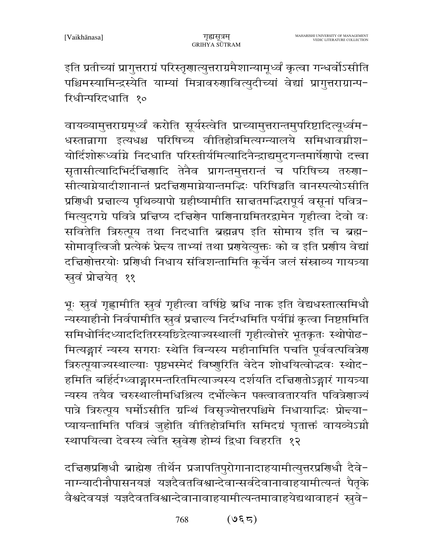इति प्रतीच्यां प्रागुत्तराग्रं परिस्तृणात्युत्तराग्रमैशान्यामूर्ध्वं कृत्वा गन्धर्वोऽसीति पश्चिमस्यामिन्द्रस्येति याम्यां मित्रावरुणावित्युदीच्यां वेद्यां प्रागुत्तराग्रान्प-रिधीन्परिदधाति १०

वायव्यामुत्तराग्रमूर्ध्वं करोति सूर्यस्त्वेति प्राच्यामुत्तरान्तमुपरिष्टादित्यूर्ध्वम-धस्तान्नागा इत्यधश्च परिषिच्य वीतिहोत्रमित्यग्न्यालये समिधावग्नीश-योर्दिशोरूध्वामे निदधाति परिस्तीर्यमित्यादिनैन्द्राद्यमुदगन्तमार्षेणापो दत्त्वा सृतासीत्यादिभिर्दचिर्णादि तेनैव प्रागन्तमुत्तरान्तं च परिषिच्य तरुणा-सीत्याग्नेयादीशानान्तं प्रदच्चिरणमाग्नेयान्तमद्धिः परिषिञ्चति वानस्पत्योऽसीति प्रशिधी प्रज्ञाल्य पृथिव्यापो ग्रहीष्यामीति साज्ञतमद्भिरापूर्य वसूनां पवित्र-मित्युदगग्रे पवित्रे प्रत्तिप्य दत्तिर्णेन पाणिनाग्रमितरद्वामेन गृहीत्वा देवो वः सवितेति त्रिरुत्पूय तथा निदधाति ब्रह्मन्नप इति सोमाय इति च ब्रह्म-सोमावृत्विजौ प्रत्येकं प्रेन्दय ताभ्यां तथा प्रगयेत्युक्तः को व इति प्रगीय वेद्यां दच्चिणोत्तरयोः प्रणिधी निधाय संविशन्तामिति कूर्चेन जलं संस्राव्य गायत्र्या स्रुवं प्रोन्नयेत् ११

भूः स्वुवं गृह्णामीति स्वुवं गृहीत्वा वर्षिष्ठे ग्रधि नाक इति वेद्यधस्तात्समिधौ न्यस्याहीनो निर्वपामीति स्नुवं प्रज्ञाल्य निर्दग्धमिति पर्यम्निं कृत्वा निष्टप्तमिति समिधोर्निदध्याददितिरस्यछिद्रेत्याज्यस्थालीं गृहीत्वोत्तरे भूतकृतः स्थोपोढ-मित्यङ्गारं न्यस्य सगराः स्थेति विन्यस्य महीनामिति पचति पूर्ववत्पवित्रेण त्रिरुत्पूयाज्यस्थाल्याः पृष्ठभस्मेदं विष्णुरिति वेदेन शोधयित्वोद्धवः स्थोद-हमिति बर्हिर्दग्ध्वाङ्गारमन्तरितमित्याज्यस्य दर्शयति दच्चिणतोऽङ्गारं गायत्र्या न्यस्य तयैव चरुस्थालीमधिश्रित्य दर्भोल्केन पक्त्वावतारयति पवित्रेणाज्यं पात्रे त्रिरुत्पृय घर्मोऽसीति ग्रन्थिं विसृज्योत्तरपश्चिमे निधायाद्धिः प्रोन्दया-प्यायन्तामिति पवित्रं जुहोति वीतिहोत्रमिति समिदग्रं घृताक्तं वायव्येऽग्नौ स्थापयित्वा देवस्य त्वेति सूवेण होम्यं द्विधा विहरति १२

दच्चिरणप्रशिधौ ब्राह्मेर तीर्थेन प्रजापतिपुरोगानादाहयामीत्युत्तरप्रशिधौ दैवे-नाग्न्यादीनौपासनयज्ञं यज्ञदैवतविश्वान्देवान्सर्वदेवानावाहयामीत्यन्तं पैतृके वैश्वदेवयज्ञं यज्ञदैवतविश्वान्देवानावाहयामीत्यन्तमावाहयेद्यथावाहनं स्नुवे-

> $(95)$ 768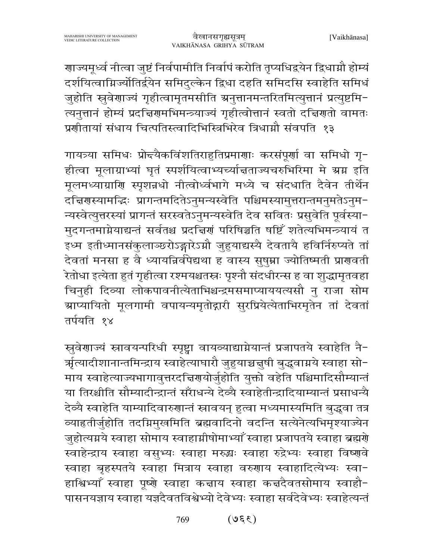गाज्यमूर्ध्व नीत्वा जुष्टं निर्वपामीति निर्वापं करोति तृप्यधिद्वयेन द्विधाग्नौ होम्यं दर्शयित्वाम्रिज्योतिर्द्वयेन समिदुल्केन द्विधा दहति समिदसि स्वाहेति समिधं जुहोति स्रुवेणाज्यं गृहीत्वामृतमसीति ग्रनुत्तानमन्तरितमित्युत्तानं प्रत्युष्टमि-त्यनुत्तानं होम्यं प्रदच्चिणमभिमन्त्र्याज्यं गृहीत्वोत्तानं स्वतो दच्चिणतो वामतः प्रणीतायां संधाय चित्पतिस्त्वादिभिस्त्रिभिरेव त्रिधाग्नौ संवपति १३

गायत्र्या समिधः प्रोन्च्यैकविंशतिराहुतिप्रमाणाः करसंपूर्णा वा समिधो गृ-हीत्वा मूलाग्राभ्यां घृतं स्पर्शयित्वाभ्यच्यां तताज्यचरुभिरिमा मे ग्रग्न इति मूलमध्याग्राणि स्पृशन्नधो नीत्वोर्ध्वभागे मध्ये च संदधाति दैवेन तीर्थेन दच्चिरणस्यामद्भिः प्रागन्तमदितेऽनुमन्यस्वेति पश्चिमस्यामुत्तरान्तमनुमतेऽनुम-न्यस्वेत्युत्तरस्यां प्रागन्तं सरस्वतेऽनुमन्यस्वेति देव सवितः प्रसुवेति पूर्वस्या-मुदगन्तमाग्नेयाद्यन्तं सर्वतश्च प्रदच्चिणं परिषिञ्चति षष्टिँ शतेत्यभिमन्त्र्यायं त इध्म इतीध्मानसंकुलाञ्छरोऽङ्गारेऽग्नौ जुहुयाद्यस्यै देवतायै हविर्निरुप्यते तां देवतां मनसा ह वै ध्यायन्निर्वपेद्यथा ह वास्य सुषुम्ना ज्योतिष्मती प्राणवती .<br>रेतोधा इत्येता हुतं गृहीत्वा रश्मयश्चतस्त्रः पृश्नौ संदधीरन्स ह वा शुद्धामृतवहा चिनुही दिव्या लोकपावनीत्येताभिश्चन्द्रमसमाप्याययत्यसौ नु राजा सोम ग्राप्यायितो मूलगामी वपायन्यमृतोद्गारी सुरप्रियेत्येताभिरमृतेन तां देवतां तर्पयति १४

स्रुवेणाज्यं स्नावयन्परिधी स्पृष्ट्वा वायव्याद्याग्नेयान्तं प्रजापतये स्वाहेति नै-र्ऋत्यादीशानान्तमिन्द्राय स्वाहेत्याघारौ जुहुयाच्चचुषी बुद्ध्वाग्नये स्वाहा सो− माय स्वाहेत्याज्यभागावुत्तरदचिरणयोर्जुहोति युक्तो वहेति पश्चिमादिसौम्यान्तं या तिरश्चीति सौम्यादीन्द्रान्तं सरॅंाधन्ये देव्यै स्वाहेतीन्द्रादियाम्यान्तं प्रसाधन्यै देव्यै स्वाहेति याम्यादिवारुणान्तं स्नावयन् हुत्वा मध्यमास्यमिति बुद्ध्वा तत्र व्याहृतीर्जुहोति तदग्निमुखमिति ब्रह्मवादिनो वदन्ति सत्येनेत्यभिमृश्याज्येन जुहोत्यग्नये स्वाहा सोमाय स्वाहाग्नीषोमाभ्याँ स्वाहा प्रजापतये स्वाहा ब्रह्मणे स्वाहेन्द्राय स्वाहा वसुभ्यः स्वाहा मरुद्धः स्वाहा रुद्रेभ्यः स्वाहा विष्णुवे स्वाहा बृहस्पतये स्वाहा मित्राय स्वाहा वरुणाय स्वाहादित्येभ्यः स्वा-हाश्विभ्याँ स्वाहा पूष्णे स्वाहा कन्नाय स्वाहा कन्नदैवतसोमाय स्वाहौ-पासनयज्ञाय स्वाहा यज्ञदैवतविश्वेभ्यो देवेभ्यः स्वाहा सर्वदेवेभ्यः स्वाहेत्यन्तं

> $(330)$ 769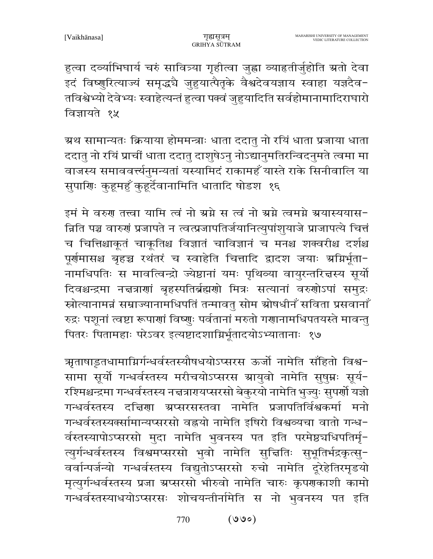हुत्वा दर्व्याभिघार्य चरुं सावित्र्या गृहीत्वा जुह्वा व्याहृतीर्जुहोति ग्रतो देवा इदं विष्णुरित्याज्यं समृद्धचै जुहुयात्पैतृके वैश्वदेवयज्ञाय स्वाहा यज्ञदेव-तविश्वेभ्यो देवेभ्यः स्वाहेत्यन्तं हुत्वा पक्वं जुहुयादिति सर्वहोमानामादिराघारो विज्ञायते १५

ग्रथ सामान्यतः क्रियाया होममन्त्राः धाता ददातु नो रयिं धाता प्रजाया धाता ददातु नो रयिं प्राचीं धाता ददातु दाशुषेऽनु नोऽद्यानुमतिरन्विदनुमते त्वमा मा वाजस्य समाववर्त्त्यनुमन्यतां यस्यामिदं राकामहँ यास्ते राके सिनीवालि या सुपाणिः कुहूमहुँ कुहूर्देवानामिति धातादि षोडश १६

इमं मे वरुण तत्त्वा यामि त्वं नो ग्रग्ने स त्वं नो ग्रग्ने त्वमग्ने ग्रयास्ययास-न्निति पञ्च वारुणं प्रजापते न त्वत्प्रजापतिर्जयानित्युपांशुयाजे प्राजापत्ये चित्तं च चित्तिश्चाकूतं चाकूतिश्च विज्ञातं चाविज्ञानं च मनश्च शक्वरीश्च दर्शश्च पूर्णमासश्च बृहच्च रथंतरं च स्वाहेति चित्तादि द्वादश जयाः अग्निर्भूता-नामधिपतिः स मावत्विन्द्रो ज्येष्ठानां यमः पृथिव्या वायुरन्तरित्तस्य सूर्यो दिवश्चन्द्रमा नच्चत्राणां बृहस्पतिर्ब्रह्मणो मित्रः सत्यानां वरुणोऽपां समुद्रः स्रोत्यानामन्नं सम्राज्यानामधिपतिं तन्मावतु सोम स्रोषधीनँ सविता प्रसवानाँ रुद्रः पशूनां त्वष्टा रूपाणां विष्णुः पर्वतानां मरुतो गणानामधिपतयस्ते मावन्तु पितरः पितामहाः परेऽवर इत्यष्टादशाम्निर्भूतादयोऽभ्यातानाः १७

ऋृताषाडूतधामाग्निर्गन्धर्वस्तस्यौषधयोऽप्सरस ऊर्जो नामेति सॉहितो विश्व− सामा सूर्यो गन्धर्वस्तस्य मरीचयोऽप्सरस ग्रायुवो नामेति सुषुम्नः सूर्य-रश्मिश्चन्द्रमा गन्धर्वस्तस्य नच्चत्रारायप्सरसो बेकुरयो नामेति भुज्युः सुपर्णो यज्ञो गन्धर्वस्तस्य दत्तिणा ग्रप्सरसस्तवा नामेति प्रजापतिर्विश्वकर्मा मनो गन्धर्वस्तस्यक्सामान्यप्सरसो वह्नयो नामेति इषिरो विश्वव्यचा वातो गन्ध-र्वस्तस्यापोऽप्सरसो मुदा नामेति भुवनस्य पत इति परमेष्ठचधिपतिर्मृ-त्युर्गन्धर्वस्तस्य विश्वमप्सरसो भुवो नामेति सुच्चितिः सुभूतिर्भद्रकृत्सु-वर्वान्पर्जन्यो गन्धर्वस्तस्य विद्युतोऽप्सरसो रुचो नामेति दूरेहेतिरमृडयो मृत्युर्गन्धर्वस्तस्य प्रजा ग्रप्सरसो भीरुवो नामेति चारुः कृपणकाशी कामो गन्धर्वस्तस्याधयोऽप्सरसः शोचयन्तीर्नामेति स नो भुवनस्य पत इति

> $(000)$ 770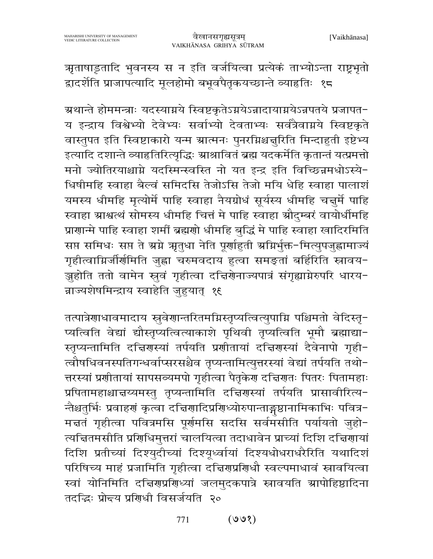ऋताषाड़तादि भुवनस्य स न इति वर्जयित्वा प्रत्येकं ताभ्योऽन्ता राष्ट्रभृतो द्वादर्शेति प्राजापत्यादि मूलहोमो बभूवपैतृकयच्छान्ते व्याहतिः १८

ग्रथान्ते होममन्त्राः यदस्याग्नये स्विष्टकृतेऽग्नयेऽन्नादायाग्नयेऽन्नपतये प्रजापत− य इन्द्राय विश्वेभ्यो देवेभ्यः सर्वाभ्यो देवताभ्यः सर्वत्रैवाग्नये स्विष्टकृते वास्तुपत इति स्विष्टाकारो यन्म ग्रात्मनः पुनरग्निश्चन्नुरिति मिन्दाहुती इष्टेभ्य इत्यादि दशान्ते व्याहृतिरित्यृद्धिः श्राश्रावितं ब्रह्म यदकर्मेति कृतान्तं यत्प्रमत्तो मनो ज्योतिरयाश्चाग्ने यदस्मिन्स्वस्ति नो यत इन्द्र इति विच्छिन्नमधोऽस्ये-धिषीमहि स्वाहा बैल्वं समिदसि तेजोऽसि तेजो मयि धेहि स्वाहा पालाशं यमस्य धीमहि मृत्योर्मे पाहि स्वाहा नैयग्रोधं सूर्यस्य धीमहि चत्तुर्मे पाहि स्वाहा ग्राश्वत्थं सोमस्य धीमहि चित्तं मे पाहि स्वाहा ग्रौदुम्बरं वायोर्धीमहि प्राणान्मे पाहि स्वाहा शर्मी ब्रह्मणो धीमहि बुद्धिं मे पाहि स्वाहा खादिरमिति सप्त समिधः सप्त ते अग्ने ऋतुधा नेति पूर्णाहुती अग्निर्भुक्त-मित्युपजुह्वामाज्यं गृहीत्वाम्रिर्जीर्णमिति जुह्वा चरुमवदाय हुत्वा समङ्तां बर्हिरिति स्नावय-.<br>ज़ुहोति ततो वामेन स्व गृहीत्वा दत्तिरोनाज्यपात्रं संगृह्याग्नेरुपरि धारय-न्नाज्यशेषमिन्द्राय स्वाहेति जुहयात् १६

तत्पात्रेणाधावमादाय स्रुवेणान्तरितमग्निस्तृप्यत्वित्युपाग्नि पश्चिमतो वेदिस्तृ-प्यत्विति वेद्यां द्यौस्तृप्यत्वित्याकाशे पृथिवी तृप्यत्विति भूमौ ब्रह्माद्या-स्तृप्यन्तामिति दचिरणस्यां तर्पयति प्रशीतायां दचिरणस्यां दैवेनापो गृही-त्वौषधिवनस्पतिगन्धर्वाप्सरसश्चैव तृप्यन्तामित्युत्तरस्यां वेद्यां तर्पयति तथो-त्तरस्यां प्रशीतायां सापसव्यमपो गृहीत्वा पैतृकेश दच्चिशतः पितरः पितामहाः प्रपितामहाश्चाचय्यमस्तु तृप्यन्तामिति दच्चिरणस्यां तर्पयति प्रासावीरित्य-न्तैश्चतुर्भिः प्रवाहणं कृत्वा दच्चिणादिप्रणिध्योरुपान्ताङ्गष्ठानामिकाभिः पवित्र-मत्ततं गृहीत्वा पवित्रमसि पूर्णमसि सदसि सर्वमसीति पर्यायतो जुहो-त्यचितमसीति प्रशिधिमुत्तरां चालयित्वा तदाधावेन प्राच्यां दिशि दच्चिणायां दिशि प्रतीच्यां दिश्युदीच्यां दिश्यूर्ध्वायां दिश्यधोधराधरैरिति यथादिशं परिषिच्य माहं प्रजामिति गृहीत्वा दच्चिरणप्रशिधौ स्वल्पमाधावं स्नावयित्वा स्वां योनिमिति दचिरणप्रशिध्यां जलमुदकपात्रे स्नावयति ग्रापोहिष्ठादिना तदद्धिः प्रोन्चय प्रशिधी विसर्जयति २०

> $(900)$ 771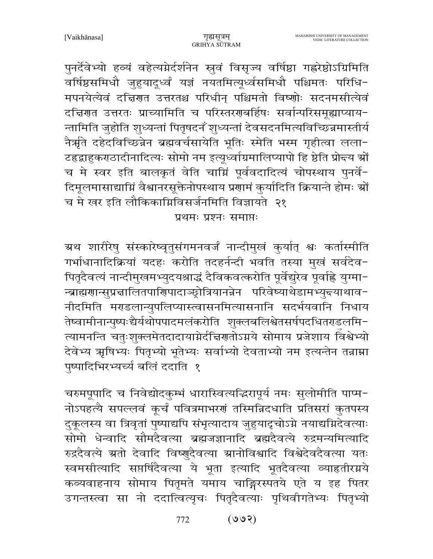पुनर्देवेभ्यो हव्यं वहेत्यग्नेर्दर्शनेन स्नुवं विसृज्य वर्षिष्ठा गह्ररेष्ठोऽग्रिमिति \_<br>वर्षिष्ठसमिधौ जुहुयादूर्ध्वं यज्ञं नयतमित्यूर्ध्वसमिधौ पश्चिमतः परिधि− मपनयेत्येवं दत्तिरात उत्तरतश्च परिधीन् पश्चिमतो विष्णोः सदनमसीत्येवं दच्चिणत उत्तरतः प्राच्यामिति च परिस्तरणबर्हिषः सर्वान्परिसमूह्याप्याय-न्तामिति जुहोति शुध्यन्तां पितृषदनँ शुध्यन्तां देवसदनमित्यविच्छिन्नमास्तीर्य नैर्म्रते दहेदविच्छिन्नेन ब्रह्मवर्चसायेति भूतिः स्मेति भस्म गृहीत्वा लला-टहृद्वाहुकराठादीनादित्यः सोमो नम इत्यूर्ध्वाग्रमालिप्यापो हि ष्ठेति प्रो<del>द</del>य <mark>ग्रों</mark> च मे स्वर इति बालकृतं वेति चाग्निं पूर्ववदादित्यं चोपस्थाय पुनर्वे-दिमूलमासाद्याग्निं वैश्वानरसूक्तेनोपस्थाय प्रणामं कुर्यादिति क्रियान्ते होमः श्रों च मे खर इति लौकिकाग्निविसर्जनमिति विज्ञायते २१

प्रथमः प्रश्नः समाप्तः

ग्रथ शारीरेषु संस्कारेष्वृतुसंगमनवर्जं नान्दीमुखं कुर्यात् श्वः कर्तास्मीति गर्भाधानादिक्रियां यदहः करोति तदहर्नन्दी भवति तस्या मुखं सर्वदेव-पितृदैवत्यं नान्दीमुखमभ्युदयश्राद्धं दैविकवत्करोति पूर्वेद्युरेव पूर्वाह्ले युग्मा-न्ब्राह्मणान्सुप्रचालितपाणिपादाञ्छ्रोत्रियानन्नेन परिवेष्याथेडामभ्युन्त्याथाव-नीदमिति मराडलान्युपलिप्यास्त्वासनमित्यासनानि सदर्भयवानि निधाय तेष्वामीनान्पुष्पःद्यैर्यथोपपादमलंकरोति शुक्लबलिश्वेतसर्षपदधितराडलमि-त्यामनन्ति चतुःशुक्लमेतदादायाग्नेर्दचिणतोऽग्नये सोमाय प्रजेशाय विश्वेभ्यो देवेभ्य ऋषिभ्यः पितृभ्यो भूतेभ्यः सर्वाभ्यो देवताभ्यो नम इत्यन्तेन तन्नाम्ना पृष्पादिभिरभ्यर्च्य बलिं ददाति १

चरुमपूपादि च निवेद्योदकुम्भं धारास्वित्यद्धिरापूर्य नमः सुलोमीति पाप्म-नोऽपहत्यै सपल्लवं कूर्चं पवित्रमाभरणं तस्मिन्निदधाति प्रतिसरां कुतपस्य दुकूलस्य वा त्रिवृतां पुष्पाद्यपि संभृत्यादाय जुहुयादृचोऽग्ने नयाद्यग्निदेवत्याः सोमो धेन्वादि सौमदैवत्या ब्रह्मजज्ञानादि ब्रह्मदैवत्ये रुद्रमन्यमित्यादि रुद्रदैवत्ये ग्रतो देवादि विष्णुदैवत्या ग्रानोविश्वादि विश्वेदेवदैवत्या यतः स्वमसीत्यादि सप्तर्षिदैवत्या ये भूता इत्यादि भूतदैवत्या व्याहृतीरग्नये कव्यवाहनाय सोमाय पितृमते यमाय चाङ्गिरस्पतये एते य इह पितर उगन्तस्त्वा सा नो ददात्वित्यृचः पितृदैवत्याः पृथिवीगतेभ्यः पितृभ्यो

> $(909)$ 772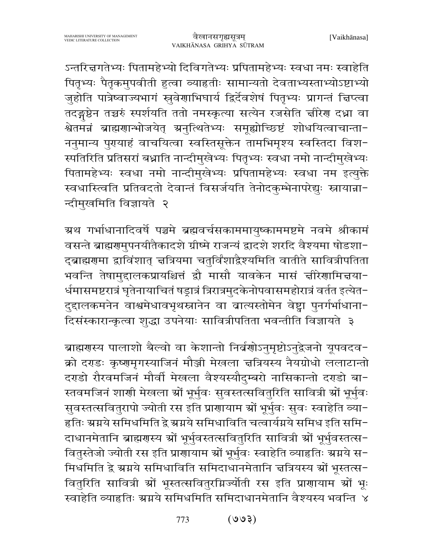ऽन्तरिज्ञगतेभ्यः पितामहेभ्यो दिविगतेभ्यः प्रपितामहेभ्यः स्वधा नमः स्वाहेति पितृभ्यः पैतृकमुपवीती हुत्वा व्याहृतीः सामान्यतो देवताभ्यस्ताभ्योऽष्टाभ्यो जुहोति पात्रेष्वाज्यभागं स्रुवेणाभिघार्य द्विर्देवशेषं पितृभ्यः प्रागन्तं चिप्त्वा तदङ्गष्ठेन तच्चरुं स्पर्शयति ततो नमस्कृत्या सत्येन रजसेति चीरेण दध्ना वा श्वेतमंत्रं ब्राह्मणान्भोजयेत् अनुत्थितेभ्यः समूह्योच्छिष्टं शोधयित्वाचान्ता− ननुमान्य पुरयाहं वाचयित्वा स्वस्तिसूक्तेन तामभिमृश्य स्वस्तिदा विश-स्पतिरिति प्रतिसरां बध्नाति नान्दीमुखेभ्यः पितृभ्यः स्वधा नमो नान्दीमुखेभ्यः पितामहेभ्यः स्वधा नमो नान्दीमुखेभ्यः प्रपितामहेभ्यः स्वधा नम इत्युक्ते स्वधास्त्विति प्रतिवदतो देवान्तं विसर्जयति तेनोदकुम्भेनापरेद्युः स्नायान्ना-न्दीमुखमिति विज्ञायते २

ग्रथ गर्भाधानादिवर्षे पञ्चमे ब्रह्मवर्चसकाममायुष्काममष्टमे नवमे श्रीकामं वसन्ते ब्राह्मणमुपनयीतैकादशे ग्रीष्मे राजन्यं द्वादशे शरदि वैश्यमा षोडशा-दुब्राह्मणुमा द्वाविंशात् चत्रियमा चतुर्विंशाद्रैश्यमिति वातीते सावित्रीपतिता भवन्ति तेषामुद्दालकप्रायश्चित्तं द्वौ मासौ यावकेन मासं चीरेणामिचया-र्धमासमष्टरात्रं घृतेनायाचितं षड्रात्रं त्रिरात्रमुदकेनोपवासमहोरात्रं वर्तत इत्येत-दुद्दालकमनेन वाश्वमेधावभृथस्त्रानेन वा ब्रात्यस्तोमेन वेष्ट्रा पुनर्गर्भाधाना-दिसंस्कारान्कृत्वा शुद्धा उपनेयाः सावित्रीपतिता भवन्तीति विज्ञायते ३

ब्राह्मणस्य पालाशो बैल्वो वा केशान्तो निर्वर्णोऽनुमृष्टोऽनुद्वेजनो यूपवदव-क्रो दराडः कृष्णमृगस्याजिनं मौञ्जी मेखला चत्रियस्य नैयग्रोधो ललाटान्तो दराडो रौरवमजिनं मौर्वी मेखला वैश्यस्यौदुम्बरो नासिकान्तो दराडो बा-स्तवमजिनं शाणी मेखला स्रों भूर्भुवः सुवस्तत्सवितुरिति सावित्री स्रों भूर्भुवः सुवस्तत्सवितुरापो ज्योती रस इति प्राणायाम श्रों भूर्भुवः सुवः स्वाहेति व्या-हृतिः स्रग्नये समिधमिति द्वे स्रग्नये समिधाविति चत्वार्यग्नये समिध इति समि-दाधानमेतानि ब्राह्मणस्य स्रों भूर्भुवस्तत्सवितुरिति सावित्री स्रों भूर्भुवस्तत्स-वितुस्तेजो ज्योती रस इति प्राणायाम स्रों भूर्भुवः स्वाहेति व्याहृतिः स्रग्नये स-मिधमिति द्वे ग्रग्नये समिधाविति समिदाधानमेतानि चत्रियस्य श्रों भूस्तत्स-वितुरिति सावित्री स्रों भूस्तत्सवितुरग्निज्योती रस इति प्राणायाम स्रों भूः स्वाहेति व्याहृतिः ग्रग्नये समिधमिति समिदाधानमेतानि वैश्यस्य भवन्ति ४

> $(500)$ 773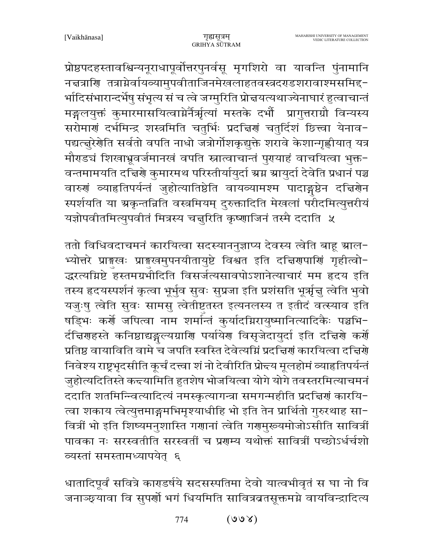प्रोष्ठपदहस्तावश्विन्यनूराधापूर्वोत्तरपुनर्वसू मृगशिरो वा यावन्ति पुंनामानि नद्मत्राणि तत्राग्नेर्वायव्यामुपवीताजिनमेखलाहतवस्त्रदराडशरावाश्मसमिद्द-र्भादिसंभारान्दर्भेषु संभृत्य सं च त्वे जग्मुरिति प्रोच्चयत्यथाज्येनाघारं हुत्वाचान्तं मङ्गलयुक्तं कुमारमासयित्वाग्नेर्नैर्ऋत्यां मस्तके दभौं प्रागुत्तराग्रौ विन्यस्य सरोमाणं दर्भमिन्द्र शस्त्रमिति चतुर्भिः प्रदत्तिणं चतुर्दिशं छित्त्वा येनाव-पद्यत्तुरेणेति सर्वतो वपति नाधो जत्रोर्गोशकृद्युक्ते शरावे केशान्गृह्णीयात् यत्र मौराडचं शिखाभ्रूवर्जमानखं वपति स्नात्वाचान्तं पुरायाहं वाचयित्वा भुक्त-वन्तमामयति दच्चिणे कुमारमथ परिस्तीर्यायुर्दा ग्रग्न ग्रायुर्दा देवेति प्रधानं पञ्च वारुणं व्याहृतिपर्यन्तं जुहोत्यातिष्ठेति वायव्यामश्म पादाङ्गष्ठेन दच्चिणेन स्पर्शयति या ग्रकृन्तन्निति वस्त्रमियम् दुरुक्तादिति मेखलां परीदमित्युत्तरीयं यज्ञोपवीतमित्युपवीतं मित्रस्य चत्तुरिति कृष्णाजिनं तस्मै ददाति ५

ततो विधिवदाचमनं कारयित्वा सदस्याननुज्ञाप्य देवस्य त्वेति बाहू म्राल-भ्योत्तरे प्राङ्गस्वः प्राङ्गस्वमुपनयीतायुष्टे विश्वत इति दच्चिणपाणिं गृहीत्वो-द्धरत्यग्निष्टे हस्तमग्रभीदिति विसर्जत्यसावपोऽशानेत्याचारं मम हृदय इति तस्य हृदयस्पर्शनं कृत्वा भूर्भुव सुवः सुप्रजा इति प्रशंसति भूर्त्रृज्ञु त्वेति भुवो यजुःषु त्वेति सुवः सामसु त्वेतीष्टतस्त इत्यनलस्य त इतीदं वत्स्याव इति षड़िभः कर्णे जपित्वा नाम शर्मान्तं कुर्यादग्निरायुष्मानित्यादिकैः पञ्चभि-र्दचिणहस्ते कनिष्ठाद्यङ्गल्यग्राणि पर्यायेण विसृजेदायुर्दा इति दचिणे कर्णे प्रतिष्ठ वायाविति वामे च जपति स्वस्ति देवेत्यग्निं प्रदत्तिणं कारयित्वा दत्तिर्णे निवेश्य राष्ट्रभृदसीति कूर्चं दत्त्वा शं नो देवीरिति प्रोन्दय मूलहोमं व्याहृतिपर्यन्तं जुहोत्यदितिस्ते कन्दयामिति हुतशेष भोजयित्वा योगे योगे तवस्तरमित्याचमनं ददाति शतमिन्त्वित्यादित्यं नमस्कृत्यागन्त्रा समगन्महीति प्रदत्तिणं कारयि-त्वा शकाय त्वेत्युत्तमाङ्गमभिमृश्याधीहि भो इति तेन प्रार्थितो गुरुरथाह सा-वित्रीं भो इति शिष्यमनुशास्ति गणानां त्वेति गणमुरूयमोजोऽसीति सावित्रीं पावका नः सरस्वतीति सरस्वतीं च प्रगम्य यथोक्तं सावित्रीं पच्छोऽर्धर्चशो व्यस्तां समस्तामध्यापयेत् ६

धातादिपूर्वं सवित्रे काराडर्षये सदसस्पतिमा देवो यात्वभीवृतं स घा नो वि जनाञ्छ्यावा वि सुपर्णो भगं धियमिति सावित्रबतसूक्तमग्ने वायविन्द्रादित्य

> $(\forall \nu \nu)$ 774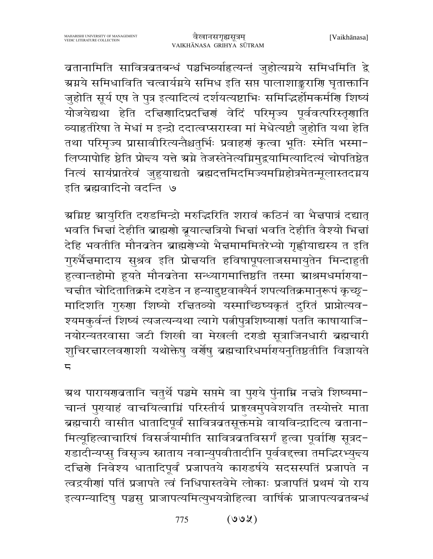बतानामिति सावित्रबतबन्धं पञ्चभिव्याहित्यन्तं जुहोत्यग्नये समिधमिति द्वे ग्र्याये समिधाविति चत्वार्यग्रये समिध इति सप्त पालाशाङ्कराणि घृताक्तानि जुहोति सूर्य एष ते पुत्र इत्यादित्यं दर्शयत्यष्टाभिः समिद्धिर्होमकर्मणि शिष्यं योजयेद्यथा हेति दचिर्णादिप्रदचिणं वेदिं परिमृज्य पूर्ववत्परिस्तृणाति व्याहृतीरेषा ते मेधां म इन्द्रो ददात्वप्सरास्वा मां मेधेत्यष्टौ जुहोति यथा हेति तथा परिमृज्य प्रासावीरित्यन्तैश्चतुर्भिः प्रवाहर्णं कृत्वा भूतिः स्मेति भस्मा-लिप्यापोहि ष्ठेति प्रोन्दय यत्ते ग्रग्ने तेजस्तेनेत्यग्निमुद्रयामित्यादित्यं चोपतिष्ठेत नित्यं सायंप्रातरेवं जुहुयाद्यतो ब्रह्मदत्तमिदमिज्यमग्निहोत्रमेतन्मूलास्तदग्नय इति ब्रह्मवादिनो वदन्ति ७

ग्रग्निष्ट ग्रायुरिति दराडमिन्द्रो मरुद्धिरिति शरावं कठिनं वा भैत्तपात्रं दद्यात् भवति भित्तां देहीति ब्राह्मणो ब्रूयात्त्वत्रियो भित्तां भवति देहीति वैश्यो भित्तां देहि भवतीति मौनव्रतेन ब्राह्मर्णेभ्यो भैन्नमाममितरेभ्यो गृह्णीयाद्यस्य त इति गुरुर्भैज्ञमादाय सुश्रव इति प्रोज्ञयति हविषापूपलाजसमायुतेन मिन्दाहुती हुत्वान्तहोमो हूयते मौनबतेना सन्ध्यागमात्तिष्ठति तस्मा स्राश्रमधर्माराया-चत्तीत चोदितातिक्रमे दराडेन न हन्यादुष्टवाक्यैर्न शपत्यतिक्रमानुरूपं कृच्छू-मादिशति गुरुणा शिष्यो रचितव्यो यस्माच्छिष्यकृतं दुरितं प्राप्नोत्यव-श्यमकुर्वन्तं शिष्यं त्यजत्यन्यथा त्यागे पत्नीपुत्रशिष्याणां पतति काषायाजि-नयोरन्यतरवासा जटी शिखी वा मेखली दराडी सूत्राजिनधारी ब्रह्मचारी शुचिरत्नारलवणाशी यथोक्तेषु वर्णेषु ब्रह्मचारिधर्मागयनुतिष्ठतीति विज्ञायते  $\overline{a}$ 

ग्रथ पारायणव्रतानि चतुर्थे पञ्चमे सप्तमे वा पुराये पुंनाम्नि नद्मत्रे शिष्यमा− चान्तं पुरायाहं वाचयित्वाम्निं परिस्तीर्य प्राङ्मखमुपवेशयति तस्योत्तरे माता ब्रह्मचारी वासीत धातादिपूर्वं सावित्रबतसूक्तमग्ने वायविन्द्रादित्य बताना-मित्यूहित्वाचारिषं विसर्जयामीति सावित्रव्रतविसर्गं हुत्वा पूर्वाणि सूत्रद-राडादीन्यप्सु विसृज्य स्नाताय नवान्युपवीतादीनि पूर्ववद्त्त्वा तमद्भिरभ्युन्न्य दच्चिर्णे निवेश्य धातादिपूर्वं प्रजापतये काराडर्षये सदसस्पतिं प्रजापते न त्वद्रयीणां पतिं प्रजापते त्वं निधिपास्तवेमे लोकाः प्रजापतिं प्रथमं यो राय इत्यग्न्यादिषु पञ्चसु प्राजापत्यमित्युभयत्रोहित्वा वार्षिकं प्राजापत्यव्रतबन्धं

> $(SU)$ 775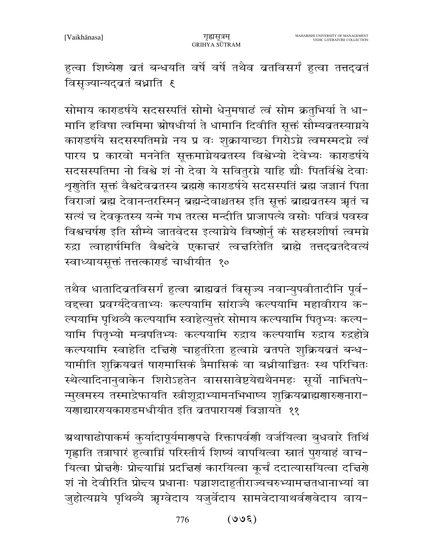हुत्वा शिष्येग बतं बन्धयति वर्षे वर्षे तथैव बतविसर्गं हुत्वा तत्तद्वतं विसृज्यान्यदुवतं बध्नाति १

सोमाय काराडर्षये सदसस्पतिं सोमो धेनुमषाढं त्वं सोम क्रतुभिर्या ते धा-मानि हविषा त्वमिमा स्रोषधीर्या ते धामानि दिवीति सूक्तं सौम्यबृतस्याग्नये काराडर्षये सदसस्पतिमग्ने नय प्र वः शुक्रायाच्छा गिरोऽग्ने त्वमस्मदग्ने त्वं पारय प्र कारवो मननेति सूक्तमाग्नेयब्रतस्य विश्वेभ्यो देवेभ्यः काराडर्षये सदसस्पतिमा नो विश्वे शं नो देवा ये सवितुरग्ने याहि द्यौः पितर्विश्वे देवाः श्रणुतेति सूक्तं वैश्वदेवव्रतस्य ब्रह्मणे काराडर्षये सदसस्पतिं ब्रह्म जज्ञानं पिता विराजां ब्रह्म देवानन्तरस्मिन् ब्रह्मन्देवाश्चतस्र इति सूक्तं ब्राह्मवतस्य ऋतं च सत्यं च देवकृतस्य यन्मे गभ तरत्स मन्दीति प्राजापत्ये वसोः पवित्रं पवस्व विश्वचर्षण इति सौम्ये जातवेदस इत्याग्नेये विष्णोर्नु कं सहस्रशीर्षा त्वमग्ने रुद्रा त्वाहार्षमिति वैश्वदेवे एकाचरं त्वचरितेति ब्राह्मे तत्तद्वतदैवत्यं स्वाध्यायसूक्तं तत्तत्काराडं चाधीयीत १०

तथैव धातादिब्रतविसर्गं हुत्वा ब्राह्मबतं विसृज्य नवान्युपवीतादीनि पूर्व-वद्त्त्वा प्रवर्ग्यदेवताभ्यः कल्पयामि सांराज्यै कल्पयामि महावीराय क− ल्पयामि पृथिव्यै कल्पयामि स्वाहेत्युत्तरे सोमाय कल्पयामि पितृभ्यः कल्प-यामि पितृभ्यो मन्त्रपतिभ्यः कल्पयामि रुद्राय कल्पयामि रुद्राय रुद्रहोत्रे कल्पयामि स्वाहेति दचिरणे चाहतीरेता हत्वाग्ने ब्रतपते शुक्रियबतं बन्ध-यामीति शुक्रियव्रतं षारमासिकं त्रैमासिकं वा बध्नीयाच्चितः स्थ परिचितः स्थेत्यादिनानुवाकेन शिरोऽहतेन वाससावेष्टयेद्यथैनमहः सूर्यो नाभितपे-न्मुखमस्य तस्माद्रेफायति स्त्रीशूद्राभ्यामनभिभाष्य शूक्रियब्राह्मणारुणनारा-यणाद्यारगयकाराडमधीयीत इति व्रतपारायणं विज्ञायते ११

ग्रथाषाढोपाकर्म कुर्यादापूर्यमारणपत्ते रिक्तापर्वणी वर्जयित्वा बुधवारे तिथिं गृह्णाति तत्राघारं हुत्वाग्निं परिस्तीर्य शिष्यं वापयित्वा स्नातं पुरायाहं वाच-यित्वा प्रोन्नर्गैः प्रोन्दयाग्निं प्रदन्निर्गं कारयित्वा कूर्चं ददात्यासयित्वा दन्निर्गे शं नो देवीरिति प्रोन्दय प्रधानाः पञ्चाशदाहुतीराज्यचरुभ्यामत्ततधानाभ्यां वा जुहोत्यग्नये पृथिव्यै ऋग्वेदाय यजुर्वेदाय सामवेदायाथर्वणवेदाय वाय-

> $(300)$ 776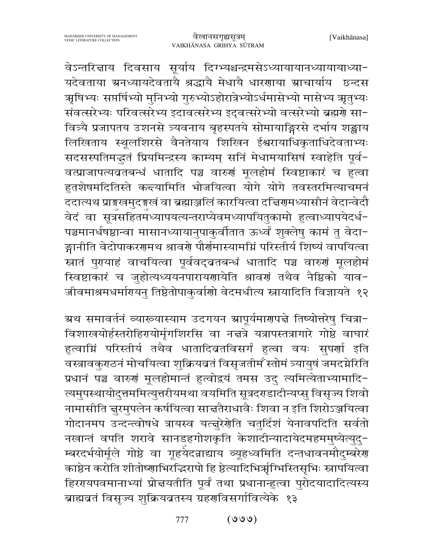वेऽन्तरिज्ञाय दिवसाय सूर्याय दिग्भ्यश्चन्द्रमसेऽध्यायायानध्यायाध्या-यदेवताया ग्रनध्यायदेवतायै श्रद्धायै मेधायै धारणाया ग्राचार्याय छन्दस ऋषिभ्यः सप्तर्षिभ्यो मुनिभ्यो गुरुभ्योऽहोरात्रेभ्योऽर्धमासेभ्यो मासेभ्य ऋतुभ्यः संवत्सरेभ्यः परिवत्सरेभ्य इदावत्सरेभ्य इद्वत्सरेभ्यो वत्सरेभ्यो ब्रह्मणे सा-वित्र्यै प्रजापतय उशनसे त्र्यवनाय बृहस्पतये सोमायाङ्गिरसे दर्भाय शङ्खाय लिखिताय स्थूलशिरसे वैनतेयाय शिखिन ईश्वरायाधिकृताधिदेवताभ्यः सदसस्पतिमद्भुतं प्रियमिन्द्रस्य काम्यम् सनिं मेधामयासिषं स्वाहेति पूर्व-वत्प्राजापत्यब्रतबन्धं धातादि पञ्च वारुणं मूलहोमं स्विष्टाकारं च हुत्वा हुतशेषमदितिस्ते कन्दयामिति भोजयित्वा योगे योगे तवस्तरमित्याचमनं ददात्यथ प्राङ्ग्खमुदङ्ग्खं वा ब्रह्माञ्जलिं कारयित्वा दत्तिरामध्यासीनं वेदान्वेदौ वेदं वा सूत्रसहितमध्यापयत्यन्तराप्येवमध्यापयितुकामो हुत्वाध्यापयेदर्ध-पञ्चमानर्धषष्ठान्वा मासानध्यायानुपाकुर्वीतात ऊर्ध्वं शुक्लेषु कामं तु वेदा-ङ्गानीति वेदोपाकरणमथ श्रावर्णे पौर्णमास्यामग्निं परिस्तीर्य शिष्यं वापयित्वा स्नातं पुरायाहं वाचयित्वा पूर्ववद्वतबन्धं धातादि पञ्च वारुणं मूलहोमं स्विष्टाकारं च जुहोत्यध्ययनपारायणायेति श्रावणं तथैव नैष्ठिको याव-जीवमाश्रमधर्मारयन् तिष्ठेतोपाकुर्वाणो वेदमधीत्य स्नायादिति विज्ञायते १२

ग्रथ समावर्तनं व्याख्यास्याम उदगयन ग्रापूर्यमार्णपत्ते तिष्योत्तरेषु चित्रा-विशाखयोर्हस्तरोहिरायोर्मृगशिरसि वा नचत्रे यत्रापस्तत्रागारे गोष्ठे वाघारं हुत्वाग्निं परिस्तीर्य तथैव धातादिब्रतविसर्गं हुत्वा वयः सुपर्णा इति वस्त्रावकुराठनं मोचयित्वा शुक्रियव्रतं विसृजतीम ँस्तोमं त्र्यायुषं जमदग्नेरिति प्रधानं पञ्च वारुणं मूलहोमान्तं हुत्वोद्वयं तमस उदु त्यमित्येताभ्यामादि-त्यमुपस्थायोदुत्तममित्युत्तरीयमथा वयमिति सूत्रदराडादीन्यप्सु विसृज्य शिवो नामासीति नुरमुपलेन कर्षयित्वा सान्नतैराधावैः शिवा न इति शिरोऽञ्जयित्वा गोदानमप उन्दन्त्वोषधे त्रायस्व यत्तुरेशेति चतुर्दिशं येनावपदिति सर्वतो नखान्तं वपति शरावे सानडहगोशकृति केशादीन्यादायेदमहममुष्येत्युद्-म्बरदर्भयोर्मूले गोष्ठे वा गूहयेदन्नाद्याय व्यूहध्वमिति दन्तधावनमौदुम्बरेण काष्ठेन करोति शीतोष्णाभिरद्धिरापो हि ष्ठेत्यादिभिर्ऋग्भिस्तिसृभिः स्नापयित्वा हिररयपवमानाभ्यां प्रोन्नयतीति पूर्वं तथा प्रधानान्हुत्वा पुरोदयादादित्यस्य ब्राह्मवतं विसृज्य शुक्रियव्रतस्य ग्रहणविसर्गावित्येके १३

> $(\mathcal{O}\mathcal{O})$ 777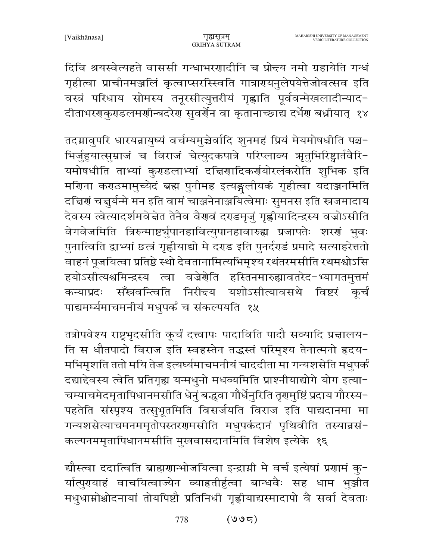दिवि श्रयस्वेत्यहते वाससी गन्धाभरणादीनि च प्रोन्दय नमो ग्रहायेति गन्धं गृहीत्वा प्राचीनमञ्जलिं कृत्वाप्सरस्खिति गात्रारायनुलेपयेत्तेजोवत्सव इति वस्त्रं परिधाय सोमस्य तनूरसीत्युत्तरीयं गृह्णाति पूर्ववन्मेखलादीन्याद-दीताभरगकुराडलमगीन्बदरेग सुवर्गेन वा कृतानाच्छाद्य दर्भेग बध्नीयात् १४

तदग्नावुपरि धारयन्नायुष्यं वर्चम्यमुच्चेर्वादि शुनमहं प्रियं मेयमोषधीति पञ्च-भिर्जुहुयात्सुम्राजं च विराजं चेत्युदकपात्रे परिप्लाव्य ऋतुभिरिष्ट्वार्तवैरि-यमोषधीति ताभ्यां कुराडलाभ्यां दचिरणादिकर्णयोरलंकरोति शुभिक इति मणिना कराठमामुच्येदं ब्रह्म पुनीमह इत्यङ्गलीयकं गृहीत्वा यदाञ्जनमिति दच्चिणं चत्तूर्यन्मे मन इति वामं चाञ्जनेनाञ्जयित्वेमाः सुमनस इति स्त्रजमादाय देवस्य त्वेत्यादर्शमवेद्गेत तेनैव वैरणां दराडमृजुं गृह्णीयादिन्द्रस्य वज्रोऽसीति वेगवेजमिति त्रिरुन्माष्टर्युपानहावित्युपानहावारुह्य प्रजापतेः शरणं भुवः पुनात्विति द्वाभ्यां छत्त्रं गृह्णीयाद्यो मे दराड इति पुनर्दराडं प्रमादे सत्याहरेत्ततो वाहनं पूजयित्वा प्रतिष्ठे स्थो देवतानामित्यभिमृश्य रथंतरमसीति रथमश्वोऽसि हयोऽसीत्यश्वमिन्द्रस्य त्वा वज्रेणेति हस्तिनमारुह्यावतरेद-भ्यागतमुत्तमं सँस्रवन्त्विति निरीन्दय यशोऽसीत्यावसथे विष्टरं कर्चं कन्याप्रदः पाद्यमर्घ्यमाचमनीयं मधुपर्कं च संकल्पयति १५

तत्रोपवेश्य राष्ट्रभृदसीति कूर्चं दत्त्वापः पादाविति पादौ सव्यादि प्रज्ञालय-ति स धौतपादो विराज इति स्वहस्तेन तद्धस्तं परिमृश्य तेनात्मनो हृदय-मभिमृशति ततो मयि तेज इत्यर्घ्यमाचमनीयं चाददीता मा गन्यशसेति मधुपर्कं दद्याद्देवस्य त्वेति प्रतिगृह्य यन्मधुनो मधव्यमिति प्राश्नीयाद्योगे योग इत्या-चम्याचमेदमृतापिधानमसीति धेनुं बद्धवा गौर्धेनुरिति तृणमुष्टिं प्रदाय गौरस्य-पहतेति संस्पृश्य तत्सुभूतमिति विसर्जयति विराज इति पाद्यदानमा मा गन्यशसेत्याचमनममृतोपस्तरगमसीति मधुपर्कदानं पृथिवीति तस्यान्नसं-कल्पनममृतापिधानमसीति मुखवासदानमिति विशेष इत्येके १६

द्यौस्त्वा ददात्विति ब्राह्मणान्भोजयित्वा इन्द्रामी मे वर्च इत्येषां प्रणामं कु-र्यात्पुरायाहं वाचयित्वाज्येन व्याहृतीर्हुत्वा बान्धवैः सह धाम भुञ्जीत मधुधाम्नोश्चोदनायां तोयपिष्टौ प्रतिनिधी गृह्णीयाद्यस्मादापो वै सर्वा देवताः

> $(997)$ 778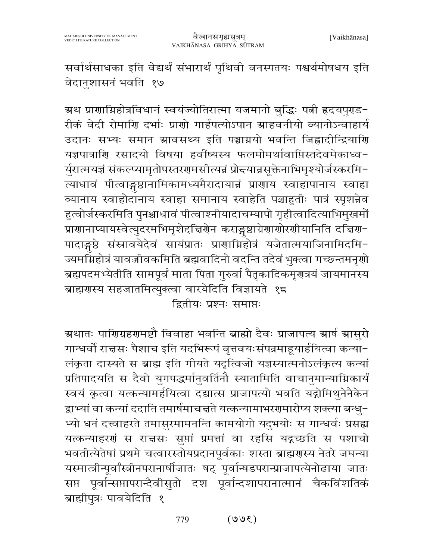सर्वार्थसाधका इति वेद्यर्थं संभारार्थं पृथिवी वनस्पतयः पश्चर्थमोषधय इति वेदानुशासनं भवति १७

ग्रथ प्राणाग्निहोत्रविधानं स्वयंज्योतिरात्मा यजमानो बुद्धिः पत्नी हृदयपुराड− रीकं वेदी रोमाणि दर्भाः प्राणो गार्हपत्योऽपान स्राहवनीयो व्यानोऽन्वाहार्य उदानः सभ्यः समान स्रावसथ्य इति पञ्चाग्नयो भवन्ति जिह्वादीन्द्रियाणि यज्ञपात्राणि रसादयो विषया हवींष्यस्य फलमोमर्थावाप्तिस्तदेवमेकाध्व-र्युरात्मयज्ञं संकल्प्यामृतोपस्तरगमसीत्यन्नं प्रोन्दयान्नसूक्तेनाभिमृश्योर्जस्करमि-त्याधावं पीत्वाङ्गष्ठानामिकामध्यमैरादायान्नं प्राणाय स्वाहापानाय स्वाहा व्यानाय स्वाहोदानाय स्वाहा समानाय स्वाहेति पञ्चाहुतीः पात्रं स्पृशन्नेव हुत्वोर्जस्करमिति पुनश्चाधावं पीत्वाश्नीयादाचम्यापो गृहीत्वादित्याभिमुखमों प्राणानाप्यायस्वेत्युदरमभिमृशेद्दचिर्णेन कराङ्गष्ठाग्रेणाणोरणीयानिति दच्चिण-पादाङ्गुष्ठे संस्नावयेदेवं सायंप्रातः प्राणाग्निहोत्रं यजेतात्मयाजिनामिदमि-ज्यमग्निहोत्रं यावज्जीवकमिति ब्रह्मवादिनो वदन्ति तदेवं भुक्त्वा गच्छन्तमनृणो ब्रह्मपदमभ्येतीति सामपूर्वं माता पिता गुरुर्वा पैतृकादिकमृणत्रयं जायमानस्य ब्राह्मगस्य सहजातमित्युक्त्वा वारयेदिति विज्ञायते १८ द्वितीयः प्रश्नः समाप्तः

ग्रथातः पाणिग्रहणमष्टौ विवाहा भवन्ति ब्राह्मो दैवः प्राजापत्य स्रार्ष स्रासुरो गान्धर्वो रान्नसः पैशाच इति यदभिरूपं वृत्तवयःसंपन्नमाहृयार्हयित्वा कन्या− लंकृता दास्यते स ब्राह्म इति गीयते यदृत्विजो यज्ञस्यात्मनोऽलंकृत्य कन्यां प्रतिपादयति स दैवो युगपद्धर्मानुवर्तिनौ स्यातामिति वाचानुमान्याग्निकार्यं स्वयं कृत्वा यत्कन्यामर्हयित्वा दद्यात्स प्राजापत्यो भवति यद्गोमिथुनेनैकेन द्वाभ्यां वा कन्यां ददाति तमार्षमाचत्तते यत्कन्यामाभरणमारोप्य शक्त्या बन्धु-भ्यो धनं दत्त्वाहरते तमासुरमामनन्ति कामयोगो यदुभयोः स गान्धर्वः प्रसह्य यत्कन्याहरणं स राज्ञसः सुप्तां प्रमत्तां वा रहसि यद्गच्छति स पशाचो भवतीत्येतेषां प्रथमे चत्वारस्तोयप्रदानपूर्वकाः शस्ता ब्राह्मगस्य नेतरे जघन्या यस्मात्त्रीन्पूर्वांस्त्रीनपरानार्षीजातः षट् पूर्वान्षडपरान्प्राजापत्येनोढाया जातः सप्त पूर्वान्सप्तापरान्दैवीसुतो दश पूर्वान्दशापरानात्मानं चैकविंशतिकं ब्राह्मीपुत्रः पावयेदिति १

> $(300)$ 779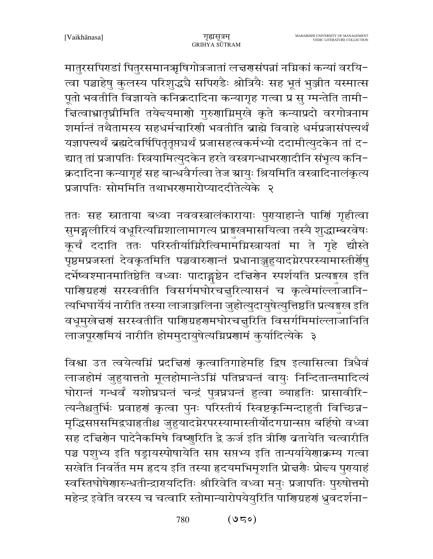मातुरसपिराडां पितुरसमानऋषिगोत्रजातां लच्चरासंपन्नां नम्निकां कन्यां वरयि-त्वा पञ्चाहेषु कुलस्य परिशुद्धचै सपिर्ग्डैः श्रोत्रियैः सह भूतं भुञ्जीत यस्मात्स पूतो भवतीति विज्ञायते कनिक्रदादिना कन्यागृह गत्वा प्र सु ग्मन्तेति तामी-चित्वाभ्रातृघ्नीमिति तयेन्दयमाणो गुरुणाग्निमुखे कृते कन्याप्रदो वरगोत्रनाम शर्मान्तं तथैतामस्य सहधर्मचारिणी भवतीति ब्राह्मे विवाहे धर्मप्रजासंपत्त्यर्थं यज्ञापत्त्यर्थं ब्रह्मदेवर्षिपितृतृप्तचर्थं प्रजासहत्वकर्मभ्यो ददामीत्युदकेन तां द-द्यात् तां प्रजापतिः स्त्रियामित्युदकेन हरते वस्त्रगन्धाभरणादीनि संभृत्य कनि-क्रदादिना कन्यागृहं सह बान्धवैर्गत्वा तेज स्रायुः श्रियमिति वस्त्रादिनालंकृत्य प्रजापतिः सोममिति तथाभरगमारोप्याददीतेत्येके २

ततः सह स्नाताया बध्वा नववस्त्रालंकारायाः पुरयाहान्ते पार्णि गृहीत्वा सुमङ्गलीरियं वधूरित्यग्निशालामागत्य प्राङ्गखमासयित्वा तस्यै शुद्धाम्बरवेषः कूर्चं ददाति ततः परिस्तीर्याग्निरैत्विमामग्निस्त्रायतां मा ते गृहे द्यौस्ते पृष्ठमप्रजस्तां देवकृतमिति पञ्चवारुणान्तं प्रधानाञ्जुहुयादग्नेरपरस्यामास्तीर्णेषु दर्भेष्वश्मानमातिष्ठेति वध्वाः पादाङ्गष्ठेन दचिरणेन स्पर्शयति प्रत्यङ्गख इति पारिणग्रहणं सरस्वतीति विसर्गमघोरचनुरित्यासनं च कृत्वेमांल्लाजानि-त्यभिघार्यैयं नारीति तस्या लाजाञ्जलिना जुहोत्युदायुषेत्युत्तिष्ठति प्रत्यङ्गख इति वधूमुखेत्तरणं सरस्वतीति पाणिग्रहणमघोरचत्तूरिति विसर्गमिमांल्लाजानिति लाजपूरणमियं नारीति होममुदायुषेत्यग्निप्रणामं कुर्यादित्येके ३

विश्वा उत त्वयेत्यम्निं प्रदच्चिणं कृत्वातिगाहेमहि द्विष इत्यासित्वा त्रिधैवं लाजहोमं जुहुयात्ततो मूलहोमान्तेऽग्निं पतिघ्नचन्तं वायुः निन्दितान्तमादित्यं घोरान्तं गन्धर्वं यशोघ्रचन्तं चन्द्रं पुत्रघ्नचन्तं हुत्वा व्याहतिः प्रासावीरि-त्यन्तैश्चतुर्भिः प्रवाहरां कृत्वा पुनः परिस्तीर्य स्विष्टकृन्मिन्दाहुती विच्छिन्न-मृद्धिसप्तसमिद्र्याहृतीश्च जुहुयादग्नेरपरस्यामास्तीर्योदगग्रान्सप्त बर्हिषो वध्वा सह दच्चिरोन पादेनैकमिषे विष्णुरिति द्वे ऊर्ज इति त्रीणि ब्रतायेति चत्वारीति पञ्च पशुभ्य इति षड्रायस्पोषायेति सप्त सप्तभ्य इति तान्पर्यायेणाक्रम्य गत्वा सखेति निवर्तेत मम हृदय इति तस्या हृदयमभिमृशति प्रोत्तर्यैः प्रोन्दय पुरायाहं स्वस्तिघोषेणारुन्धतीन्द्रारपयदितिः श्रीरिवेति वध्वा मनुः प्रजापतिः पुरुषोत्तमो महेन्द्र इवेति वरस्य च चत्वारि स्तोमान्यारोपयेयुरिति पाणिग्रहणं ध्रुवदर्शना-

> $(950)$ 780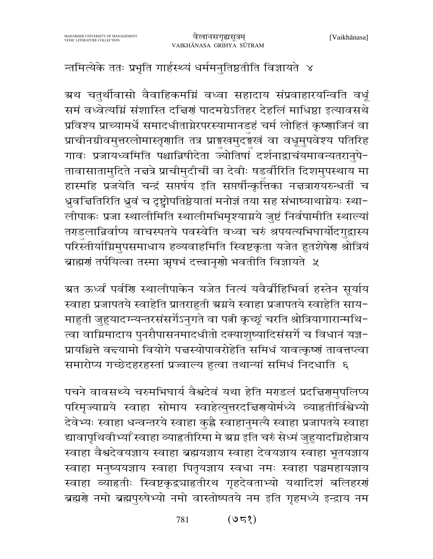#### न्तमित्येके ततः प्रभृति गार्हस्थ्यं धर्ममनुतिष्ठतीति विज्ञायते ४

ग्रथ चतुर्थीवासो वैवाहिकमग्निं वध्वा सहादाय संप्रवाहारयन्विति वधूं समं वध्वेत्यग्निं संशास्ति दच्चिणं पादमग्रेऽतिहर देहलिं माधिष्ठा इत्यावसथे प्रविश्य प्राच्यामर्धे समादधीताग्नेरपरस्यामानडहं चर्म लोहितं कृष्णाजिनं वा प्राचीनग्रीवमुत्तरलोमास्तृणाति तत्र प्राङ्गखमुदङ्गस्वं वा वधूमुपवेश्य पतिरिह गावः प्रजायध्वमिति पश्चान्निषीदेता ज्योतिषां दर्शनाद्वाचंयमावन्यतरानुपे-तावासातामुदिते नच्चत्रे प्राचीमुदीचीं वा देवीः षडर्वीरिति दिशमुपस्थाय मा हास्महि प्रजयेति चन्द्रं सप्तर्षय इति सप्तर्षीन्कृत्तिका नच्चत्रारायरुन्धतीं च ध्रुवचितिरिति ध्रुवं च दृष्ट्वोपतिष्ठेयातां मनोज्ञं तया सह संभाष्याथाग्नेयः स्था-लीपाकः प्रजा स्थालीमिति स्थालीमभिमृश्याग्नये जुष्टं निर्वपामीति स्थाल्यां तराडलान्निर्वाप्य वाचस्पतये पवस्वेति वध्वा चरुं श्रपयत्यभिघार्योदगुद्वास्य परिस्तीर्याग्निमुपसमाधाय हव्यवाहमिति स्विष्टकृता यजेत हुतशेषेण श्रोत्रियं ब्राह्मणं तर्पयित्वा तस्मा ऋषभं दत्त्वानृणो भवतीति विज्ञायते ५

ग्रत ऊर्ध्वं पर्वणि स्थालीपाकेन यजेत नित्यं यवैर्वाहिभिर्वा हस्तेन सूर्याय स्वाहा प्रजापतये स्वाहेति प्रातराहुती ग्रग्नये स्वाहा प्रजापतये स्वाहेति साय-माहुती जुहुयादग्न्यन्तरसंसर्गेऽनुगते वा पत्नी कृच्छूं चरति श्रोत्रियागारान्मथि-त्वा वाग्निमादाय पुनरौपासनमादधीतो दक्याशुष्यादिसंसर्गे च विधानं यज्ञ-प्रायश्चित्ते वद्त्यामो वियोगे पद्मस्योपावरोहेति समिधं यावत्कृष्णं तावत्तप्त्वा समारोप्य गच्छेदहरहस्तां प्रज्वाल्य हुत्वा तथान्यां समिधं निदधाति ६

पचने वावसथ्ये चरुमभिघार्य वैश्वदेवं यथा हेति मराडलं प्रदत्तिरामुपलिप्य परिमृज्याग्नये स्वाहा सोमाय स्वाहेत्युत्तरदत्तिरायोर्मध्ये व्याहतीर्विश्वेभ्यो देवेभ्यः स्वाहा धन्वन्तरये स्वाहा कुह्नै स्वाहानुमत्यै स्वाहा प्रजापतये स्वाहा द्यावापृथिवीभ्याँ स्वाहा व्याहतीरिमा मे ग्रग्न इति चरुं सेध्मं जुहुयादग्निहोत्राय स्वाहा वैश्वदेवयज्ञाय स्वाहा ब्रह्मयज्ञाय स्वाहा देवयज्ञाय स्वाहा भूतयज्ञाय स्वाहा मनुष्ययज्ञाय स्वाहा पितृयज्ञाय स्वधा नमः स्वाहा पञ्चमहायज्ञाय स्वाहा व्याहतीः स्विष्टकृद्व्याहतीरथ गृहदेवताभ्यो यथादिशं बलिहरणं ब्रह्मणे नमो ब्रह्मपुरुषेभ्यो नमो वास्तोष्पतये नम इति गृहमध्ये इन्द्राय नम

> $(95$ १) 781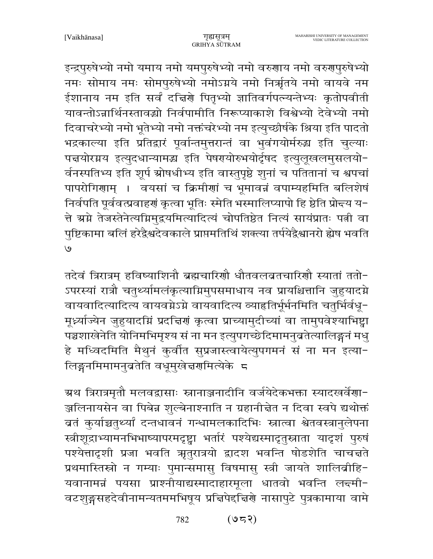इन्द्रपुरुषेभ्यो नमो यमाय नमो यमपुरुषेभ्यो नमो वरुणाय नमो वरुगुपुरुषेभ्यो नमः सोमाय नमः सोमपुरुषेभ्यो नमोऽग्नये नमो निर्ऋतये नमो वायवे नम ईशानाय नम इति सर्वं दच्चिणे पितृभ्यो ज्ञातिवर्गपत्न्यन्तेभ्यः कृतोपवीती यावन्तोऽन्नार्थिनस्तावद्यो निर्वपामीति निरूप्याकाशे विश्वेभ्यो देवेभ्यो नमो दिवाचरेभ्यो नमो भूतेभ्यो नमो नक्तंचरेभ्यो नम इत्युच्छीर्षके श्रिया इति पादतो भद्रकाल्या इति प्रतिद्वारं पूर्वान्तमुत्तरान्तं वा भुवंगयोर्मरुद्ध इति चुल्याः पत्तयोरग्नय इत्युदधान्यामद्ध इति पेषरयोरुभयोर्दृषद इत्युलुखलमुसलयो-र्वनस्पतिभ्य इति शूर्प स्रोषधीभ्य इति वास्तुपृष्ठे शुनां च पतितानां च श्वपचां पापरोगिणाम् । वयसां च क्रिमीणां च भूमावन्नं वपाम्यहमिति बलिशेषं निर्वपति पूर्ववत्प्रवाहणं कृत्वा भूतिः स्मेति भस्मालिप्यापो हि ष्ठेति प्रोन्न्य य-त्ते ग्रग्ने तेजस्तेनेत्यग्निमुद्रयमित्यादित्यं चोपतिष्ठेत नित्यं सायंप्रातः पत्नी वा पुष्टिकामा बलिं हरेद्वैश्वदेवकाले प्राप्तमतिथिं शक्त्या तर्पयेद्वैश्वानरो ह्येष भवति  $\overline{e}$ 

तदेवं त्रिरात्रम् हविष्याशिनौ ब्रह्मचारिणौ धौतवलव्रतचारिणौ स्यातां ततो-ऽपरस्यां रात्रौ चतुर्थ्यामलंकृत्याग्निमुपसमाधाय नव प्रायश्चित्तानि जुहुयादग्ने वायवादित्यादित्य वायवग्नेऽग्ने वायवादित्य व्याहृतिर्भूर्भनमिति चतुर्भिर्वधू-मूर्ध्याज्येन जुहुयादग्निं प्रदत्तिरां कृत्वा प्राच्यामुदीच्यां वा तामुपवेश्याभिष्ट्वा पञ्चशाखेनेति योनिमभिमृश्य सं ना मन इत्युपगच्छेदिमामनुब्रतेत्यालिङ्गनं मधु हे मध्विदमिति मैथुनं कुर्वीत सुप्रजास्त्वायेत्युपगमनं सं ना मन इत्या-लिङ्गनमिमामनुब्रतेति वधूमुखेत्तरणमित्येके ८

ग्रथ त्रिरात्रमृतौ मलवद्वासाः स्नानाञ्जनादीनि वर्जयेदेकभक्ता स्यादखर्वेणा-ञ्जलिनायसेन वा पिबेन्न शुल्बेनाश्नाति न ग्रहानीचेत न दिवा स्वपे द्यथोक्तं बतं कुर्याच्चतुर्थ्यां दन्तधावनं गन्धामलकादिभिः स्नात्वा श्वेतवस्त्रानुलेपना स्त्रीशूद्राभ्यामनभिभाष्यापरमदृष्ट्वा भर्तारं पश्येद्यस्मादृतुस्नाता यादृशं पुरुषं पश्येत्तादृशी प्रजा भवति ऋतुरात्रयो द्वादश भवन्ति षोडशेति चाचन्तते प्रथमास्तिस्रो न गम्याः पुमान्समासु विषमासु स्त्री जायते शालिव्रीहि-यवानामन्नं पयसा प्राश्नीयाद्यस्मादाहारमूला धातवो भवन्ति ल<del>द</del>मी-वटशुङ्गसहदेवीनामन्यतममभिषूय प्रत्तिपेद्द्विणे नासापुटे पुत्रकामाया वामे

> $(953)$ 782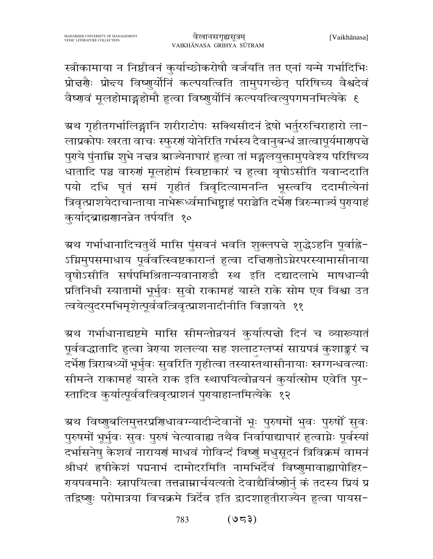स्त्रीकामाया न निष्ठीवनं कुर्याच्छोकरोषौ वर्जयति तत एनां यन्मे गर्भादिभिः प्रोन्नगैः प्रोन्त्य विष्णुर्योनिं कल्पयत्विति तामुपगच्छेत् परिषिच्य वैश्वदेवं वैष्णवं मूलहोमाङ्गहोमौ हुत्वा विष्णुर्योनिं कल्पयत्वित्युपगमनमित्येके ६

ग्रथ गृहीतगर्भालिङ्गानि शरीराटोपः सक्थिसीदनं द्वेषो भर्तुररुचिराहारो ला− लाप्रकोपः खरता वाचः स्फुरणं योनेरिति गर्भस्य दैवानुबन्धं ज्ञात्वापूर्यमारण्पत्ते पुराये पुंनाम्नि शुभे नच्चत्र स्राज्येनाघारं हुत्वा तां मङ्गलयुक्तामुपवेश्य परिषिच्य धातादि पञ्च वारुणं मूलहोमं स्विष्टाकारं च हुत्वा वृषोऽसीति यवान्ददाति पयो दधि घृतं समं गृहीतं त्रिवृदित्यामनन्ति भूस्त्वयि ददामीत्येनां त्रिवृत्प्राशयेदाचान्ताया नाभेरूर्ध्वमाभिष्ट्वाहं पराञ्चेति दर्भेण त्रिरुन्मार्ज्य पुरायाहं कुर्याद्ब्राह्मणानन्नेन तर्पयति १०

ग्रथ गर्भाधानादिचतुर्थे मासि पुंसवनं भवति शुक्लपद्मे शुद्धेऽहनि पूर्वाह्ने-ऽग्निमुपसमाधाय पूर्ववत्स्विष्टकारान्तं हुत्वा दच्चिणतोऽग्नेरपरस्यामासीनाया वृषोऽसीति सर्षपमिश्रितान्यवानाराडौ स्थ इति दद्यादलाभे माषधान्यौ प्रतिनिधी स्यातामों भूर्भुवः सुवो राकामहं यास्ते राके सोम एव विश्वा उत त्वयेत्युदरमभिमृशेत्पूर्ववत्त्रिवृत्प्राशनादीनीति विज्ञायते ११

ग्रथ गर्भाधानाद्यष्टमे मासि सीमन्तोन्नयनं कुर्यात्पत्तो दिनं च व्याख्यातं पूर्ववद्धातादि हुत्वा त्रेराया शलल्या सह शलाटग्लप्सं साग्रपत्रं कुशाङ्करं च दर्भेण त्रिराबध्यों भूर्भुवः सुवरिति गृहीत्वा तस्यास्तथासीनायाः स्नग्गन्धवत्याः सीमन्ते राकामहं यास्ते राक इति स्थापयित्वोन्नयनं कुर्यात्सोम एवेति पुर-स्तादिव कुर्यात्पूर्ववत्त्रिवृत्प्राशनं पुरायाहान्तमित्येके १२

ग्रथ विष्णुबलिमुत्तरप्रणिधावग्न्यादीन्देवानों भूः पुरुषमों भुवः पुरुषों सुवः पुरुषमों भूर्भुवः सुवः पुरुषं चेत्यावाह्य तथैव निर्वापाद्याघारं हुत्वाग्नेः पूर्वस्यां दर्भासनेषु केशवं नारायणं माधवं गोविन्दं विष्णुं मधुसूदनं त्रिविक्रमं वामनं श्रीधरं हृषीकेशं पद्मनाभं दामोदरमिति नामभिर्देवं विष्णुमावाह्यापोहिर-रायपवमानैः स्नापयित्वा तत्तन्नाम्नार्चयत्यतो देवाद्यैर्विष्णोर्नु कं तदस्य प्रियं प्र तद्विष्णुः परोमात्रया विचक्रमे त्रिर्देव इति द्वादशाहुतीराज्येन हुत्वा पायस-

> $(953)$ 783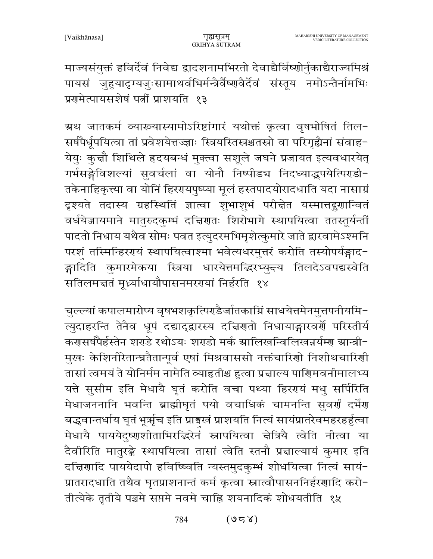माज्यसंयुक्तं हविर्देवं निवेद्य द्वादशनामभिरतो देवाद्यैर्विष्णोर्नुकाद्यैराज्यमिश्रं पायसं जुहुयादृग्यजुःसामाथर्वभिर्मन्त्रैर्वैष्णवैर्देवं संस्तूय नमोऽन्तैर्नामभिः प्रगमेत्पायसशेषं पत्नीं प्राशयति १३

ग्रथ जातकर्म व्याख्यास्यामोऽरिष्टांगारं यथोक्तं कृत्वा वृषभोषितं तिल-सर्षपैर्धूपयित्वा तां प्रवेशयेत्तज्ज्ञाः स्त्रियस्तिस्रश्चतस्रो वा परिगृह्यैनां संवाह-येयुः कुचौ शिथिले हृदयबन्धं मुक्त्वा सशूले जघने प्रजायत इत्यवधारयेत् गर्भसङ्गेविशल्यां सुवर्चलां वा योनौ निष्पीडच निदध्याद्भुपयेत्पिराडी-तकेनाहिकृत्त्या वा योनिं हिररायपुष्प्या मूलं हस्तपादयोरादधाति यदा नासाग्रं दृश्यते तदास्य ग्रहस्थितिं ज्ञात्वा शुभाशुभं परीचेत यस्मात्तद्गुणान्वितं वर्धयेजायमाने मातुरुदकुम्भं दच्चिणतः शिरोभागे स्थापयित्वा ततस्तूर्यन्तीं पादतो निधाय यथैव सोमः पवत इत्युदरमभिमृशेत्कुमारे जाते द्वारवामेऽश्मनि परशं तस्मिन्हिररयं स्थापयित्वाश्मा भवेत्यधरमुत्तरं करोति तस्योपर्यङ्गाद-ङ्गादिति कुमारमेकया स्त्रिया धारयेत्तमद्भिरभ्युन्त्य तिलदेऽवपद्यस्वेति सतिलमत्ततं मूर्ध्न्याधायौपासनमरगयां निर्हरति १४

चुल्ल्यां कपालमारोप्य वृषभशकृत्पिर्एंडेर्जातकाग्निं साधयेत्तमेनमुत्तपनीयमि-त्युदाहरन्ति तेनैव धूपं दद्याद्द्वारस्य दच्चिणतो निधायाङ्गारवर्णे परिस्तीर्य करासर्षपैर्हस्तेन शराडे रथोऽयः शराडो मर्क स्रालिखन्विलिखन्नर्यम्ग स्रान्त्री-मुखः केशिनीरेतान्घ्रतैतान्पूर्व एषां मिश्रवाससो नक्तंचारिणो निशीथचारिणी तासां त्वमयं ते योनिर्मम नामेति व्याहृतीश्च हुत्वा प्रज्ञाल्य पाणिमवनीमालभ्य यत्ते सुसीम इति मेधायै घृतं करोति वचा पथ्या हिरएयं मधु सर्पिरिति मेधाजननानि भवन्ति ब्राह्मीघृतं पयो वचाधिकं चामनन्ति सुवर्णं दर्भेग बद्धवान्तर्धाय घृतं भूर्ऋच इति प्राङ्गखं प्राशयति नित्यं सायंप्रातरेवमहरहर्हुत्वा मेधायै पाययेदुष्णशीताभिरद्धिरेनं स्नापयित्वा चेत्रियै त्वेति नीत्वा या दैवीरिति मातुरङ्के स्थापयित्वा तासां त्वेति स्तनौ प्रचाल्यायं कुमार इति दच्चिणादि पाययेदापो हविष्ष्विति न्यस्तमुदकुम्भं शोधयित्वा नित्यं सायं-प्रातरादधाति तथैव घृतप्राशनान्तं कर्म कृत्वा स्नात्वौपासननिर्हरणादि करो-तीत्येके तृतीये पञ्चमे सप्तमे नवमे चाह्नि शयनादिकं शोधयतीति १५

> $(858)$ 784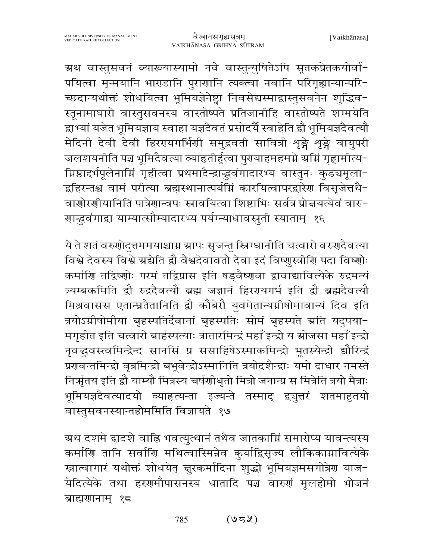ग्रथ वास्तुसवनं व्याख्यास्यामो नवे वास्तुन्युषितेऽपि सूतकप्रेतकयोर्वा-पयित्वा मृन्मयानि भाराडानि पुरार्णानि त्यक्त्वा नवानि परिगृह्यान्यान्परि-च्छदान्यथोक्तं शोधयित्वा भूमियज्ञेनेष्ट्वा निवसेद्यस्माद्वास्तुसवनेन शुद्धिव-स्तूनामाघारो वास्तुसवनस्य वास्तोष्पते प्रतिजानीहि वास्तोष्पते शग्मयेति द्वाभ्यां यजेत भूमियज्ञाय स्वाहा यज्ञदैवतं प्रसोदर्यै स्वाहेति द्वौ भूमियज्ञदैवत्यौ मेदिनी देवी देवी हिररयार्गर्भिणी समुद्रवती सावित्री शृङ्गे शृङ्गे वायुपरी जलशयनीति पञ्च भूमिदैवत्या व्याहृतीर्हुत्वा पुरायाहमहमग्ने स्रग्निं गृह्णामीत्य-ग्निष्ठाद्दर्भपूलेनाम्निं गृहीत्वा प्रथमादैन्द्राद्धवंगादारभ्य वास्तुनः कुडचमूला− द्वहिरन्तश्च वामं परीत्या ब्रह्मस्थानात्पर्यम्निं कारयित्वापरद्वारेण विसृजेत्तथै− वाणोरणीयानिति पात्रेणान्वपः स्नावयित्वा शिष्टाभिः सर्वत्र प्रोत्तयत्येवं वारु-गाद्धवंगाद्रा याम्यात्सौम्यादारभ्य पर्यग्न्याधावस्तूती स्याताम् १६

ये ते शतं वरुणोदुत्तममयाश्चाग्न ग्रापः सृजन्तु स्त्रिग्धानीति चत्वारो वरुणदैवत्या विश्वे देवस्य विश्वे ग्रद्येति द्वौ वैश्वदेवावतो देवा इदं विष्णुस्त्रीणि पदा विष्णोः कर्माणि तद्विष्णोः परमं तद्विप्रास इति षड़वैष्णवा द्वावाद्यावित्येके रुद्रमन्यं त्र्यम्बकमिति द्वौ रुद्रदैवत्यौ ब्रह्म जज्ञानं हिररयगर्भ इति द्वौ ब्रह्मदैवत्यौ मिश्रवासस एतान्घ्रतैतानिति द्रौ कौबेरौ युवमेतान्यग्नीषोमावान्यं दिव इति त्रयोऽग्नीषोमीया बृहस्पतिर्देवानां बृहस्पतिः सोमं बृहस्पते ग्रति यदुपया-मगृहीत इति चत्वारो बार्हस्पत्याः त्रातारमिन्द्रं महाँ इन्द्रो य स्रोजसा महाँ इन्द्रो नृवद्धवस्त्वमिन्द्रेन्द सानसिं प्र ससाहिषेऽस्माकमिन्द्रो भूतस्येन्द्रो द्यौरिन्द्रं प्रणवन्तमिन्द्रो वृत्रमिन्द्रो बभूवेन्द्रोऽस्मानिति त्रयोदशैन्द्राः यमो दाधार नमस्ते निर्ऋातय इति द्वौ याम्यौ मित्रस्य चर्षणीधृतो मित्रो जनान्प्र स मित्रेति त्रयो मैत्राः भूमियज्ञदैवत्यादयो व्याहृत्यन्ता इज्यन्ते तस्माद् द्र्युत्तरं शतमाहुतयो वास्तुसवनस्यान्तहोममिति विज्ञायते १७

ग्र्रथ दशमे द्वादशे वाह्नि भवत्युत्थानं तथैव जातकाग्निं समारोप्य यावन्त्यस्य कर्माणि तानि सर्वाणि मथित्वास्मिन्नेव कुर्याद्विसृज्य लौकिकाग्नावित्येके स्नात्वागारं यथोक्तं शोधयेत् ज़ुरकर्मादिना शुद्धो भूमियज्ञमसगोत्रेण याज-येदित्येके तथा हरगमौपासनस्य धातादि पञ्च वारुगं मूलहोमो भोजनं ब्राह्मणानाम् १८

> $(95\%)$ 785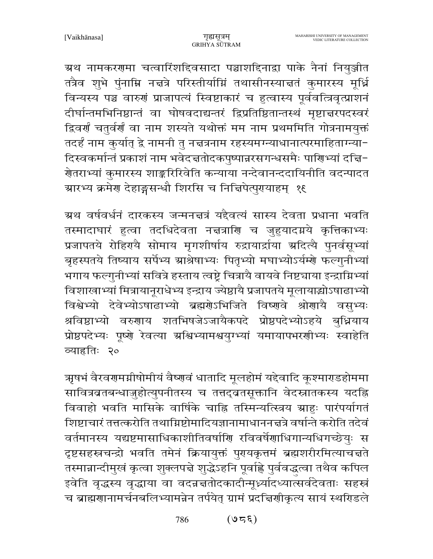ग्रथ नामकरणमा चत्वारिंशद्दिवसादा पञ्चाशद्दिनाद्वा पाके नैनां नियुञ्जीत तत्रैव शुभे पुंनाम्नि नचत्रे परिस्तीर्याम्निं तथासीनस्याचतं कुमारस्य मूर्ध्नि विन्यस्य पञ्च वारुणं प्राजापत्यं स्विष्टाकारं च हुत्वास्य पूर्ववत्त्रिवृत्प्राशनं दीर्घान्तमभिनिष्ठान्तं वा घोषवदाद्यन्तरं द्विप्रतिष्ठितान्तस्थं मृष्टाच्चरपदस्वरं द्विवर्णं चतुर्वर्णं वा नाम शस्यते यथोक्तं मम नाम प्रथममिति गोत्रनामयुक्तं तदर्हं नाम कुर्यात् द्वे नामनी तु नच्चत्रनाम रहस्यमग्न्याधानात्परमाहिताग्न्या-दिस्वकर्मान्तं प्रकाशं नाम भवेदचतोदकपुष्पान्नरसगन्धसमैः पाणिभ्यां दचि-गेतराभ्यां कुमारस्य शाङ्करिरिवेति कन्याया नन्देवानन्ददायिनीति वदन्पादत ग्रारभ्य क्रमेण देहाङ्गसन्धौ शिरसि च निचिपेत्पुरायाहम् १६

ग्रथ वर्षवर्धनं दारकस्य जन्मनत्तत्रं यद्दैवत्यं सास्य देवता प्रधाना भवति तस्मादाघारं हुत्वा तदधिदेवता नच्चत्राणि च जुहुयादग्नये कृत्तिकाभ्यः प्रजापतये रोहिरायै सोमाय मृगशीर्षाय रुद्रायार्द्राया अदित्यै पुनर्वसूभ्यां बृहस्पतये तिष्याय सर्पेभ्य ग्राश्रेषाभ्यः पितृभ्यो मघाभ्योऽर्यम्शे फल्गुनीभ्यां भगाय फल्गुनीभ्यां सवित्रे हस्ताय त्वष्ट्रे चित्रायै वायवे निष्ट्याया इन्द्राम्निभ्यां विशाखाभ्यां मित्रायानूराधेभ्य इन्द्राय ज्येष्ठायै प्रजापतये मूलायाद्योऽषाढाभ्यो विश्वेभ्यो देवेभ्योऽषाढाभ्यो ब्रह्मणेऽभिजिते विष्णवे श्रोणायै वसुभ्यः श्रविष्ठाभ्यो वरुणाय शतभिषजेऽजायैकपदे प्रोष्ठपदेभ्योऽहये बुध्नियाय प्रोष्ठपदेभ्यः पूष्णे रेवत्या अश्विभ्यामश्वयुग्भ्यां यमायापभरणीभ्यः स्वाहेति व्याहृतिः २०

ऋषभं वैरवरणमग्नीषोमीयं वैष्णवं धातादि मूलहोमं यद्देवादि कूश्माराडहोममा सावित्रबतबन्धाजुहोत्युपनीतस्य च तत्तद्वतसूक्तानि वेदस्नातकस्य यदह्नि विवाहो भवति मासिके वार्षिके चाह्नि तस्मिन्यत्स्त्रिय ग्राहः पारंपर्यागतं शिष्टाचारं तत्तत्करोति तथाग्निष्टोमादियज्ञानामाधाननज्ञत्रे वर्षान्ते करोति तदेवं वर्तमानस्य यद्यष्टमासाधिकाशीतिवर्षाणि रविवर्षेणाधिगान्यधिगच्छेयुः स दृष्टसहस्रचन्द्रो भवति तमेनं क्रियायुक्तं पुरायकृत्तमं ब्रह्मशरीरमित्याचत्तते तस्मान्नान्दीमुखं कृत्वा शुक्लपन्ने शुद्धेऽहनि पूर्वाह्ले पुर्ववद्धत्वा तथैव कपिल इवेति वृद्धस्य वृद्धाया वा वदन्नत्ततोदकादीन्मूर्ध्यादध्यात्सर्वदेवताः सहस्रं च ब्राह्मणानामर्चनबलिभ्यामन्नेन तर्पयेत् ग्रामं प्रदत्तिणीकृत्य सायं स्थरिडले

> $(350)$ 786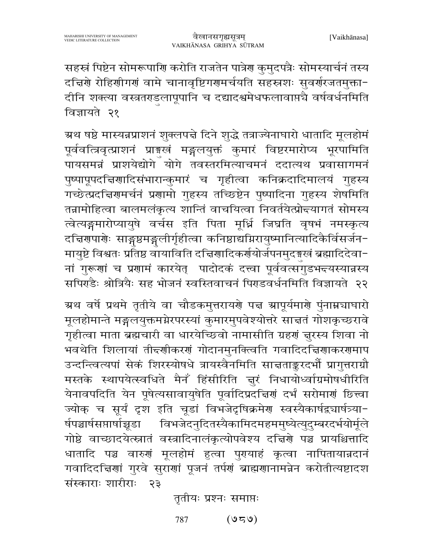सहस्रं पिष्टेन सोमरूपाणि करोति राजतेन पात्रेण कुमुदपत्रैः सोमस्यार्चनं तस्य दचिरणे रोहिणीगणं वामे चानावृष्टिगणमर्चयति सहस्रशः सुवर्णरजतमुक्ता-दीनि शक्त्या वस्त्रतगडलापूपानि च दद्यादश्वमेधफलावाप्तचै वर्षवर्धनमिति विज्ञायते २१

ग्रथ षष्ठे मास्यन्नप्राशनं शुक्लपद्मे दिने शुद्धे तत्राज्येनाघारो धातादि मूलहोमं पूर्ववत्त्रिवृत्प्राशनं प्राङ्ग्खं मङ्गलयुक्तं कुमारं विष्टरमारोप्य भूरपामिति ्<br>पायसमन्नं प्राशयेद्योगे योगे तवस्तरमित्याचमनं ददात्यथ प्रवासागमनं पुष्पापूपदच्चिणादिसंभारान्कुमारं च गृहीत्वा कनिक्रदादिमालयं गुहस्य गच्छेत्प्रदत्तिरामर्चनं प्रगामो गुहस्य तच्छिष्टेन पुष्पादिना गुहस्य शेषमिति तन्नामोहित्वा बालमलंकृत्य शान्तिं वाचयित्वा निवर्तयेत्प्रोन्दयागतं सोमस्य त्वेत्यङ्गमारोप्यायुषे वर्चस इति पिता मूर्ध्नि जिघ्रति वृषभं नमस्कृत्य दचिरणारणेः साङ्गष्ठमङ्गलीर्गृहीत्वा कनिष्ठाद्यग्निरायुष्मानित्यादिकैर्विसर्जन-मायुष्टे विश्वतः प्रतिष्ठ वायाविति दचिगादिकर्णयोर्जपनमुदङ्गखं ब्रह्मादिदेवा− नां गुरूणां च प्रणामं कारयेत् पादोदकं दत्त्वा पूर्ववत्सगुडभद्त्यस्यान्नस्य सपिर्ग्डैः श्रोत्रियैः सह भोजनं स्वस्तिवाचनं पिराडवर्धनमिति विज्ञायते २२

ग्रथ वर्षे प्रथमे तृतीये वा चौडकमुत्तरायणे पद्म स्रापूर्यमाणे पुंनाम्नचाघारो मूलहोमान्ते मङ्गलयुक्तमग्नेरपरस्यां कुमारमुपवेश्योत्तरे साचतं गोशकृच्छरावे गृहीत्वा माता ब्रह्मचारी वा धारयेच्छिवो नामासीति ग्रहणं चुरस्य शिवा नो भवथेति शिलायां तीद्दर्णीकरणं गोदानमुनक्त्विति गवादिदच्चिणाकरणमाप उन्दन्त्वित्यपां सेकं शिरस्योषधे त्रायस्वैनमिति साचताङ्करदर्भो प्रागुत्तराग्रौ मस्तके स्थापयेत्स्वधिते मैनँ हिंसीरिति न्नूरं निधायोध्वांग्रमोषधीरिति येनावपदिति येन पूषेत्यसावायुषेति पूर्वादिप्रदच्चिणं दर्भं सरोमाणं छित्त्वा ज्योक् च सूर्यं दृश इति चूडां विभजेदृषिक्रमेण स्वस्यैकार्षद्व्यार्षत्र्या-र्षपञ्चार्षसप्तार्षाच्चूडा विभजेदनुदितस्यैकामिदमहममुष्येत्युदुम्बरदर्भयोर्मूले गोष्ठे वाच्छादयेत्स्नातं वस्त्रादिनालंकृत्योपवेश्य दत्तिशे पञ्च प्रायश्चित्तादि धातादि पञ्च वारुणं मूलहोमं हुत्वा पुरयाहं कृत्वा नापितायान्नदानं गवादिदचिणां गुरवे सुराणां पूजनं तर्पणं ब्राह्मणानामन्नेन करोतीत्यष्टादश संस्काराः शारीराः २३

तृतीयः प्रश्नः समाप्तः

 $(050)$ 787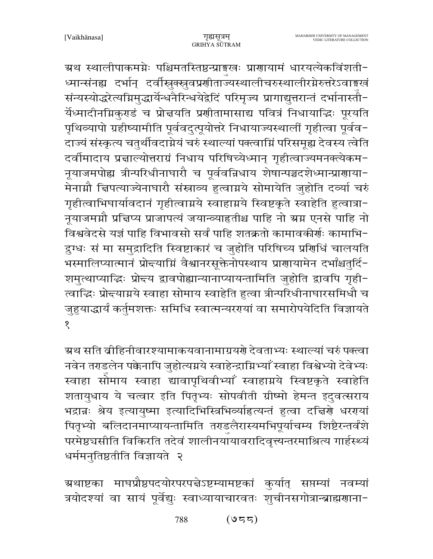ग्रथ स्थालीपाकमग्नेः पश्चिमतस्तिष्ठन्प्राङ्गखः प्राणायामं धारयत्येकविंशती-ध्मान्संनह्य दर्भान् दर्वीस्नुक्स्नुवप्रणीताज्यस्थालीचरुस्थालीरग्नेरुत्तरेऽवाङ्गखं संन्यस्योद्धरेत्यग्निमुद्धार्येन्धनैरिन्धयेद्वेदिं परिमृज्य प्रागाद्युत्तरान्तं दर्भानास्ती-र्येध्मादीनमिकुराडं च प्रोत्तयति प्रशीतामासाद्य पवित्रं निधायाद्धिः पूरयति पृथिव्यापो ग्रहीष्यामीति पूर्ववदुत्पूयोत्तरे निधायाज्यस्थालीं गृहीत्वा पूर्वव-दाज्यं संस्कृत्य चतुर्थीवदाग्नेयं चरुं स्थाल्यां पक्त्वाग्निं परिसमूह्य देवस्य त्वेति दर्वीमादाय प्रज्ञाल्योत्तराग्रं निधाय परिषिच्येध्मान् गृहीत्वाज्यमनक्त्येकम-नूयाजमपोह्य त्रीन्परिधीनाघारौ च पूर्ववन्निधाय शेषान्पञ्चदशेध्मान्प्राणाया-मेनाग्नौ चिपत्याज्येनाघारौ संस्राव्य हुत्वाग्नये सोमायेति जुहोति दव्या चरुं गृहीत्वाभिघार्यावदानं गृहीत्वाग्नये स्वाहाग्नये स्विष्टकृते स्वाहेति हुत्वात्रा-नूयाजमग्नौ प्रत्तिप्य प्राजापत्यं जयान्व्याहृतीश्च पाहि नो ग्रग्न एनसे पाहि नो विश्ववेदसे यज्ञं पाहि विभावसो सर्वं पाहि शतक्रतो कामावकीर्णः कामाभि-द्रुग्धः सं मा समुद्रादिति स्विष्टाकारं च जुहोति परिषिच्य प्रशिधिं चालयति भस्मालिप्यात्मानं प्रोद्त्याग्निं वैश्वानरसूक्तेनोपस्थाय प्राणायामेन दर्भांश्चतुर्दि-शमुत्थाप्याद्धिः प्रोद्तय द्वावपोह्यान्यानाप्यायन्तामिति जुहोति द्वावपि गृही-त्वाद्धिः प्रोद्त्याग्नये स्वाहा सोमाय स्वाहेति हुत्वा त्रीन्परिधीनाघारसमिधौ च जुहुयाद्धार्यं कर्तुमशक्तः समिधि स्वात्मन्यरगयां वा समारोपयेदिति विज्ञायते  $\overline{\mathbf{S}}$ 

ग्र्रथ सति व्रीहिनीवारश्यामाकयवानामाग्रयणे देवताभ्यः स्थाल्यां चरुं पक्त्वा नवेन तराडलेन पक्केनापि जुहोत्यग्नये स्वाहेन्द्राग्निभ्याँ स्वाहा विश्वेभ्यो देवेभ्यः स्वाहा सोमाय स्वाहा द्यावापृथिवीभ्याँ स्वाहाग्नये स्विष्टकृते स्वाहेति शतायुधाय ये चत्वार इति पितृभ्यः सोपवीती ग्रीष्मो हेमन्त इदुवत्सराय भद्रान्नः श्रेय इत्यायुष्मा इत्यादिभिस्त्रिभिव्याहित्यन्तं हुत्वा दत्तिशे धररयां पितृभ्यो बलिदानमाप्यायन्तामिति तराडलैरास्यमभिपूर्याचम्य शिष्टैरन्तर्वशे परमेष्ठचसीति विकिरति तदेवं शालीनयाँयावरादिवृत्त्यन्तरमाश्रित्य गार्हस्थ्यं धर्ममनुतिष्ठतीति विज्ञायते २

ग्रथाष्टका माघप्रौष्ठपदयोरपरपद्मेऽष्टम्यामष्टकां कुर्यात् सप्तम्यां नवम्यां त्रयोदश्यां वा सायं पूर्वेद्युः स्वाध्यायाचारवतः शुचीनसगोत्रान्ब्राह्मणाना-

> 788  $(955)$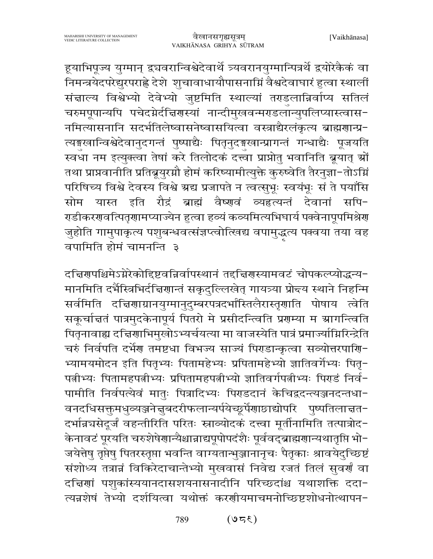हूयाभिपूज्य युग्मान् द्वचवरान्विश्वेदेवार्थे त्र्यवरानयुग्मान्पित्रर्थे द्वयोरेकैकं वा निमन्त्रयेदपरेद्युरपराह्णे देशे शुचावाधायौपासनाग्निं वैश्वदेवाघारं हुत्वा स्थालीं संज्ञाल्य विश्वेभ्यो देवेभ्यो जुष्टमिति स्थाल्यां तराडलान्निर्वाप्य सतिलं चरुमपूपान्यपि पचेदग्नेर्दचििरणस्यां नान्दीमुखवन्मराडलान्युपलिप्यास्त्वास− नमित्यासनानि सदर्भतिलेष्वासनेष्वासयित्वा वस्त्राद्यैरलंकृत्य ब्राह्मणान्प्र-त्यङ्गखान्विश्वेदेवानुदगन्तं पुष्पाद्यैः पितृनुदङ्गखान्प्रागन्तं गन्धाद्यैः पूजयति स्वधा नम इत्युक्त्वा तेषां करे तिलोदकं दत्त्वा प्राप्नोतु भवानिति ब्रूयात् स्रों तथा प्राप्नवानीति प्रतिब्रूयुरग्नौ होमं करिष्यामीत्युक्ते कुरुष्वेति तैरनुज्ञा-तोऽग्नि परिषिच्य विश्वे देवस्य विश्वे ग्रद्य प्रजापते न त्वत्सुभूः स्वयंभूः सं ते पयाँसि सोम यास्त इति रौद्रं ब्राह्मं वैष्णवं व्यहत्यन्तं देवानां सपि-राडीकररावत्पितॄराामप्याज्येन हुत्वा हव्यं कव्यमित्यभिघार्य पक्वेनापूपमिश्रेरा जुहोति गामुपाकृत्य पशुबन्धवत्संज्ञप्त्वोत्खिद्य वपामुद्धत्य पक्वया तया वह वर्षामिति होमं चामनन्ति ३

दच्चिरापश्चिमेऽग्नेरेकोद्दिष्टवन्निर्वापस्थानं तद्दच्चिरास्यामवटं चोपकल्प्योद्धन्य-मानमिति दर्भैस्त्रिभिर्दचिणान्तं सकृदुल्लिखेत् गायत्र्या प्रोन्त्य स्थाने निहन्मि सर्वमिति दच्चिणाग्रानयुग्मानुदुम्बरपत्रदर्भास्तिलैरास्तृणाति पोषाय त्वेति सकूर्चाचतं पात्रमुदकेनापूर्य पितरो मे प्रसीदन्त्विति प्रणम्या म ग्रागन्त्विति पितृनावाह्य दत्तिर्णाभिमुखोऽभ्यर्चयत्या मा वाजस्येति पात्रं प्रमार्ज्यामिरिन्द्रेति चरुं निर्वपति दर्भेश तमष्टधा विभज्य साज्यं पिराडान्कृत्वा सव्योत्तरपाशि-भ्यामयमोदन इति पितृभ्यः पितामहेभ्यः प्रपितामहेभ्यो ज्ञातिवर्गेभ्यः पितृ-पत्नीभ्यः पितामहपत्नीभ्यः प्रपितामहपत्नीभ्यो ज्ञातिवर्गपत्नीभ्यः पिराडं निर्व-पामीति निर्वपत्येवं मातुः पित्रादिभ्यः पिराडदानं केचिद्वदन्त्यञ्जनदन्तधा-वनदधिसक्तुमधुव्यञ्जने त्तुबदरीफलान्यर्पयेच्छूर्पेंगाछाद्योपरि पुष्पतिला त्तत− दर्भान्नचसेदूर्जं वहन्तीरिति परितः स्नाव्योदकं दत्त्वा मूर्तीनामिति तत्पात्रोद-केनावटं पूरयति चरुशेषेणान्यैश्चान्नाद्यपूपोपदंशैः पूर्ववद्ब्राह्मणान्यथातृप्ति भो-जयेत्तेषु तृप्तेषु पितरस्तृप्ता भवन्ति वाग्यतान्भुञ्जानानृचः पैतृकाः श्रावयेदुच्छिष्टं संशोध्य तत्रान्नं विकिरेदाचान्तेभ्यो मुखवासं निवेद्य रजतं तिलं सुवर्णं वा दच्चिणां पशुकांस्ययानदासशयनासनादीनि परिच्छदांश्च यथाशक्ति ददा-त्यन्नशेषं तेभ्यो दर्शयित्वा यथोक्तं करणीयमाचमनोच्छिष्टशोधनोत्थापन-

> $(350)$ 789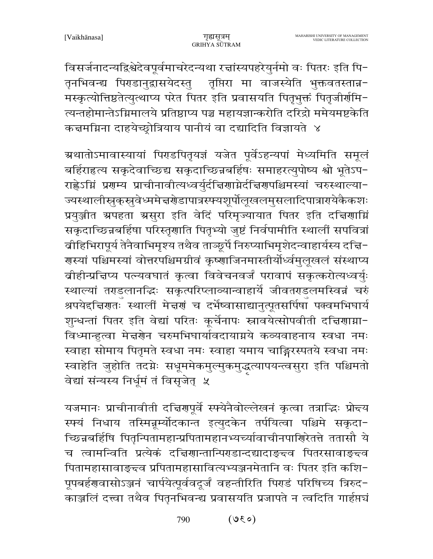विसर्जनादन्यद्विश्वेदेवपूर्वमाचरेदन्यथा रत्तांस्यपहरेयुर्नमो वः पितरः इति पि-तृनभिवन्द्य पिराडानुद्रासयेदस्तु तृप्तिरा मा वाजस्येति भुक्तवतस्तान्न-मस्कृत्योत्तिष्ठतेत्युत्थाप्य परेत पितर इति प्रवासयति पितृभुक्तं पितृजीर्णमि-त्यन्तहोमान्तेऽग्निमालये प्रतिष्ठाप्य पञ्च महायज्ञान्करोति दरिद्रो ममेयमष्टकेति कत्तमग्निना दाहयेच्छ्रोत्रियाय पानीयं वा दद्यादिति विज्ञायते ४

ग्रथातोऽमावास्यायां पिराडपितृयज्ञं यजेत पूर्वेऽहन्यपां मेध्यमिति समूलं बर्हिराहत्य सकृदेवाच्छिद्य सकृदाच्छिन्नबर्हिषः समाहरत्युपोष्य श्वो भूतेऽप-राह्वेऽग्निं प्रगम्य प्राचीनावीत्यध्वर्युर्दच्चिगाग्नेर्दचिगपश्चिमस्यां चरुस्थाल्या-ज्यस्थालीस्रुक् स्रुवेध्ममे न्नग्रेडापात्रस्फ्यशूर्पोलूखलमुसलादिपात्राग्येकैकशः प्रयुञ्जीत अपहता असुरा इति वेदिं परिमृज्यायात पितर इति दचिर्णामि सकृदाच्छिन्नबर्हिषा परिस्तृणाति पितृभ्यो जुष्टं निर्वपामीति स्थालीं सपवित्रां बीहिभिरापूर्य तेनैवाभिमृश्य तथैव ताञ्छूर्पे निरुप्याभिमृशेदन्वाहार्यस्य दचि-गस्यां पश्चिमस्यां वोत्तरपश्चिमग्रीवं कृष्णाजिनमास्तीर्योर्ध्वमुलूखलं संस्थाप्य बीहीन्प्रत्तिप्य पत्न्यवघातं कृत्वा विवेचनवर्जं परावापं सकृत्करोत्यध्वर्युः स्थाल्यां तराडलानद्धिः सकृत्परिप्लाव्यान्वाहार्ये जीवतराडलमस्विन्नं चरुं श्रपयेद्दचिरणाः स्थालीं मेचणं च दर्भेष्वासाद्यानुत्पूतसर्पिषां पक्वमभिघार्य शुन्धन्तां पितर इति वेद्यां परितः कूर्चेनापः स्नावयेत्सोपवीती दच्चिणाग्ना-विध्मान्हुत्वा मेत्तरणेन चरुमभिघार्यावदायाग्नये कव्यवाहनाय स्वधा नमः स्वाहा सोमाय पितृमते स्वधा नमः स्वाहा यमाय चाङ्गिरस्पतये स्वधा नमः स्वाहेति जुहोति तदग्नेः सधूममेकमुल्मुकमुद्धत्यापयन्त्वसुरा इति पश्चिमतो वेद्यां संन्यस्य निर्धूमं तं विसृजेत् ५

यजमानः प्राचीनावीती दचिरणपूर्वे स्फ्येनैवोल्लेखनं कृत्वा तत्राद्धिः प्रोन्दय स्फ्यं निधाय तस्मिन्नूम्योदकान्त इत्युदकेन तर्पयित्वा पश्चिमे सकृदा-च्छिन्नबर्हिषि पितृन्पितामहान्प्रपितामहानभ्यच्यांवाचीनपाशिरेतत्ते ततासौ ये च त्वामन्विति प्रत्येकं दचिरणन्तान्पिराडान्दद्यादाङ्क्व पितरसावाङ्क्व पितामहासावाङ्च्व प्रपितामहासावित्यभ्यञ्जनमेतानि वः पितर इति कशि-पूपबर्हणवासोऽञ्जनं चार्पयेत्पूर्ववदूर्जं वहन्तीरिति पिराडं परिषिच्य त्रिरुद-काञ्जलिं दत्त्वा तथैव पितृनभिवन्द्य प्रवासयति प्रजापते न त्वदिति गार्हप्तचं

> $(030)$ 790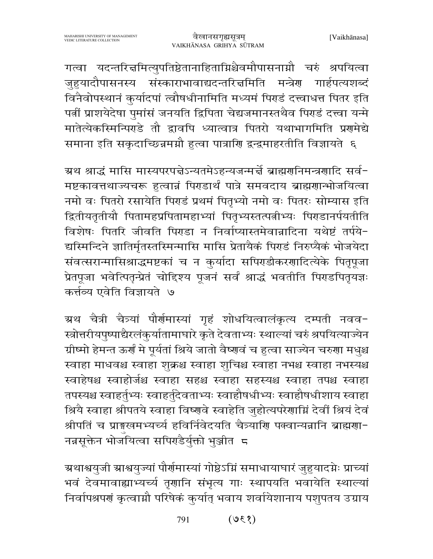गत्वा यदन्तरित्तमित्युपतिष्ठेतानाहिताग्निश्चैवमौपासनाग्नौ चरुं श्रपयित्वा जुहुयादौपासनस्य संस्काराभावाद्यदन्तरित्तमिति मन्त्रेण गार्हपत्यशब्दं विनैवोपस्थानं कुर्यादपां त्वौषधीनामिति मध्यमं पिराडं दत्त्वाधत्त पितर इति पत्नीं प्राशयेदेषा पुमांसं जनयति द्विपिता चेद्यजमानस्तथैव पिराडं दत्त्वा यन्मे मातेत्येकस्मिन्पिएडे तौ द्वावपि ध्यात्वात्र पितरो यथाभागमिति प्रशमेद्ये समाना इति सकुदाच्छिन्नमग्नौ हत्वा पात्राणि द्वन्द्वमाहरतीति विज्ञायते ६

ग्रथ श्राद्धं मासि मास्यपरपद्मेऽन्यतमेऽहन्यजन्मर्द्मे ब्राह्मरानिमन्त्रराादि सर्व− मष्टकावत्तथाज्यचरू हत्वान्नं पिराडार्थं पात्रे समवदाय ब्राह्मगान्भोजयित्वा नमो वः पितरो रसायेति पिराडं प्रथमं पितृभ्यो नमो वः पितरः सोम्यास इति द्वितीयतृतीयौ पितामहप्रपितामहाभ्यां पितृभ्यस्तत्पत्नीभ्यः पिराडानर्पयतीति विशेषः पितरि जीवति पिराडा न निर्वाप्यास्तमेवान्नादिना यथेष्टं तर्पये-द्यस्मिन्दिने ज्ञातिर्मृतस्तस्मिन्मासि मासि प्रेतायैकं पिराडं निरुप्यैकं भोजयेदा संवत्सरान्मासिश्राद्धमष्टकां च न कुर्यादा सपिराडीकरणादित्येके पितृपूजा प्रेतपूजा भवेत्पितृन्प्रेतं चोद्दिश्य पूजनं सर्वं श्राद्धं भवतीति पिराडपितृयज्ञः कर्त्तव्य एवेति विज्ञायते ७

ग्रथ चैत्री चैत्र्यां पौर्णमास्यां गृहं शोधयित्वालंकृत्य दम्पती नवव-स्त्रोत्तरीयपुष्पाद्यैरलंकुर्यातामाघारे कृते देवताभ्यः स्थाल्यां चरुं श्रपयित्याज्येन ग्रीष्मो हेमन्त ऊर्गं मे पूर्यतां श्रिये जातो वैष्णवं च हुत्वा साज्येन चरुगा मधुश्च स्वाहा माधवश्च स्वाहा शुक्रश्च स्वाहा शुचिश्च स्वाहा नभश्च स्वाहा नभस्यश्च स्वाहेषश्च स्वाहोर्जश्च स्वाहा सहश्च स्वाहा सहस्यश्च स्वाहा तपश्च स्वाहा तपस्यश्च स्वाहर्तुभ्यः स्वाहर्तुदेवताभ्यः स्वाहौषधीभ्यः स्वाहौषधीशाय स्वाहा श्रियै स्वाहा श्रीपतये स्वाहा विष्णवे स्वाहेति जुहोत्यपरेणाम्निं देवीं श्रियं देवं श्रीपतिं च प्राङ्मखमभ्यर्च्य हविर्निवेदयति चैत्र्याणि पक्वान्यन्नानि ब्राह्मणा-नन्नसूक्तेन भोजॅयित्वा सपिराडैर्युक्तो भुञ्जीत म

ग्रथाश्वयुजी ग्राश्वयुज्यां पौर्णमास्यां गोष्ठेऽग्निं समाधायाघारं जुहुयादग्नेः प्राच्यां भवं देवमावाह्याभ्यर्च्य तृणानि संभृत्य गाः स्थापयति भवायेति स्थाल्यां निर्वापश्रपणं कृत्वाम्नौ परिषेकं कुर्यात् भवाय शर्वायेशानाय पशुपतय उग्राय

> $(930)$ 791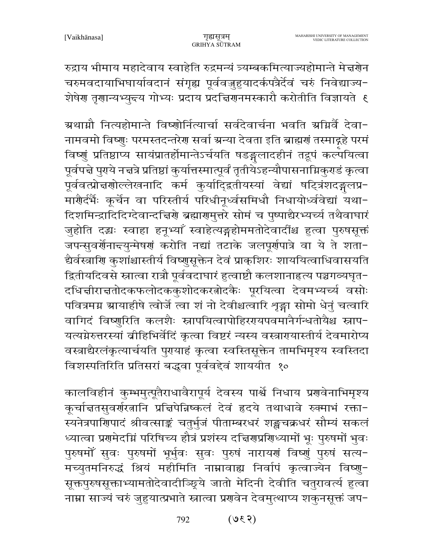रुद्राय भीमाय महादेवाय स्वाहेति रुद्रमन्यं त्र्यम्बकमित्याज्यहोमान्ते मेज्ञग्रेन चरुमवदायाभिघार्यावदानं संगृह्य पूर्ववज़ुहुयादर्कपत्रैर्देवं चरुं निवेद्याज्य-शेषेण तृणान्यभ्युन्त्य गोभ्यः प्रदाय प्रदत्तिणनमस्कारौ करोतीति विज्ञायते १

ग्रथाग्नौ नित्यहोमान्ते विष्णोर्नित्यार्चा सर्वदेवार्चना भवति ग्रग्निर्वै देवा-नामवमो विष्णुः परमस्तदन्तरेण सर्वा ग्रन्या देवता इति ब्राह्मणं तस्माद्गहे परमं विष्णुं प्रतिष्ठाप्य सायंप्रातर्होमान्तेऽर्चयति षडङ्गलादहीनं तद्रूपं कल्पयित्वा पूर्वपद्मे पुराये नद्मत्रे प्रतिष्ठां कुर्यात्तस्मात्पूर्वं तृतीयेऽहन्यौपासनाग्निकुराडं कृत्वा पूर्ववत्प्रोत्तर्गोल्लेखनादि कर्म कुर्यादिद्वतीयस्यां वेद्यां षट्त्रिंशदङ्गलप्र-मारौर्दर्भैः कूर्चेन वा परिस्तीर्य परिधीनूर्ध्वसमिधौ निधायोर्ध्ववेद्यां यथा-दिशमिन्द्रादिदिग्देवान्दचिरणे ब्रह्मारामुत्तरे सोमं च पुष्पाद्यैरभ्यर्च्य तथैवाघारं जुहोति दद्धः स्वाहा हनूभ्याँ स्वाहेत्यङ्गहोममतोदेवादींश्च हुत्वा पुरुषसूक्तं जपन्सुवर्गेनान्त्युन्मेषणं करोति नद्यां तटाके जलपूर्णपात्रे वा ये ते शता-द्यैर्वस्त्राणि कुशांश्चास्तीर्य विष्णुसूक्तेन देवं प्राक्शिरः शाययित्वाधिवासयति द्वितीयदिवसे स्नात्वा रात्रौ पूर्ववदाघारं हुत्वाष्टौ कलशानाहृत्य पञ्चगव्यघृत− दधिज्ञीराज्ञतोदकफलोदककुशोदकरतोदकैः पूरयित्वा देवमभ्यर्च्य वसोः पवित्रमग्न ग्रायाहीषे त्वोर्जे त्वा शं नो देवीश्चत्वारि शृङ्गा सोमो धेनुं चत्वारि वागिदं विष्णुरिति कलशैः स्नापयित्वापोहिररयपवमानैर्गन्धतोयैश्च स्नाप-यत्यग्रेरुत्तरस्यां व्रीहिभिर्वेदिं कृत्वा विष्टरं न्यस्य वस्त्रारायास्तीर्य देवमारोप्य वस्त्राद्यैरलंकृत्यार्चयति पुरायाहं कृत्वा स्वस्तिसूक्तेन तामभिमृश्य स्वस्तिदा विशस्पतिरिति प्रतिसरां बद्धवा पूर्ववद्देवं शाययीत १०

कालविहीनं कुम्भमुत्पूतैराधावैरापूर्य देवस्य पार्श्वे निधाय प्रगवेनाभिमृश्य कूर्चाचतसुवर्णरत्नानि प्रचिपेन्निष्कलं देवं हृदये तथाधावे रुक्माभं रक्ता-स्यनेत्रपारिणादं श्रीवत्साङ्कं चतुर्भुजं पीताम्बरधरं शङ्खचक्रधरं सौम्यं सकलं ध्यात्वा प्रगमेदग्निं परिषिच्य हौत्रं प्रशंस्य दत्तिगुप्रगिध्यामों भूः पुरुषमों भुवः पुरुषमोँ सुवः पुरुषमों भूर्भुवः सुवः पुरुषं नारायणं विष्णुं पुरुषं सत्य-मच्युतमनिरुद्धं श्रियं महीमिति नाम्नावाह्य निर्वापं कृत्वाज्येन विष्णु-सूक्तपुरुषसूक्ताभ्यामतोदेवादीञ्छ्ये जातो मेदिनी देवीति चतुरावर्त्य हुत्वा नाम्ना साज्यं चरुं जुहुयात्प्रभाते स्नात्वा प्रगवेन देवमुत्थाप्य शकुनसूक्तं जप-

> $(530)$ 792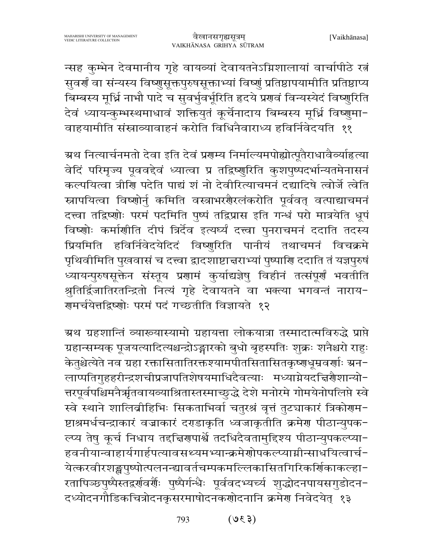न्सह कुम्भेन देवमानीय गृहे वायव्यां देवायतनेऽग्निशालायां वार्चापीठे रत्नं सुवर्णं वा संन्यस्य विष्णुसूक्तपुरुषसूक्ताभ्यां विष्णुं प्रतिष्ठापयामीति प्रतिष्ठाप्य बिम्बस्य मूर्ध्नि नाभौ पादे च सुवर्भुवर्भूरिति हृदये प्रगवं विन्यस्येदं विष्णुरिति देवं ध्यायन्कुम्भस्थमाधावं शक्तियुतं कूर्चेनादाय बिम्बस्य मूर्ध्नि विष्णुमा-वाहयामीति संस्राव्यावाहनं करोति विधिनैवाराध्य हविर्निवेदयति ११

ग्रथ नित्यार्चनमतो देवा इति देवं प्रगम्य निर्माल्यमपोह्योत्पूतैराधावैर्व्याहत्या वेदिं परिमृज्य पूववद्देवं ध्यात्वा प्र तद्विष्णुरिति कुशपुष्पदर्भान्यतमेनासनं कल्पयित्वा त्रीणि पदेति पाद्यं शं नो देवीरित्याचमनं दद्यादिषे त्वोर्जे त्वेति स्नापयित्वा विष्णोर्नु कमिति वस्त्राभरगैरलंकरोति पूर्ववत् वत्पाद्याचमनं दत्त्वा तद्विष्णोः परमं पदमिति पुष्पं तद्विप्रास इति गन्धं परो मात्रयेति धूपं विष्णोः कर्माणीति दीपं त्रिर्देव इत्यर्घ्यं दत्त्वा पुनराचमनं ददाति तदस्य प्रियमिति हविर्निवेदयेदिदं विष्णुरिति पानीयं तथाचमनं विचक्रमे पृथिवीमिति पुखवासं च दत्त्वा द्वादशाष्टाचराभ्यां पुष्पाणि ददाति तं यज्ञपुरुषं ध्यायन्पुरुषसूक्तेन संस्तूय प्रणामं कुर्याद्यज्ञेषु विहीनं तत्संपूर्णं भवतीति श्रुतिर्द्विजातिरतन्द्रितो नित्यं गृहे देवायतने वा भक्त्या भगवन्तं नाराय-गमर्चयेत्तद्विष्णोः परमं पदं गच्छतीति विज्ञायते १२

ग्रथ ग्रहशान्तिं व्याख्यास्यामो ग्रहायत्ता लोकयात्रा तस्मादात्मविरुद्धे प्राप्ते ग्रहान्सम्यक् पूजयत्यादित्यश्चन्द्रोऽङ्गारको बुधो बृहस्पतिः शुक्रः शनैश्चरो राहुः केतुश्चेत्येते नव ग्रहा रक्तासितातिरक्तश्यामपीतसितासितकृष्णधूम्रवर्णाः ग्रन-लाप्पतिगुहहरीन्द्रशचीप्रजापतिशेषयमाधिदैवत्याः मध्याग्नेयदच्चिणैशान्यो-त्तरपूर्वपश्चिमनैर्त्रातवायव्याश्रितास्तस्माच्छुद्धे देशे मनोरमे गोमयेनोपलिप्ते स्वे स्वे स्थाने शालिव्रीहिभिः सिकताभिर्वा चतुरश्रं वृत्तं तुट्याकारं त्रिकोणम-ष्टाश्रमर्धचन्द्राकारं वज्राकारं दराडाकृति ध्वजाकृतीति क्रमेण पीठान्युपक-ल्प्य तेषु कुर्च निधाय तद्दिनगणर्श्वे तदधिदैवतामुद्दिश्य पीठान्युपकल्प्या-हवनीयान्वाहार्यगार्हपत्यावसथ्यमभ्यान्क्रमेणोपकल्प्याग्नीन्साधयित्वार्च-येत्करवीरशङ्कपुष्पोत्पलनन्द्यावर्तचम्पकमल्लिकासितगिरिकर्णिकाकल्हा-रतापिञ्छपुष्पैस्तद्वर्णवर्णैः पुष्पैर्गन्धैः पूर्ववदभ्यर्च्य शुद्धोदनपायसगुडोदन− दध्योदनगौडिकचित्रोदनकृसरमाषोदनकर्णोदनानि क्रमेण निवेदयेत् १३

> $(530)$ 793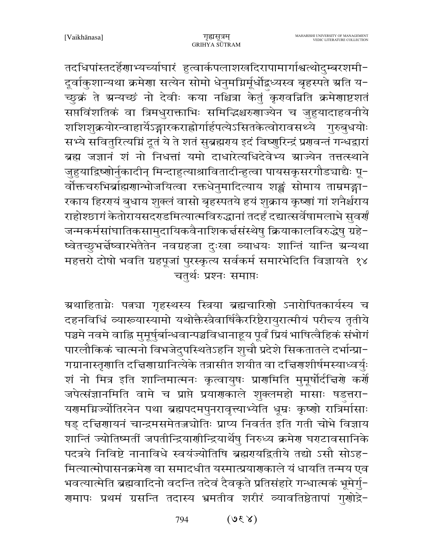तदधिपांस्तदर्हेणाभ्यच्यांघारं हुत्वार्कपलाशखदिरापामार्गाश्वत्थोदुम्बरशमी-दूर्वाकुशान्यथा क्रमेणा सत्येन सोमो धेनुमग्निर्मूर्धोद्वध्यस्व बृहस्पते ग्रति य-\_<br>च्छुक्रं ते ग्रन्यच्छं नो देवीः कया नश्चित्रा केतुं कृरावन्निति क्रमेणाष्टशतं सप्तविंशतिकं वा त्रिमधुराक्ताभिः समिद्धिश्चरुणाज्येन च जुहुयादाहवनीये शशिशुक्रयोरन्वाहार्येऽङ्गारकराह्नोर्गार्हपत्येऽसितकेत्वोरावसथ्ये गुरुबुधयोः सभ्ये सवितुरित्यम्निं दूतं ये ते शतं सुब्रह्मराय इदं विष्णुरिन्द्रं प्रगवन्तं गन्धद्वारां ब्रह्म जज्ञानं शं नो निधत्तां यमो दाधारेत्यधिदेवेभ्य म्राज्येन तत्तत्स्थाने जुहुयाद्रिष्णोर्नुकादीन् मिन्दाहुत्याश्रावितादीन्हुत्वा पायसकृसरगौड्याद्यैः पू-र्वोक्तचरुभिर्ब्राह्मणान्भोजयित्वा रक्तधेनुमादित्याय शङ्कं सोमाय ताम्रमङ्गा-रकाय हिररायं बुधाय शुक्लं वासो बृहस्पतये हयं शुक्राय कृष्णां गां शनैर्श्चराय राहोश्छागं केतोरायसदराडमित्यात्मविरुद्धानां तदर्हं दद्यात्सर्वेषामलाभे सुवर्गं जन्मकर्मसांघातिकसामुदायिकवैनाशिकर्त्तसंस्थेषु क्रियाकालविरुद्धेषु ग्रहे-ष्वेतच्छुभर्न्नष्वारभेतैतेन नवग्रहजा दुःखा व्याधयः शान्तिं यान्ति ग्रन्यथा महत्तरो दोषो भवति ग्रहपूजां पुरस्कृत्य सर्वकर्म समारभेदिति विज्ञायते १४ चतुर्थः प्रश्नः समाप्तः

ग्र्याहिताग्नेः पत्नचा गृहस्थस्य स्त्रिया ब्रह्मचारिणो ऽनारोपितकार्यस्य च दहनविधिं व्याख्यास्यामो यथोक्तैस्त्रैवार्षिकैररिष्टैरायुरात्मीयं परीन्त्य तृतीये पञ्चमे नवमे वाह्नि मुमूर्षुर्बान्धवान्पञ्चविधानाहूय पूर्वं प्रियं भाषित्वैहिकं संभोगं पारलौकिकं चात्मनो विभजेदुपस्थितेऽहनि शुचौ प्रदेशे सिकतातले दर्भान्प्रा-गग्रानास्तृणाति दच्चिणाग्रानित्येके तत्रासीत शयीत वा दच्चिणशीर्षमस्याध्वर्युः शं नो मित्र इति शान्तिमात्मनः कृत्वायुषः प्राणमिति मुमूर्षोर्दचिरणे कर्णे जपेत्संज्ञानमिति वामे च प्राप्ते प्रयाणकाले शुक्लमहो मासाः षडत्तरा-यणमग्निज्योतिरनेन पथा ब्रह्मपदमपुनरावृत्त्याभ्येति धूम्रः कृष्णो रात्रिर्मासाः षड़ दचिरणायनं चान्द्रमसमेतज़चोतिः प्राप्य निवर्तत इति गती चोभे विज्ञाय शान्तिं ज्योतिष्मतीं जपतीन्द्रियाणीन्द्रियार्थेषु निरुध्य क्रमेण घराटावसानिके पदत्रये निविष्टे नानाविधे स्वयंज्योतिषि ब्रह्मरायद्वितीये तद्यो ऽसौ सोऽह-मित्यात्मोपासनक्रमेण वा समादधीत यस्मात्प्रयाणकाले यं धायति तन्मय एव भवत्यात्मेति ब्रह्मवादिनो वदन्ति तदेवं दैवकृते प्रतिसंहारे गन्धात्मकं भूमेर्गु-ग्रमापः प्रथमं ग्रसन्ति तदास्य भ्रमतीव शरीरं व्यावतिष्ठेतापां गुग्गोद्रे-

> $(Y3U)$ 794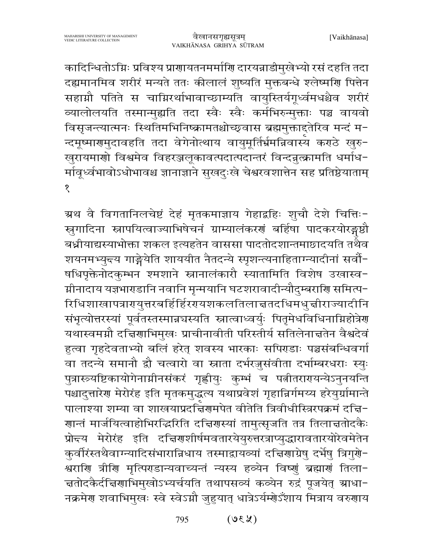कादिन्धितोऽग्निः प्रविश्य प्राणायतनमर्माणि दारयन्नाडीमुखेभ्यो रसं दहति तदा दह्यमानमिव शरीरं मन्यते ततः कीलालं शुष्यति मुक्तबन्धे श्लेष्मणि पित्तेन सहाग्नौ पतिते स चाग्निरर्थाभावाच्छाम्यति वायुस्तिर्यगृर्ध्वमधश्चैव शरीरं व्यालोलयति तस्मान्मुह्यति तदा स्वैः स्वैः कर्मभिरुन्मुक्ताः पञ्च वायवो विसृजन्त्यात्मनः स्थितिमभिनिष्क्रामतश्चोच्छ्वास ब्रह्ममुक्ताद्दतेरिव मन्दं म-न्दमूष्माणमुदावहति तदा वेगेनोत्थाय वायुमूर्तिर्भ्रमन्निवास्य कराठे खुरु− खुरायमाणो विश्वमेव विहरञ्जलूकावत्पदात्पदान्तरं विन्दन्नुत्क्रामति धर्माध-र्मावूर्ध्वभावोऽधोभावश्च ज्ञानाज्ञाने सुखदुःखे चेश्वरवशात्तेन सह प्रतिष्ठेयाताम् १

ग्रथ वै विगतानिलचेष्टं देहं मृतकमाज्ञाय गेहाद्वहिः शुचौ देशे चित्तिः− स्रुगादिना स्नापयित्वाज्याभिषेचनं ग्राम्यालंकरणं बर्हिषा पादकरयोरङ्गष्ठौ बध्नीयाद्यस्याभोक्ता शकल इत्यहतेन वाससा पादतोदशान्तमाछादयति तथैव शयनमभ्युन्त्य गाङ्गेयेति शाययीत नैतदन्ये स्पृशन्त्यनाहिताग्न्यादीनां सर्वौ-षधिपृक्तेनोदकुम्भन श्मशाने स्नानालंकारौ स्यातामिति विशेष उखास्व-ग्नीनादाय यज्ञभाराडानि नवानि मृन्मयानि घटशरावादीन्यौदुम्बराशि समित्प− रिधिशाखापत्रारयुत्तरबर्हिर्हिररयशकलतिलाचतदधिमधुच्चीराज्यादीनि संभृत्योत्तरस्यां पूर्वतस्तस्मान्नचस्यति स्नात्वाध्वर्युः पितृमेधविधिनाम्निहोत्रेण यथास्वमग्नौ दच्चिणाभिमुखः प्राचीनावीती परिस्तीर्य सतिलेनाच्ततेन वैश्वदेवं हुत्वा गृहदेवताभ्यो बलिं हरेत् शवस्य भारकाः सपिराडाः पञ्चसंबन्धिवर्गा वा तदन्ये समानौ द्वौ चत्वारो वा स्नाता दर्भरजूसंवीता दर्भाम्बरधराः स्युः पुत्रास्त्र्यष्टिकायोगेनाग्नीनसंकरं गृह्णीयुः कुम्भं च पत्नीतरारायन्येऽनुनयन्ति पश्चादुत्तारेण मेरोरंह इति मृतकमुद्धत्य यथाप्रवेशं गृहान्निर्गमय्य हरेयुर्ग्रामान्ते पालाश्या शम्या वा शाखयाप्रदच्चिंगमपेत वीतेति त्रिवीधीस्त्रिरपक्रमं दच्चि-णान्तं मार्जयित्वाहोभिरद्भिरिति दचिरणस्यां तामुत्सृजति तत्र तिलाचतोदकैः प्रोन्दय मेरोरंह इति दच्चिर्णशीर्षमवतारयेयुरुत्तरत्राप्युद्धारावतारयोरेवमेतेन कुर्वीरंस्तथैवाग्न्यादिसंभारान्निधाय तस्माद्वायव्यां दत्तिणाग्रेषु दर्भेषु त्रिगुणे-श्वराणि त्रीणि मृत्पिराडान्यवाच्यन्तं न्यस्य हव्येन विष्णुं ब्रह्माणं तिला-च्ततोदकैर्दचििणाभिमुखोऽभ्यर्चयति तथापसव्यं कव्येन रुद्रं पूजयेत् स्राधा− नक्रमेण शवाभिमुखः स्वे स्वेऽग्नौ जुहुयात् धात्रेऽर्यम्गेऽँशाय मित्राय वरुगाय

> $(x30)$ 795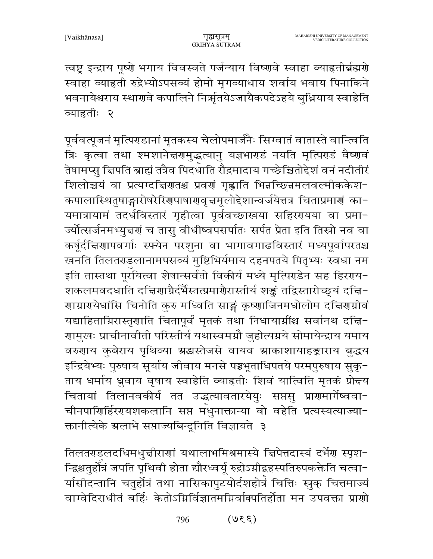त्वष्ट्र इन्द्राय पूष्णे भगाय विवस्वते पर्जन्याय विष्णवे स्वाहा व्याहृतीर्ब्रह्मणे स्वाहा व्याहृती रुद्रेभ्योऽपसव्यं होमो मृगव्याधाय शर्वाय भवाय पिनाकिने भवनायेश्वराय स्थारावे कपालिने निर्ऋातयेऽजायैकपदेऽहये बुध्नियाय स्वाहेति व्याहृतीः २

पूर्ववत्पूजनं मृत्पिराडानां मृतकस्य चेलोपमार्जनैः सिग्वातं वातास्ते वान्त्विति त्रिः कृत्वा तथा श्मशानेत्तरगमुद्धत्यानु यज्ञभाराडं नयति मृत्पिराडं वैष्णवं तेषामप्स् चिपति ब्राह्मं तत्रैव पिदधाति रौद्रमादाय गच्छेच्चितोद्देशं वनं नदीतीरं शिलोच्चयं वा प्रत्यग्दचिरणतश्च प्रवणं गृह्णाति भिन्नच्छिन्नमलवल्मीककेश-कपालास्थितुषाङ्गारोषरेरिणपाषाणवृत्तमूलोद्देशान्वर्जयेत्तत्र चिताप्रमाणं का-यमात्रायामं तदर्धविस्तारं गृहीत्वा पूर्ववच्छाखया सहिररायया वा प्रमा-ज्योत्सर्जनमभ्युन्नगं च तासु वीधीष्वपसर्पातः सर्पत प्रेता इति तिस्रो नव वा कर्षूर्दचिणापवर्गाः स्फ्येन परशुना वा भागावगाढविस्तारं मध्यपूर्वापरतश्च खनति तिलतराडलानामपसव्यं मुष्टिभिर्यमाय दहनपतये पितृभ्यः स्वधा नम इति तास्तथा पूरॅयित्वा शेषान्सर्वतो विकीर्य मध्ये मृत्पिराडेन सह हिरराय-शकलमवदधाति दच्चिणाग्रैर्दर्भैस्तत्प्रमार्गैरास्तीर्य शङ्कं तद्विस्तारोच्छ्यं दच्चि-गाग्रागयेधांसि चिनोति कुरु मध्विति साङ्गं कृष्णाजिनमधोलोम दत्तिगर्ग्रावं यद्याहिताग्निरास्तृणाति चितापूर्वं मृतकं तथा निधायार्म्रांश्च सर्वानथ दचि-गामुखः प्राचीनावीती परिस्तीर्य यथास्वमग्नौ जुहोत्यग्नये सोमायेन्द्राय यमाय वरुणाय कुबेराय पृथिव्या ग्रद्धस्तेजसे वायव ग्राकाशायाहङ्काराय बुद्धय इन्द्रियेभ्यः पुरुषाय सूर्याय जीवाय मनसे पञ्चभूताधिपतये परमपुरुषाय सुकृ-ताय धर्माय ध्रुवाय वृषाय स्वाहेति व्याहतीः शिवं यात्विति मृतकं प्रोन्दय चितायां तिलानवकीर्य तत उद्धत्यावतारयेयुः सप्तसु प्राणमार्गेष्ववा-चीनपाणिर्हिरगयशकलानि सप्त मॅथुनाक्तान्या वो वहेति प्रत्यस्यत्याज्या-क्तानीत्येके ग्रलाभे सप्ताज्यबिन्दूनिति विज्ञायते ३

तिलतराडलदधिमधुत्तीराणां यथालाभमिश्रमास्ये चिपेत्तदास्यं दर्भेण स्पृश-न्द्रिश्चतुर्होत्रं जपति पृथिवी होता द्यौरध्वर्यू रुद्रोऽग्नीद्वहस्पतिरुपकक्तेति चत्वा− र्यासीदन्तानि चतुर्होत्रं तथा नासिकापुटयोर्दशहोत्रं चित्तिः स्नुक् चित्तमाज्यं वाग्वेदिराधीतं बर्हिः केतोऽग्निर्विज्ञातमग्निर्वाक्पतिर्होता मन उपवक्ता प्राणो

> $(330)$ 796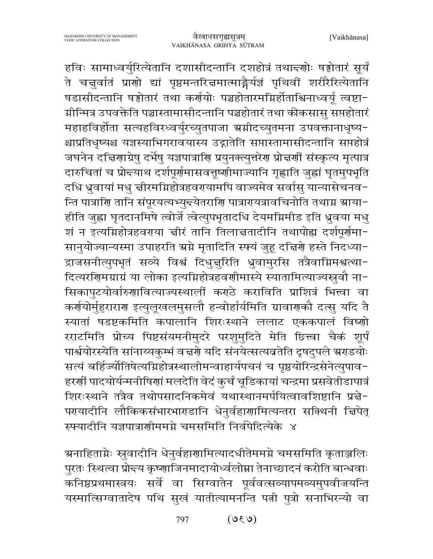हविः सामाध्वर्युरित्येतानि दशासीदन्तानि दशहोत्रं तथान्दणोः षड्वोतारं सूर्यं ते चन्नुर्वातं प्राणो द्यां पृष्ठमन्तरित्तमात्माङ्गैर्यज्ञं पृथिवीं शरीरैरित्येतानि षडासीदन्तानि षड्वोतारं तथा कर्णयोः पञ्चहोतारमग्निर्होताश्विनाध्वर्यू त्वष्टा-ग्नीन्मित्र उपवक्तेति पञ्चास्तामासीदन्तानि पञ्चहोतारं तथा कीकसासु सप्तहोतारं महाहविर्होता सत्यहविरध्वर्युरच्युतपाजा ग्रग्नीदच्युतमना उपवक्तानाधृष्य-श्चाप्रतिधृष्यश्च यज्ञस्याभिगरावयास्य उद्गातेति सप्तास्तामासीदन्तानि सप्तहोत्रं जघनेन दचिियाग्रेषु दर्भेषु यज्ञपात्रायि प्रयुनक्त्युत्तरेय प्रोचर्यां संस्कृत्य मृत्पात्र दारुचितां च प्रोद्त्याथ दर्शपूर्णमासवत्तूष्णीमाज्यानि गृह्णाति जुह्वां घृतमुपभृति दधि ध्रुवायां मधु चीरमग्निहोत्रहवरायामपि वाज्यमेव सर्वासु यान्यासेचनव-न्ति पात्राणि तानि संपूरयत्यभ्युद्त्येतराणि पात्रारायत्रावचिनोति तथाग्न स्राया-हीति जुह्वा घृतदानमिषे त्वोर्जे त्वेत्युपभृतादधि देयमग्निमीड इति ध्रुवया मधु शं न इत्यग्निहोत्रहवराया चीरं तानि तिलाचतादीनि तथापोह्य दर्शपूर्णमा-सानुयोज्यान्यस्मा उपाहरति ग्रग्ने मृतादिति स्फ्यं जुहू दत्तिर्णे हस्ते निदध्या-द्राजसनीत्युपभृतं सव्ये विश्वं दिधुत्तुरिति ध्रुवामुरसि तत्रैवाग्निमश्वत्था-दित्यरगिमग्राग्रं या लोका इत्यग्निहोत्रहवर्गामास्ये स्यातामित्याज्यस्रुवौ ना-सिकापुटयोर्वारुणावित्याज्यस्थालीं कराठे कराविति प्राशित्रं भित्त्वा वा कर्णयोर्मुहुराराण इत्युलूखलमुसलौ हन्वोर्हार्यमिति ग्रावाणकौ दत्सु यदि तै स्यातां षडष्टकमिति कपालानि शिरःस्थाने ललाट एककपालं विष्णो रराटमिति प्रोच्य पिष्टसंयमनीमुदरे परशुमुदिते मेति छित्त्वा चैकं शूर्पं पार्श्वयोरस्येति सांनाय्यकुम्भं व नरणे यदि संनयेत्सत्यव्रतेति दृषदुपले ग्रराडयोः सत्यं बर्हिज्योतिषेत्यग्निहोत्रस्थालीमन्वाहार्यपचनं च पृष्ठयोरिन्द्रसेनेत्युपाव-हरणीं पादयोर्यन्मनीषिणां मलदेति वेदं कुर्चं चूडिकायां चन्द्रमा प्रसवेतीडापात्रं शिरःस्थाने तत्रैव तथोपसादनिकमेवं यथास्थानमर्पयित्वावशिष्टानि प्रत्ने-परयादीनि लौकिकसंभारभारडानि धेनुर्वहार्णामित्यन्तरा सक्थिनी चिपेत् स्फ्यादीनि यज्ञपात्राणीममग्ने चमसमिति निर्वपेदित्येके ४

ग्र्माहिताग्नेः स्रुवादीनि धेनुर्वहार्णामित्यादधीतेममग्ने चमसमिति कृताञ्जलिः पुरतः स्थित्वा प्रोन्दय कृष्णाजिनमादायोर्ध्वलोम्ना तेनाच्छादनं करोति बान्धवाः कनिष्ठप्रथमास्त्रयः सर्वे वा सिग्वातेन पूर्ववत्सव्यापमव्यमुपवीजयन्ति यस्मात्सिग्वातादेष पथि सुखं यातीत्यामनन्ति पत्नी पुत्रो सनाभिरन्यो वा

> $(\mathcal{V}3\mathcal{V})$ 797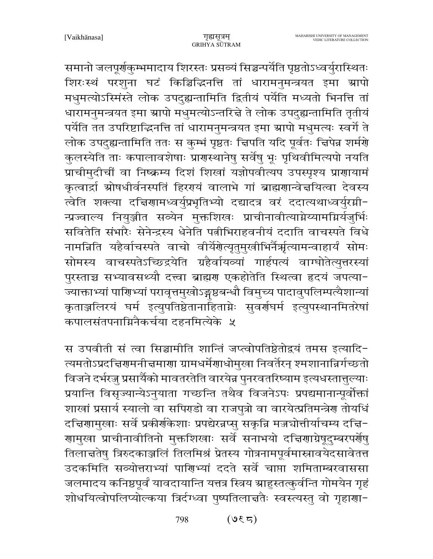समानो जलपूर्णकुम्भमादाय शिरस्तः प्रसव्यं सिञ्चन्पर्येति पृष्ठतोऽध्वर्युरास्थितः शिरःस्थं परशुना घटं किञ्चिद्धिनत्ति तां धारामनुमन्त्रयत इमा ग्रापो मधुमत्योऽस्मिंस्ते लोक उपदुह्यन्तामिति द्वितीयं पर्येति मध्यतो भिनत्ति तां धारामनुमन्त्रयत इमा स्रापो मधुमत्योऽन्तरिन्ने ते लोक उपदुह्यन्तामिति तृतीयं पर्येति तत उपरिष्टाद्भिनत्ति तां धारामनुमन्त्रयत इमा स्रापो मधुमत्यः स्वर्गे ते लोक उपदुह्यन्तामिति ततः स कुम्भं पृष्ठतः चिपति यदि पूर्वतः चिपेन्न शर्मणे कुलस्येति ताः कपालावशेषाः प्रागस्थानेषु सर्वेषु भूः पृथिवीमित्यपो नयति प्राचीमुदीचीं वा निष्क्रम्य दिशं शिखां यज्ञोपवीत्यप उपस्पृश्य प्राणायामं कृत्वार्द्रा स्रोषधीर्वनस्पतिं हिररयं वालाभे गां ब्राह्मणान्वेत्तयित्वा देवस्य त्वेति शक्त्या दत्तिगामध्वर्युप्रभृतिभ्यो दद्यादत्र वरं ददात्यथाध्वर्युरमी-न्प्रज्वाल्य नियुञ्जीत सव्येन मुक्तशिखः प्राचीनावीत्याग्नेय्यामग्निर्यजुर्भिः सवितेति संभारैः सेनेन्द्रस्य धेनेति पत्नीभिराहवनीयं ददाति वाचस्पते विधे नामन्निति यहैर्वाचस्पते वाचो वीर्येशेत्यृतुमुखीभिर्नैर्ऋत्यामन्वाहार्यं सोमः सोमस्य वाचस्पतेऽच्छिद्रयेति ग्रहैर्वायव्यां गार्हपत्यं वाग्घोतेत्युत्तरस्यां पुरस्ताच्च सभ्यावसथ्यौ दत्त्वा ब्राह्मण एकहोतेति स्थित्वा हृदयं जपत्या-ज्याक्ताभ्यां पाणिभ्यां परावृत्तमुखोऽङ्गष्ठबन्धौ विमुच्य पादावुपलिम्पत्यैशान्यां कृताञ्जलिरयं घर्म इत्युपतिष्ठेतानाहिताग्नेः सुवर्णघर्म इत्युपस्थानमितरेषां कपालसंतपनाग्निनैकर्चया दहनमित्येके ५

स उपवीती सं त्वा सिञ्चामीति शान्तिं जप्त्वोपतिष्ठेतोद्वयं तमस इत्यादि-त्यमतोऽप्रदत्त्विरामनी त्तमाराा ग्रामधर्मेशाधोमुखा निवर्तेरन् श्मशानान्निर्गच्छतो विजने दर्भरज्जु प्रसार्यैको मावतरतेति वारयेन्न पुनरवतरिष्याम इत्यधस्तात्तुल्याः प्रयान्ति विसृज्यान्येऽनुयाता गच्छन्ति तथैव विजनेऽपः प्रपद्यमानान्पूर्वोक्तां शाखां प्रसार्य स्यालो वा सपिरडो वा राजपुत्रो वा वारयेत्प्रतिमन्त्रेण तोयधिं दचिणामुखाः सर्वे प्रकीर्णकेशाः प्रपद्येरन्नप्सु सकृन्नि मज्जघोत्तीर्याचम्य दचि− गामुखा प्राचीनावीतिनो मुक्तशिखाः सर्वे सनाभयो दत्तिगाग्रेषूदुम्बरपर्गेषु तिलाचतेषु त्रिरुदकाञ्जलिं तिलमिश्रं प्रेतस्य गोत्रनामपूर्वमास्नावयेदसावेतत्त उदकमिति सव्योत्तराभ्यां पाणिभ्यां ददते सर्वे चाप्ता शमिताम्बरवाससा जलमादय कनिष्ठपूर्वं यावदायान्ति यत्तत्र स्त्रिय ग्राहुस्तत्कुर्वन्ति गोमयेन गृहं शोधयित्वोपलिप्योल्कया त्रिर्दग्ध्वा पुष्पतिलान्नतैः स्वस्त्यस्तु वो गृहाणा-

> 798  $($ ह $\sqrt{5}$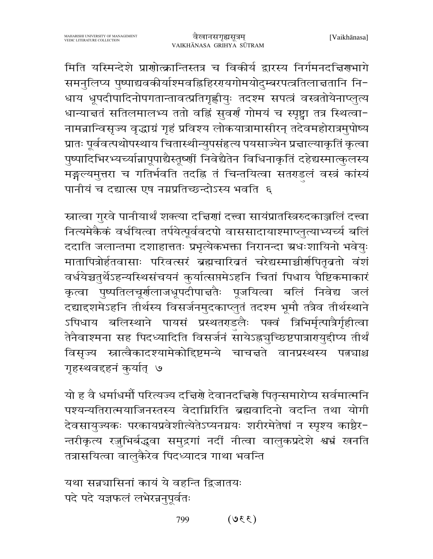मिति यस्मिन्देशे प्राणोत्क्रान्तिस्तत्र च विकीर्य द्वारस्य निर्गमनदत्तिराभागे समनुलिप्य पुष्पाद्यवकीर्याश्मवह्निहिररयगोमयोदुम्बरपत्त्रतिलात्ततानि नि-धाय धूपदीपादिनोपगतान्तावत्प्रतिगृह्णीयुः तदश्म सपत्त्रं वस्त्रतोयेनाप्लुत्य धान्यात्ततं सतिलमालभ्य ततो वहिं सुवर्णं गोमयं च स्पृष्ट्वा तत्र स्थित्वा-नामन्नान्विसृज्य वृद्धाग्रं गृहं प्रविश्य लोकयात्रामासीरन् तदेवमहोरात्रमुपोष्य प्रातः पूर्ववत्पथोपस्थाय चितास्थीन्युपसंहृत्य पयसाज्येन प्रज्ञाल्याकृतिं कृत्वा पुष्पादिभिरभ्यच्यांन्नापूपाद्यैस्तूष्णीं निवेद्यैतेन विधिनाकृतिं दहेद्यस्मात्कुलस्य मङ्गल्यमृत्तरा च गतिर्भवति तदह्नि तं चिन्तयित्वा सतराडलं वस्त्रं कांस्यं पानीयं च दद्यात्स एष नग्नप्रतिच्छन्दोऽस्य भवति ६

स्नात्वा गुरवे पानीयार्थं शक्त्या दत्त्विणां दत्त्वा सायंप्रातस्त्रिरुदकाञ्जलिं दत्त्वा नित्यमेकैकं वर्धयित्वा तर्पयेत्पूर्ववदपो वाससादायाश्माप्लुत्याभ्यर्च्य बलिं ददाति जलान्तमा दशाहात्ततः प्रभृत्येकभक्ता निरानन्दा ग्रधःशायिनो भवेयुः मातापित्रोर्हतवासाः परिवत्सरं ब्रह्मचारिव्रतं चरेद्यस्माच्चीर्णपितृवतो वंशं वर्धयेच्चतुर्थेऽहन्यस्थिसंचयनं कुर्यात्सप्तमेऽहनि चितां पिधाय पैष्टिकमाकारं कृत्वा पुष्पतिलचूर्णलाजधूपदीपाचतैः पूजयित्वा बलिं निवेद्य जलं दद्यादृशमेऽहनि तीर्थस्य विसर्जनमुदकाप्लुतं तदश्म भूमौ तत्रैव तीर्थस्थाने ऽपिधाय बलिस्थाने पायसं प्रस्थतराडलैः पक्वं त्रिभिर्मृत्पात्रैर्गृहीत्वा तेनैवाश्मना सह पिदध्यादिति विसर्जनं सायेऽह्नञुच्छिष्टपात्रारायुद्दीप्य तीर्थं विसृज्य स्नात्वैकादश्यामेकोद्दिष्टमन्ये चाचत्तते वानप्रस्थस्य पत्रचाश्च गृहस्थवद्दहनं कुर्यात् ७

यो ह वै धर्माधर्मौ परित्यज्य दच्चिणे देवानदच्चिणे पितृन्समारोप्य सर्वमात्मनि पश्यन्यतिरात्मयाजिनस्तस्य वेदाग्निरिति ब्रह्मवादिनो वदन्ति तथा योगी देवसायुज्यकः परकायप्रवेशीत्येतेऽप्यनग्नयः शरीरमेतेषां न स्पृश्य काष्ठैर-न्तरीकृत्य रज़ुभिर्बद्धवा समुद्रगां नदीं नीत्वा वालुकप्रदेशे श्वभ्रं खनति तत्रासयित्वा वालुकैरेव पिदध्यादत्र गाथा भवन्ति

यथा सन्नचासिनां कायं ये वहन्ति द्विजातयः पदे पदे यज्ञफलं लभेरन्ननुपूर्वतः

> $(330)$ 799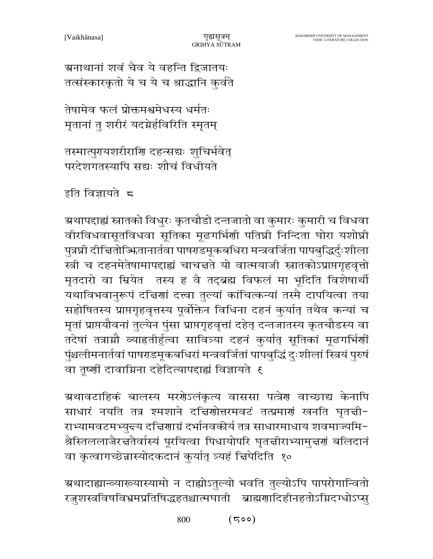ग्रनाथानां शवं चैव ये वहन्ति द्विजातयः तत्संस्कारकृतो ये च ये च श्राद्धानि कुर्वते

तेषामेव फलं प्रोक्तमश्वमेधस्य धर्मतः मुतानां तु शरीरं यदग्नेर्हविरिति स्मृतम्

तस्मात्पुरयशरीराणि दहन्सद्यः शुचिर्भवेत् परदेशगतस्यापि सद्यः शौचं विधीयते

इति विज्ञायते 5

ग्र्यापदाह्यं स्नातको विधुरः कृतचौडो दन्तजातो वा कुमारः कुमारी च विधवा वीरविधवासूतविधवा सूतिका मूढगर्भिणी पतिघ्नी निन्दिता घोरा यशोघ्री पुत्रघ्नी दीचितोज्फितानार्तवा पाषराडमूकबधिरा मन्त्रवर्जिता पापबुद्धिर्दुःशीला स्त्री च दहनमेतेषामापदाह्यं चाचन्तते यो वात्मयाजी स्नातकोऽप्राप्तगृहवृत्तो मृतदारो वा म्रियेत तस्य ह वै तद्ब्रह्म विफलं मा भूदिति विशेषार्थी यथाविभवानुरूपं दच्चिणां दत्त्वा तुल्यां कांचित्कन्यां तस्मै दापयित्वा तया सहोषितस्य प्राप्तगृहवृत्तस्य पूर्वोक्तेन विधिना दहनं कुर्यात् तथैव कन्यां च मृतां प्राप्तयौवनां तुल्येन पुंसा प्राप्तगृहवृत्तां दहेत् दन्तजातस्य कृतचौडस्य वा तदेषां तत्राम्नौ व्याहृतीर्हुत्वा सावित्र्या दहनं कुर्यात् सूतिकां मूढगर्भिर्णी पुंश्चलीमनार्तवां पाषराडमूकबधिरां मन्त्रवर्जितां पापबुद्धिं दुःशीलां स्त्रियं पुरुषं वा तूष्णीं दावाग्निना दहेदित्यापद्दाह्यं विज्ञायते १

ग्रथावटाहिकं बालस्य मरगेऽलंकृत्य वाससा पत्नेग वाच्छाद्य केनापि साधारं नयति तत्र श्मशाने दच्चिणोत्तरमवटं तत्प्रमाणं खनति घृतची-राभ्यामवटमभ्युन्त्य दत्तिणाग्रं दर्भानवकीर्य तत्र साधारमाधाय शवमाज्यमि-श्रैस्तिललाजैरच्ततैर्वास्यं पूरयित्वा पिधायोपरि घृतचीराभ्यामुच्चर्णं बलिदानं वा कृत्वागच्छेन्नास्योदकदानं कुर्यात् त्र्यहं चिपेदिति १०

ग्रथादाह्यान्व्याख्यास्यामो न दाह्योऽतुल्यो भवति तुल्योऽपि पापरोगान्वितो रजुशस्त्रविषविभ्रमप्रतिषिद्धहतश्चात्मघाती ब्राह्मणादिहीनहतोऽग्निदग्धोऽप्सु

> $(500)$ 800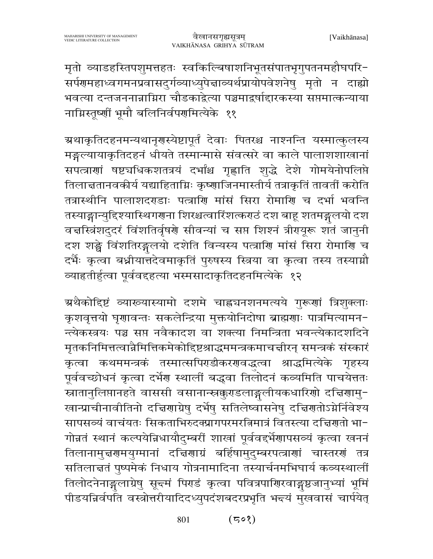मृतो व्याडहस्तिपशुमत्तहतः स्वकिल्बिषाशनिभूतसंपातभृगुपतनमहौघपरि-सर्पणमहाध्वगमनप्रवासदुर्गव्याध्युपेत्ताव्यर्थप्रायोपवेशनेषु मृतो न दाह्यो भवत्या दन्तजननान्नाग्निरा चौडकाद्वेत्या पञ्चमाद्रर्षाद्दारकस्या सप्तमात्कन्याया नाग्निस्तूष्णीं भूमौ बलिनिर्वपणमित्येके ११

ग्रथाकृतिदहनमन्यथानृगस्येष्टापूर्तं देवाः पितरश्च नाश्नन्ति यस्मात्कुलस्य मङ्गल्यायाकृतिदहनं धीयते तस्मान्मासे संवत्सरे वा काले पालाशशाखानां सपत्त्राणां षष्ट्यधिकशतत्रयं दर्भांश्च गृह्णाति शुद्धे देशे गोमयेनोपलिप्ते तिलाचतानवकीर्य यद्याहिताग्निः कृष्णाजिनमास्तीर्य तत्राकृतिं तावतीं करोति तत्रास्थीनि पालाशदराडाः पत्त्राणि मांसं सिरा रोमाणि च दर्भा भवन्ति तस्याङ्गान्युद्दिश्यास्थिगणना शिरश्चत्वारिंशत्कराठं दश बाहू शतमङ्गलयो दश वचस्त्रिंशदुदरं विंशतिर्वृषये सीवन्यां च सप्त शिश्नं त्रीययूरू शतं जानुनी दश शङ्घे विंशतिरङ्गलयो दशेति विन्यस्य पत्त्राणि मांसं सिरा रोमाणि च दर्भैः कृत्वा बध्नीयात्तदेवमाकृतिं पुरुषस्य स्त्रिया वा कृत्वा तस्य तस्याग्नौ व्याहृतीर्हुत्वा पूर्ववद्दहत्या भस्मसादाकृतिदहनमित्येके १२

ग्रथैकोद्दिष्टं व्याख्यास्यामो दशमे चाह्नचनशनमत्यये गुरूणां त्रिशुक्लाः कृशवृत्तयो घृणावन्तः सकलेन्द्रिया मुक्तयोनिदोषा ब्राह्मणाः पात्रमित्यामन-न्त्येकस्त्रयः पञ्च सप्त नवैकादश वा शक्त्या निमन्त्रिता भवन्त्येकादशदिने मृतकनिमित्तत्वान्नैमित्तिकमेकोद्दिष्टश्राद्धममन्त्रकमाचत्तीरन् समन्त्रकं संस्कारं कृत्वा कथममन्त्रकं तस्मात्सपिराडीकररावद्धत्वा श्राद्धमित्येके गृहस्य पूर्ववच्छोधनं कृत्वा दर्भेग स्थालीं बद्धवा तिलोदनं कव्यमिति पाचयेत्ततः स्नातानुलिप्तानहते वाससी वसानान्स्नक्कुरडलाङ्गलीयकधारिणो दचिणामु-खान्प्राचीनावीतिनो दचिरणाग्रेषु दर्भेषु सतिलेष्वासनेषु दचिरणतोऽग्नेर्निवेश्य सापसव्यं वाचंयतः सिकताभिरुदक्प्रागपरमरत्निमात्रं वितस्त्या दत्तिरातो भा-गोन्नतं स्थानं कल्पयेन्निधायौदुम्बरीं शाखां पूर्ववद्दर्भेणापसव्यं कृत्वा खननं तिलानामुच्चरणमयुग्मानां दच्चिरणाग्रं बर्हिषामुदुम्बरपत्त्राणां चास्तरणं तत्र सतिलाज्ञतं पुष्पमेकं निधाय गोत्रनामादिना तस्यार्चनमभिघार्य कव्यस्थालीं तिलोदनेनाङ्गलाग्रेषु सून्दमं पिराडं कृत्वा पवित्रपारिारवाङ्गष्ठजानुभ्यां भूमिं पीडयन्निर्वपति वस्त्रोत्तरीयादिदध्युपदंशबदरप्रभृति भन्त्यं मुखवासं चार्पयेत्

> $(508)$ 801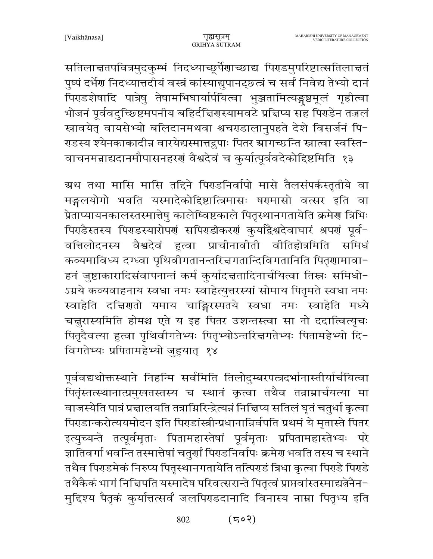सतिलाचतपवित्रमुदकुम्भं निदध्याच्छूर्पेणाच्छाद्य पिराडमुपरिष्टात्सतिलाचतं पुष्पं दर्भेग निदध्यात्तदीयं वस्त्रं कांस्याद्युपानट्छत्त्रं च सर्वं निवेद्य तेभ्यो दानं पिराडशेषादि पात्रेषु तेषामभिघार्यार्पयित्वा भुञ्जतामित्यङ्गष्ठमूलं गृहीत्वा भोजनं पूर्ववदुच्छिष्टमपनीय बहिर्दचिगस्यामवटे प्रचिप्य सह पिराडेन तजलं स्रावयेत् वायसेभ्यो बलिदानमथवा श्वचरडालानुपहते देशे विसर्जनं पि-राडस्य श्येनकाकादीन्न वारयेद्यस्मात्तद्रुपाः पितर स्रागच्छन्ति स्नात्वा स्वस्ति-वाचनमन्नाद्यदानमौपासनहरणं वैश्वदेवं च कुर्यात्पूर्ववदेकोद्दिष्टमिति १३

ग्रथ तथा मासि मासि तद्दिने पिराडनिर्वापो मासे तैलसंपर्कस्तृतीये वा मङ्गलयोगो भवति यस्मादेकोद्दिष्टात्त्रिमासः षरमासो वत्सर इति वा प्रेताप्यायनकालस्तस्मात्तेषु कालेष्विष्टकाले पितृस्थानगतायेति क्रमेण त्रिभिः पिराडैस्तस्य पिराडस्यारोपर्गं सपिराडीकरणं कुर्याद्वैश्वदेवाघारं श्रपणं पूर्व-वत्तिलोदनस्य वैश्वदेवं हुत्वा प्राचीनावीती वीतिहोत्रमिति समिधं कव्यमाविध्य दग्ध्वा पृथिवीगतानन्तरित्तगतान्दिविगतानिति पितॄणामावा-हनं जुष्टाकारादिसंवापनान्तं कर्म कुर्यादत्ततादिनार्चयित्वा तिस्नः समिधो-ऽग्नये कव्यवाहनाय स्वधा नमः स्वाहेत्युत्तरस्यां सोमाय पितृमते स्वधा नमः स्वाहेति दच्चिणतो यमाय चाङ्गिरस्पतये स्वधा नमः स्वाहेति मध्ये चनुरास्यमिति होमश्च एते य इह पितर उशन्तस्त्वा सा नो ददात्वित्यृचः पितृदैवत्या हुत्वा पृथिवीगतेभ्यः पितृभ्योऽन्तरिज्ञगतेभ्यः पितामहेभ्यो दि-विगतेभ्यः प्रपितामहेभ्यो जुहयात् १४

पूर्ववद्यथोक्तस्थाने निहन्मि सर्वमिति तिलोदुम्बरपत्त्रदर्भानास्तीर्याचयित्वा पितृंस्तत्स्थानात्प्रमुखतस्तस्य च स्थानं कृत्वा तथैव तन्नाम्नार्चयत्या मा वाजस्येति पात्रं प्रचालयति तत्राग्निरिन्द्रेत्यन्नं निच्चिप्य सतिलं घृतं चतुर्धा कृत्वा पिराडान्करोत्ययमोदन इति पिराडांस्त्रीन्प्रधानान्निर्वपति प्रथमं ये मृतास्ते पितर इत्युच्यन्ते तत्पूर्वमृताः पितामहास्तेषां पूर्वमृताः प्रपितामहास्तेभ्यः परे ज्ञातिवर्गा भवन्ति तस्मात्तेषां चतुर्णां पिराडनिर्वापः क्रमेरा भवति तस्य च स्थाने तथैव पिराडमेकं निरुप्य पितृस्थानगतायेति तत्पिराडं त्रिधा कृत्वा पिराडे पिराडे तथैकैकं भागं निचिपति यस्मादेष परिवत्सरान्ते पितृत्वं प्राप्तवांस्तस्माद्यत्नेनैन-मुद्दिश्य पैतृकं कुर्यात्तत्सर्वं जलपिराडदानादि विनास्य नाम्ना पितृभ्य इति

> $(502)$ 802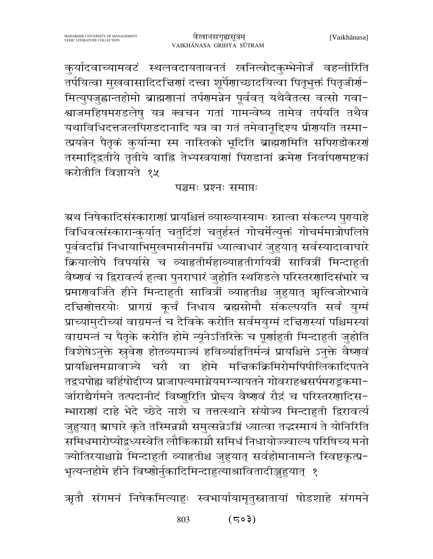कुर्यादवाच्यामवटं स्थलवदायतावनतं खनित्वोदकुम्भेनोर्जं वहन्तीरिति तर्पयित्वा मुखवासादिदचिरणां दत्त्वा शूर्पेणाच्छादयित्वा पितृभुक्तं पितृजीर्ण-मित्युपजुह्वान्तहोमो ब्राह्मणानां तर्पणमन्नेन पूर्ववत् यथैवैतत्स वत्सो गवा-श्वाजमहिषमराडलेषु यत्र क्वचन गतां गामन्वेष्य तामेव तर्पयति तथैव यथाविधिदत्तजलपिराडदानादि यत्र वा गतं तमेवानूद्दिश्य प्रीरायति तस्मा-त्प्रयत्नेन पैतृकं कुर्यान्मा स्म नास्तिको भूदिति ब्राह्मणमिति सपिराडीकरणं तस्मादि्द्वतीये तृतीये वाह्नि तेभ्यस्त्रयाणां पिराडानां क्रमेण निर्वापणमष्टकां करोतीति विज्ञायते १५

#### पञ्चमः प्रश्नः समाप्तः

ग्रथ निषेकादिसंस्काराणां प्रायश्चित्तं व्याख्यास्यामः स्नात्वा संकल्प्य पुरायाहे विधिवत्संस्कारान्कुर्यात् चतुर्दिशं चतुर्हस्तं गोचर्मेत्युक्तं गोचर्ममात्रोपलिप्ते पूर्ववदग्निं निधायाभिमुखमासीनमग्निं ध्यात्वाधारं जुहुयात् सर्वस्यादावाघारे क्रियालोपे विपर्यासे च व्याहृतीर्महाव्याहृतीर्गायत्रीं सावित्रीं मिन्दाहुती वैष्णवं च द्विरावर्त्य हुत्वा पुनराघारं जुहोति स्थरिडले परिस्तरणादिसंभारे च प्रमाणवर्जिते हीने मिन्दाहुती सावित्रीं व्याहृतीश्च जुहुयात् ऋत्विजोरभावे दचिणोत्तरयोः प्रागग्रं कूर्चं निधाय ब्रह्मसोमौ संकल्पयति सर्वं युग्मं प्राच्यामुदीच्यां वाग्रमन्तं च दैविके करोति सर्वमयुग्मं दत्तिरास्यां पश्चिमस्यां वाग्रमन्तं च पैतृके करोति होमे न्यूनेऽतिरिक्ते च पूर्णाहुती मिन्दाहुती जुहोति विशेषेऽनुक्ते स्रुवेण होतव्यमाज्यं हविव्याहितिर्मन्त्रं प्रायश्चित्ते ऽनुक्ते वैष्णवं प्रायश्चित्तमग्नावाज्ये चरौ वा होमे मचिकक्रिमिरोमपिपीलिकादिपतने तद्वचपोह्य बर्हिषोद्दीप्य प्राजापत्यमाग्नेयमग्न्यायतने गोवराहश्वसर्पमराडूकमा-जाराद्यैर्गमने तत्पदानीदं विष्णुरिति प्रोन्दय वैष्णवं रौद्रं च परिस्तरणादिस-म्भाराणां दाहे भेदे च्छेदे नाशे च तत्तत्स्थाने संयोज्य मिन्दाहुती द्विरावर्त्य जुहुयात् स्राघारे कृते तस्मिन्नग्नौ समुत्सन्नेऽग्निं ध्यात्वा तद्धस्मायं ते योनिरिति समिधमारोप्योद्बध्यस्वेति लौकिकाग्नौ समिधं निधायोज्ज्वाल्य परिषिच्य मनो ज्योतिरयाश्चाग्ने मिन्दाहुती व्याहृतीश्च जुहुयात् सर्वहोमानामन्ते स्विष्टकृत्प्र-भृत्यन्तहोमे हीने विष्णोर्नुकादिमिन्दाहृत्याश्रावितादीञ्जुहयात् १

ऋतौ संगमनं निषेकमित्याहुः स्वभार्यायामृतुस्नातायां षोडशाहे संगमने

 $(503)$ 803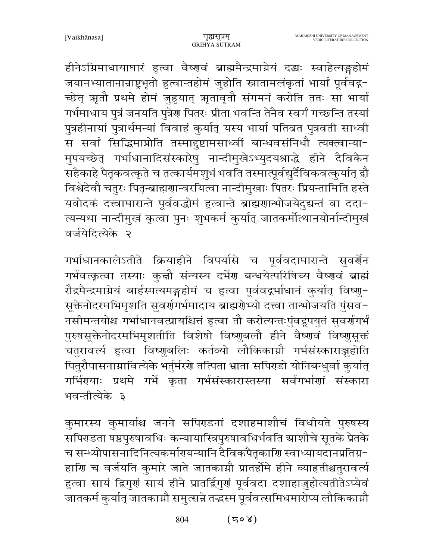हीनेऽग्रिमाधायाघारं हुत्वा वैष्णवं ब्राह्ममैन्द्रमाग्नेयं दद्धः स्वाहेत्यङ्गहोमं जयानभ्यातानान्राष्ट्रभृतो हुत्वान्तहोमं जुहोति स्नातामलंकृतां भार्यां पूर्ववद्ग-च्छेत् ऋतौ प्रथमे होमं जुहुयात् ऋतावृतौ संगमनं करोति ततः सा भार्या गर्भमाधाय पुत्रं जनयति पुत्रेण पितरः प्रीता भवन्ति तेनैव स्वर्गं गच्छन्ति तस्यां पुत्रहीनायां पुत्रार्थमन्यां विवाहं कुर्यात् यस्य भार्या पतिब्रत पुत्रवती साध्वी स सर्वां सिद्धिमाप्नोति तस्मादुष्टामसाध्वीं बान्धवसंनिधौ त्यक्त्वान्या-मुपयच्छेत् गर्भाधानादिसंस्कारेषु नान्दीमुखेऽभ्युदयश्राद्धे हीने दैविकैन .<br>सहैकाहे पैतृकवत्कृते च तत्कार्यमशुभं भवति तस्मात्पूर्वद्युर्दैविकवत्कुर्यात् द्रौ विश्वेदेवौ चतुरः पितृन्ब्राह्मणान्वरयित्वा नान्दीमुखाः पितरः प्रियन्तामिति हस्ते यवोदकं दत्त्वाघारान्ते पूर्ववद्धोमं हुत्वान्ते ब्राह्मणान्भोजयेदुद्यन्तं वा ददा-त्यन्यथा नान्दीमुखं कृत्वा पुनः शुभकर्म कुर्यात् जातकर्मोत्थानयोर्नान्दीमुखं वर्जयेदित्येके २

गर्भाधानकालेऽतीते क्रियाहीने विपर्यासे च पूर्ववदाघारान्ते सुवर्गेन गर्भवत्कृत्वा तस्याः कृत्तौ संन्यस्य दर्भेण बन्धयेत्परिषिच्य वैष्णवं ब्राह्मं रौद्रमैन्द्रमाग्नेयं बार्हस्पत्यमङ्गहोमं च हुत्वा पूर्ववद्गर्भाधानं कुर्यात् विष्णु-सूक्तेनोदरमभिमृशति सुवर्णगर्भमादाय ब्राह्मणेभ्यो दत्त्वा तान्भोजयति पुंसव− नसीमन्तयोश्च गर्भाधानवत्प्रायश्चित्तं हुत्वा तौ करोत्यन्तःपुंवद्रूपयुतं सुवर्णगर्भं पुरुषसूक्तेनोदरमभिमृशतीति विशेषो विष्णुबलौ हीने वैष्णवं विष्णुसूक्तं चतुरावर्त्य हुत्वा विष्णुबलिः कर्तव्यो लौकिकाग्नौ गर्भसंस्काराञ्जुहोति पितुरौपासनाम्रावित्येके भर्तुर्मरणे तत्पिता भ्राता सपिग्डो योनिबन्धुर्वा कुर्यात् गर्भिरयाः प्रथमे गर्भे कृता गर्भसंस्कारास्तस्या सर्वगर्भाणां संस्कारा भवन्तीत्येके ३

कुमारस्य कुमार्याश्च जनने सपिरडनां दशाहमाशौचं विधीयते पुरुषस्य सपिराडता षष्ठपुरुषावधिः कन्यायास्त्रिपुरुषावधिर्भवति स्राशौचे सूतके प्रेतके च सन्ध्योपासनादिनित्यकर्मारायन्यानि दैविकपैतृकाशि स्वाध्यायदानप्रतिग्र-हाणि च वर्जयति कुमारे जाते जातकाग्नौ प्रातर्होमे हीने व्याहृतीश्चतुरावर्त्य हुत्वा सायं द्विगुणं सायं हीने प्रातर्द्विगुणं पूर्ववदा दशाहाज़ुहोत्यतीतेऽप्येवं जातकर्म कुर्यात् जातकाम्रौ समुत्सन्ने तद्धस्म पूर्ववत्समिधमारोप्य लौकिकाम्रौ

> 804  $(508)$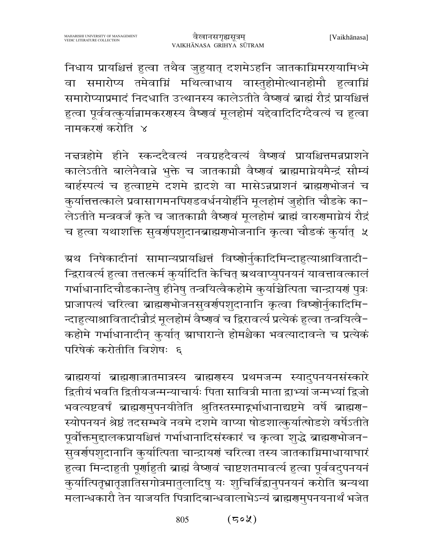निधाय प्रायश्चित्तं हुत्वा तथैव जुहुयात् दशमेऽहनि जातकाग्निमररयामिध्मे वा समारोप्य तमेवाग्निं मथित्वाधाय वास्तुहोमोत्थानहोमौ हुत्वाग्निं समारोप्याप्रमादं निदधाति उत्थानस्य कालेऽतीते वैष्णवं ब्राह्मं रौद्रं प्रायश्चित्तं हुत्वा पूर्ववत्कुर्यान्नामकरणस्य वैष्णवं मूलहोमं यद्देवादिदिग्दैवत्यं च हुत्वा नामकरणं करोति ४

नज्ञत्रहोमे हीने स्कन्ददैवत्यं नवग्रहदैवत्यं वैष्णवं प्रायश्चित्तमन्नप्राशने कालेऽतीते बालेनैवान्ने भुक्ते च जातकाग्नौ वैष्णवं ब्राह्ममाग्नेयमैन्द्रं सौम्यं बार्हस्पत्यं च हत्वाष्टमे दशमे द्वादशे वा मासेऽन्नप्राशनं ब्राह्मणभोजनं च कुर्यात्तत्तत्काले प्रवासागमनपिराडवर्धनयोर्हीने मूलहोमं जुहोति चौडके का-लेऽतीते मन्त्रवर्जं कृते च जातकाम्रौ वैष्णवं मूलहोमं ब्राह्मं वारुगमामेयं रौद्रं च हुत्वा यथाशक्ति सुवर्णपशुदानब्राह्मणभोजनानि कृत्वा चौडकं कुर्यात् ५

ग्रथ निषेकादीनां सामान्यप्रायश्चित्तं विष्णोर्नुकादिमिन्दाहुत्याश्रावितादी-न्द्रिरावर्त्य हुत्वा तत्तत्कर्म कुर्यादिति केचित् ग्रथवाप्युपनयनं यावत्तावत्कालं गर्भाधानादिचौडकान्तेषु हीनेषु तन्त्रयित्वैकहोमे कुर्याच्चेत्पिता चान्द्रायणं पुत्रः प्राजापत्यं चरित्वा ब्राह्मराभोजनसुवर्रापशुदानानि कृत्वा विष्णोर्नुकादिमि-न्दाहुत्याश्रावितादीन्नौद्रं मूलहोमं वैष्णवं च द्विरावर्त्य प्रत्येकं हुत्वा तन्त्रयित्वै-कहोमे गर्भाधानादीन् कुर्यात् स्राघारान्ते होमश्चैका भवत्यादावन्ते च प्रत्येकं परिषेकं करोतीति विशेषः ६

ब्राह्मरायां ब्राह्मणाजातमात्रस्य ब्राह्मणस्य प्रथमजन्म स्यादुपनयनसंस्कारे द्वितीयं भवति द्वितीयजन्मन्याचार्यः पिता सावित्री माता द्वाभ्यां जन्मभ्यां द्विजो भवत्यष्टवर्षं ब्राह्मणुमुपनयीतेति श्रुतिस्तस्माद्गर्भाधानाद्यष्टमे वर्षे ब्राह्मणु-स्योपनयनं श्रेष्ठं तदसम्भवे नवमे दशमे वाप्या षोडशात्कुर्यात्षोडशे वर्षेऽतीते पूर्वोक्तमुद्दालकप्रायश्चित्तं गर्भाधानादिसंस्कारं च कृत्वा शुद्धे ब्राह्मणभोजन-सुवर्णपशुदानानि कुर्यात्पिता चान्द्रायणं चरित्वा तस्य जातकाग्निमाधायाघारं हुत्वा मिन्दाहुती पूर्णाहुती ब्राह्मं वैष्णवं चाष्टशतमावर्त्य हुत्वा पूर्ववदुपनयनं कुर्यात्पितृभ्रातृज्ञातिसगोत्रमातुलादिषु यः शुचिर्विद्वानुपनयनं करोति ग्रन्यथा मलान्धकारौ तेन याजयति पित्रादिबान्धवालाभेऽन्यं ब्राह्मरामुपनयनार्थं भजेत

> $(50\%)$ 805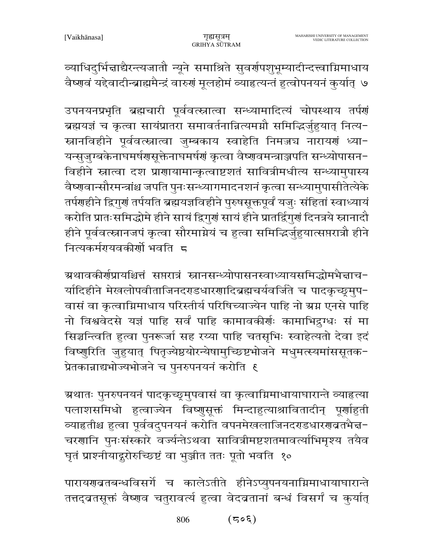व्याधिदुर्भिन्नाद्यैरन्त्यजातौ न्यूने समाश्रिते सुवर्गपशुभूम्यादीन्दत्त्वाग्निमाधाय वैष्णवं यद्देवादीन्ब्राह्ममैन्द्रं वारुणं मूलहोमं व्याहृत्यन्तं हुत्वोपनयनं कुर्यात् ७

उपनयनप्रभृति ब्रह्मचारी पूर्ववत्स्नात्वा सन्ध्यामादित्यं चोपस्थाय तर्पणं ब्रह्मयज्ञं च कृत्वा सायंप्रातरा समावर्तनान्नित्यमग्नौ समिद्भिर्जुहुयात् नित्य-स्नानविहीने पूर्ववत्स्नात्वा जुम्बकाय स्वाहेति निमज्जञ नारायणं ध्या-यन्सुजुग्बकेनाघमर्षणसूक्तेनाघमर्षणं कृत्वा वैष्णवमन्त्राञ्जपति सन्ध्योपासन-विहीने स्नात्वा दश प्राणायामान्कृत्वाष्टशतं सावित्रीमधीत्य सन्ध्यामुपास्य वैष्णवान्सौरमन्त्रांश्च जपति पुनःसन्ध्यागमादनशनं कृत्वा सन्ध्यामुपासीतेत्येके तर्पणहीने द्विगुणं तर्पयति ब्रह्मयज्ञविहीने पुरुषसूक्तपूर्वं यजुः संहितां स्वाध्यायं करोति प्रातःसमिद्धोमे हीने सायं द्विगुणं सायं हीने प्रातर्द्विगुणं दिनत्रये स्नानादौ हीने पूर्ववत्स्नानजपं कृत्वा सौरमाग्नेयं च हुत्वा समिद्भिर्जुहुयात्सप्तरात्रौ हीने नित्यकर्मरायवकीर्णो भवति द

ग्रथावकीर्णप्रायश्चित्तं सप्तरात्रं स्नानसन्ध्योपासनस्वाध्यायसमिद्धोमभैज्ञाच− र्यादिहीने मेखलोपवीताजिनदराडधारणादिब्रह्मचर्यवर्जिते च पादकृच्छृमुप-वासं वा कृत्वाग्निमाधाय परिस्तीर्य परिषिच्याज्येन पाहि नो ग्रग्न एनसे पाहि नो विश्ववेदसे यज्ञं पाहि सर्वं पाहि कामावकीर्णः कामाभिद्रुग्धः सं मा सिञ्चन्त्विति हुत्वा पुनरूर्जा सह रय्या पाहि चतसृभिः स्वाहेत्यतो देवा इदं विष्णुरिति जुहुयात् पितृज्येष्ठयोरन्येषामुच्छिष्टभोजने मधुमत्स्यमांससूतक-प्रेतकान्नाद्यभोज्यभोजने च पुनरुपनयनं करोति ६

ग्र्रथातः पुनरुपनयनं पादकृच्छ्र्मुपवासं वा कृत्वाग्निमाधायाघारान्ते व्याहृत्या पलाशसमिधो हुत्वाज्येन विष्णुसूक्तं मिन्दाहुत्याश्रावितादीन् पूर्णाहुती व्याहतीश्च हुत्वा पूर्ववदुपनयनं करोति वपनमेखलाजिनदराडधारणब्रतभैज्ञ-चरणानि पुनःसंस्कारे वर्ज्यन्तेऽथवा सावित्रीमष्टशतमावर्त्याभिमृश्य तयैव घृतं प्राश्नीयादुरोरुच्छिष्टं वा भुञ्जीत ततः पूतो भवति १०

पारायणबतबन्धविसर्गे च कालेऽतीते हीनेऽप्युपनयनाग्निमाधायाघारान्ते तत्तद्वतसूक्तं वैष्णव चतुरावर्त्य हुत्वा वेदव्रतानां बन्धं विसर्गं च कुर्यात्

> 806  $(505)$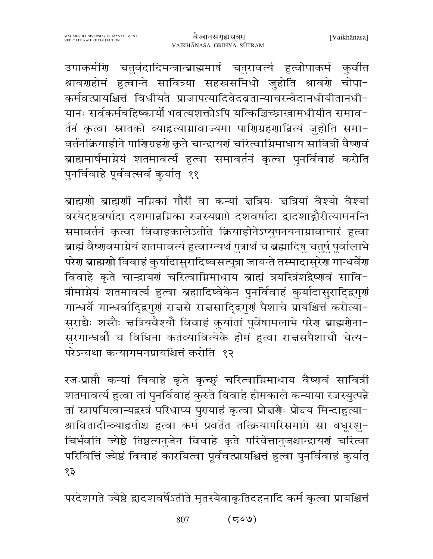उपाकर्मणि चतुर्वदादिमन्त्रान्ब्राह्ममार्षं चतुरावर्त्य हुत्वोपाकर्म कुर्वात श्रावराहोमं हुत्वान्ते सावित्र्या सहस्रसमिधो जुहोति श्रावरो चोपा-कर्मवत्प्रायश्चित्तं विधीयते प्राजापत्यादिवेदव्रतान्याचरन्वेदानधीयीतानधी-यानः सर्वकर्मबहिष्कार्यो भवत्यशक्तोऽपि यत्किञ्चिच्छाखामधीयीत समाव-र्तनं कृत्वा स्नातको व्याहृत्याग्नावाज्यमा पाणिग्रहणान्नित्यं जुहोति समा-वर्तनक्रियाहीने पारिाग्रहरो कृते चान्द्रायरां चरित्वाग्निमाधाय सावित्रीं वैष्णवं ब्राह्ममार्षमाग्नेयं शतमावर्त्य हुत्वा समावर्तनं कृत्वा पुनर्विवाहं करोति पुनर्विवाहे पूर्ववत्सर्वं कुर्यात् ११

ब्राह्मणो ब्राह्मणीं नग्निकां गौरीं वा कन्यां चत्रियः चत्रियां वैश्यो वैश्यां वरयेदष्टवर्षादा दशमान्नग्निका रजस्यप्राप्ते दशवर्षादा द्वादशाद्गौरीत्यामनन्ति समावर्तनं कृत्वा विवाहकालेऽतीते क्रियाहीनेऽप्युपनयनाम्रावाघारं हुत्वा ब्राह्मं वैष्णवमाग्नेयं शतमावर्त्य हुत्वाग्न्यर्थं पुत्रार्थं च ब्रह्मादिषु चतुर्षु पूर्वालाभे परेण ब्राह्मणो विवाहं कुर्यादासुरादिष्वसत्पुत्रा जायन्ते तस्मादासुरेण गान्धर्वेण विवाहे कृते चान्द्रायणं चरित्वाग्निमाधाय ब्राह्मं त्रयस्त्रिंशद्वैष्णवं सावि-त्रीमाग्नेयं शतमावर्त्य हत्वा ब्रह्मादिष्वेकेन पुनर्विवाहं कुर्यादासुरादिद्वगुर्ग गान्धर्वे गान्धर्वादिद्वगुणं राचसे राचसादिद्वगुणं पैशाचे प्रायश्चित्तं करोत्या-सुराद्यैः शस्तैः चत्रियवैश्यौ विवाहं कुर्यातां पूर्वेषामलाभे परेण ब्राह्मणेना-सुरगान्धर्वो च विधिना कर्तव्यावित्येके होमं हुत्वा राज्ञसपैशाचौ चेत्य-परेऽन्यथा कन्यागमनप्रायश्चित्तं करोति १२

रजःप्राप्तौ कन्यां विवाहे कृते कृच्छूं चरित्वाग्निमाधाय वैष्णवं सावित्रीं शतमावर्त्य हत्वा तां पुनर्विवाहं कुरुते विवाहे होमकाले कन्याया रजस्युत्पन्ने तां स्नापयित्वान्यद्वस्त्रं परिधाप्य पुरायाहं कृत्वा प्रोत्तर्णैः प्रोद्तय मिन्दाहुत्या-श्रावितादीन्व्याहृतीश्च हुत्वा कर्म प्रवर्तेत तत्क्रियापरिसमाप्ते सा वधूरशु-चिर्भवति ज्येष्ठे तिष्ठत्यनुजेन विवाहे कृते परिवेत्तानुजश्चान्द्रायणं चरित्वा परिवित्तिं ज्येष्ठं विवाहं कारयित्वा पूर्ववत्प्रायश्चित्तं हुत्वा पुनर्विवाहं कुर्यात् १३

परदेशगते ज्येष्ठे द्वादशवर्षेऽतीते मृतस्येवाकृतिदहनादि कर्म कृत्वा प्रायश्चित्तं

 $(500)$ 807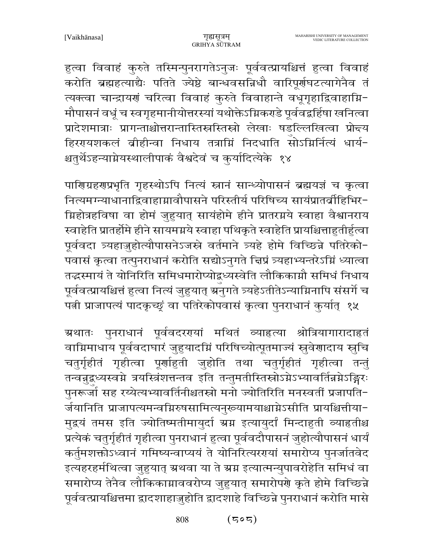हुत्वा विवाहं कुरुते तस्मिन्पुनरागतेऽनुजः पूर्ववत्प्रायश्चित्तं हुत्वा विवाहं करोति ब्रह्महत्याद्यैः पतिते ज्येष्ठे बान्धवसन्निधौ वारिपूर्णघटत्यागेनैव तं त्यक्त्वा चान्द्रायणं चरित्वा विवाहं कुरुते विवाहान्ते वधूगृहाद्विवाहाग्नि-मौपासनं वधूं च स्वगृहमानीयोत्तरस्यां यथोक्तेऽग्निकराडे पूर्ववद्वहिंषा खनित्वा प्रादेशमात्राः प्रागन्ताश्चोत्तरान्तास्तिस्रस्तिस्रो लेखाः षडल्लिखित्वा प्रोन्दय हिररयाशकलं ब्रीहीन्वा निधाय तत्राग्निं निदधाति सोऽग्निर्नित्यं धार्य-श्चतुर्थेऽहन्याग्नेयस्थालीपाकं वैश्वदेवं च कुर्यादित्येके १४

पाणिग्रहणप्रभृति गृहस्थोऽपि नित्यं स्नानं सान्ध्योपासनं ब्रह्मयज्ञं च कृत्वा नित्यमग्न्याधानाद्विवाहाग्नावौपासने परिस्तीर्य परिषिच्य सायंप्रातर्व्रीहिभिर-ग्निहोत्रहविषा वा होमं जुहुयात् सायंहोमे हीने प्रातरग्नये स्वाहा वैश्वानराय स्वाहेति प्रातर्होमे हीने सायमग्नये स्वाहा पथिकृते स्वाहेति प्रायश्चित्ताहुतीर्हुत्वा पूर्ववदा त्र्यहाज़ुहोत्यौपासनेऽजस्त्रे वर्तमाने त्र्यहे होमे विच्छिन्ने पतिरेको-पवासं कृत्वा तत्पुनराधानं करोति सद्योऽनुगते चिप्रं त्र्यहाभ्यन्तरेऽग्निं ध्यात्वा तद्धस्मायं ते योनिरिति समिधमारोप्योद्बध्यस्वेति लौकिकाग्नौ समिधं निधाय पूर्ववत्प्रायश्चित्तं हुत्वा नित्यं जुहुयात् ग्रनुगते त्र्यहेऽतीतेऽन्याग्निनापि संसर्गे च पत्नी प्राजापत्यं पादकृच्छ्रं वा पतिरेकोपवासं कृत्वा पुनराधानं कुर्यात् १५

ग्र्रथातः पुनराधानं पूर्ववदररयां मथितं व्याहत्या श्रोत्रियागारादाहृतं वाम्रिमाधाय पूर्ववदाघारं जुहुयादम्निं परिषिच्योत्पूतमाज्यं स्रुवेणादाय स्नुचि चतुर्गृहीतं गृहीत्वा पूर्णाहुती जुहोति तथा चतुर्गृहीतं गृहीत्वा तन्तुं तन्वनुद्वध्यस्वग्ने त्रयस्त्रिंशत्तन्तव इति तन्तुमतीस्तिस्रोऽग्नेऽभ्यावर्तिन्नग्नेऽङ्गिरः पुनरूजो सह रय्येत्यभ्यावर्तिनीश्चतस्रो मनो ज्योतिरिति मनस्वतीं प्रजापति-र्जयानिति प्राजापत्यमन्वग्निरुषसामित्यनुरूयामयाश्चाग्नेऽसीति प्रायश्चित्तीया-मुद्रयं तमस इति ज्योतिष्मतीमायुर्दा ग्रग्न इत्यायुर्दां मिन्दाहुती व्याहृतीश्च प्रत्येकं चतुर्गृहीतं गृहीत्वा पुनराधानं हुत्वा पूर्ववदौपासनं जुहोत्यौपासनं धार्यं कर्तुमशक्तोऽध्वानं गमिष्यन्वाप्ययं ते योनिरित्यरगयां समारोप्य पुनर्जातवेद इत्यहरहर्मथित्वा जुहुयात् ग्रथवा या ते ग्रग्न इत्यात्मन्युपावरोहेति समिधं वा समारोप्य तेनैव लौकिकाम्राववरोप्य जुहुयात् समारोपणे कृते होमे विच्छिन्ने पूर्ववत्प्रायश्चित्तमा द्वादशाहाजुहोति द्वादशाहे विच्छिन्ने पुनराधानं करोति मासे

> 808  $(505)$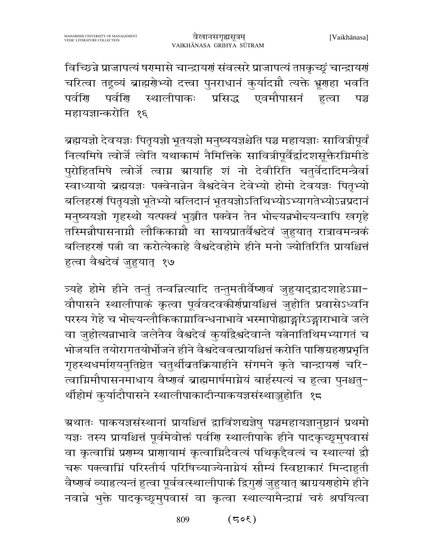विच्छिन्ने प्राजापत्यं षरामासे चान्द्रायणं संवत्सरे प्राजापत्यं तप्तकृच्छुं चान्द्रायणं चरित्वा तद्गुव्यं ब्राह्मगेभ्यो दत्त्वा पुनराधानं कुर्यादग्नौ त्यक्ते भ्रूगहा भवति एवमौपासनं पर्वाण पर्वणि स्थालीपाकः प्रसिद्ध हत्वा पञ्च महायज्ञान्करोति १६

ब्रह्मयज्ञो देवयज्ञः पितृयज्ञो भूतयज्ञो मनुष्ययज्ञश्चेति पञ्च महायज्ञाः सावित्रीपूर्वं नित्यमिषे त्वोर्जे त्वेति यथाकामं नैमित्तिके सावित्रीपूर्वैर्द्वादशसूक्तैरग्निमीडे पुरोहितमिषे त्वोर्जे त्वाग्न स्रायाहि शं नो देवीरिति चतुर्वेदादिमन्त्रैर्वा स्वाध्यायो ब्रह्मयज्ञः पक्वेनान्नेन वैश्वदेवेन देवेभ्यो होमो देवयज्ञः पितृभ्यो बलिहरणं पितृयज्ञो भूतेभ्यो बलिदानं भूतयज्ञोऽतिथिभ्योऽभ्यागतेभ्योऽन्नप्रदानं मनुष्ययज्ञो गृहस्थो यत्पक्वं भुञ्जीत पक्वेन तेन भोन्त्यन्नभोन्त्यन्वापि खगृहे तस्मिन्नौपासनाम्नौ लौकिकाम्नौ वा सायप्रातर्वैश्वदेवं जुहुयात् रात्रावमन्त्रकं बलिहरणं पत्नी वा करोत्येकाहे वैश्वदेवहोमे हीने मनो ज्योतिरिति प्रायश्चित्तं हत्वा वैश्वदेवं जुहयात् १७

त्र्यहे होमे हीने तन्तुं तन्वन्नित्यादि तन्तुमतीर्वैष्णवं जुहुयाद्द्वादशाहेऽग्ना-वौपासने स्थालीपाकं कृत्वा पूर्ववदवकीर्णप्रायश्चित्तं जुहोति प्रवासेऽध्वनि परस्य गेहे च भोद्त्यन्लौकिकाम्राविन्धनाभावे भस्मापोह्याङ्गारेऽङ्गाराभावे जले वा जुहोत्यन्नाभावे जलेनैव वैश्वदेवं कुर्याद्वैश्वदेवान्ते यत्नेनातिथिमभ्यागतं च भोजयति तयोरागतयोर्भोजने हीने वैश्वदेववत्प्रायश्चित्तं करोति पाणिग्रहणप्रभृति गृहस्थधर्मागयनुतिष्ठेत चतुर्थीव्रतक्रियाहीने संगमने कृते चान्द्रायणं चरि-त्वाग्निमौपासनमाधाय वैष्णवं ब्राह्ममार्षमाग्नेयं बार्हस्पत्यं च हुत्वा पुनश्चतु-र्थीहोमं कुर्यादौपासने स्थालीपाकादीन्पाकयज्ञसंस्थाञ्जुहोति १८

ग्रथातः पाकयज्ञसंस्थानां प्रायश्चित्तं द्वाविंशद्यज्ञेषु पञ्चमहायज्ञानुष्ठानं प्रथमो यज्ञः तस्य प्रायश्चित्तं पूर्वमेवोक्तं पर्वणि स्थालीपाके हीने पादकृच्छूमुपवासं वा कृत्वामिं प्रगम्य प्रागायामं कृत्वामिदैवत्यं पथिकृदैवत्यं च स्थाल्यां द्वौ चरू पक्त्वाम्निं परिस्तीर्य परिषिच्याज्येनाम्नेयं सौम्यं स्विष्टाकारं मिन्दाहृती वैष्णवं व्याहत्यन्तं हुत्वा पूर्ववत्स्थालीपाकं द्विगुणं जुहुयात् स्राग्रयणहोमे हीने नवान्ने भुक्ते पादकृच्छूमुपवासं वा कृत्वा स्थाल्यामैन्द्राग्नं चरुं श्रपयित्वा

> 809  $(305)$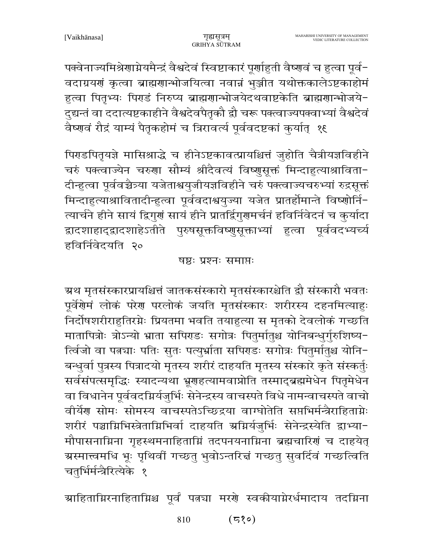पक्वेनाज्यमिश्रेणाग्नेयमैन्द्रं वैश्वदेवं स्विष्टाकारं पूर्णाहुती वैष्णवं च हुत्वा पूर्व-वदाग्रयणं कृत्वा ब्राह्मणान्भोजयित्वा नवान्नं भुञ्जीत यथोक्तकालेऽष्टकाहोमं हुत्वा पितृभ्यः पिराडं निरुप्य ब्राह्मणान्भोजयेदथवाष्टकेति ब्राह्मणान्भोजये-दुद्यन्तं वा ददात्यष्टकाहीने वैश्वदेवपैतृकौ द्रौ चरू पक्त्वाज्यपक्वाभ्यां वैश्वदेवं वैष्णवं रौद्रं याम्यं पैतृकहोमं च त्रिरावर्त्य पूर्ववदष्टकां कुर्यात् १६

पिराडपितृयज्ञे मासिश्राद्धे च हीनेऽष्टकावत्प्रायश्चित्तं जुहोति चैत्रीयज्ञविहीने चरुं पक्त्वाज्येन चरुणा सौम्यं श्रीदैवत्यं विष्णुसूक्तं मिन्दाहृत्याश्राविता-दीन्हुत्वा पूर्ववच्चैत्र्या यजेताश्वयुजीयज्ञविहीने चरुं पक्त्वाज्यचरुभ्यां रुद्रसूक्तं मिन्दाहुत्याश्रावितादीन्हुत्वा पूर्ववदाश्वयुज्या यजेत प्रातर्होमान्ते विष्णोर्नि-त्यार्चने हीने सायं द्विगुर्ग सायं हीने प्रातर्द्विगुगुमर्चनं हविर्निवेदनं च कुर्यादा द्वादशाहाद्द्वादशाहेऽतीते पुरुषसूक्तविष्णुसूक्ताभ्यां हुत्वा पूर्ववदभ्यच्यं हविर्निवेदयति २०

#### षष्ठः प्रश्नः समाप्तः

ग्रथ मृतसंस्कारप्रायश्चित्तं जातकसंस्कारो मृतसंस्कारश्चेति द्वौ संस्कारौ भवतः पूर्वेंगेमं लोकं परेग परलोकं जयति मृतसंस्कारः शरीरस्य दहनमित्याहुः निर्दोषशरीराहुतिरग्नेः प्रियतमा भवति तयाहुत्या स मृतको देवलोकं गच्छति मातापित्रोः त्रोऽन्यो भ्राता सपिराडः सगोत्रः पितुर्मातुश्च योनिबन्धुर्गुरुशिष्य-र्त्विजो वा पत्नचाः पतिः सुतः पत्युर्भ्राता सपिराडः सगोत्रः पितुर्मातुश्च योनि-बन्धर्वा पुत्रस्य पित्रादयो मृतस्य शरीरं दाहयति मृतस्य संस्कारे कृते संस्कर्तुः सर्वसंपत्समृद्धिः स्यादन्यथा भ्रूणहत्यामवाप्नोति तस्माद्ब्रह्ममेधेन पितृमेधेन वा विधानेन पूर्ववदग्निर्यजुर्भिः सेनेन्द्रस्य वाचस्पते विधे नामन्वाचस्पते वाचो वीर्येश सोमः सोमस्य वाचस्पतेऽच्छिद्रया वाग्घोतेति सप्तभिर्मन्त्रैराहिताग्नेः शरीरं पञ्चाम्निभिस्त्रेताम्निभिर्वा दाहयति अमिर्यजुर्भिः सेनेन्द्रस्येति द्वाभ्या-मौपासनाग्निना गृहस्थमनाहिताग्निं तदपनयनाग्निना ब्रह्मचारिणं च दाहयेत् ग्रस्मात्त्वमधि भूः पृथिवीं गच्छतु भुवोऽन्तरित्तं गच्छतु सुवर्दिवं गच्छत्विति चतुर्भिर्मन्त्रैरित्येके १

ग्राहिताग्निरनाहिताग्निश्च पूर्वं पत्नचा मरणे स्वकीयाग्नेरर्धमादाय तदग्निना

 $(530)$ 810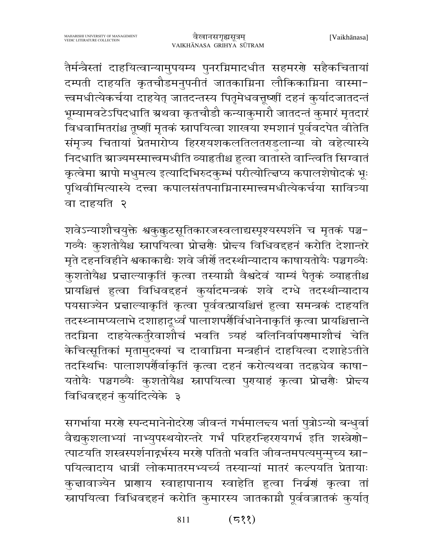तैर्मन्त्रैस्तां दाहयित्वान्यामुपयम्य पुनरग्निमादधीत सहमरणे सहैकचितायां दम्पती दाहयति कृतचौडमनुपनीतं जातकाग्निना लौकिकाग्निना वास्मा-त्त्वमधीत्येकर्चया दाहयेत् जातदन्तस्य पितृमेधवत्तूष्णीं दहनं कुर्यादजातदन्तं भूम्यामवटेऽपिदधाति ग्रथवा कृतचौडौ कन्याकुमारौ जातदन्तं कुमारं मृतदारं विधवामितरांश्च तूर्ष्णौ मृतकं स्नापयित्वा शाखया श्मशानं पूर्ववदपेत वीतेति संमृज्य चितायां प्रेतमारोप्य हिररायशकलतिलतराडलान्या वो वहेत्यास्ये निदधाति स्राज्यमस्मात्त्वमधीति व्याहृतीश्च हुत्वा वातास्ते वान्त्विति सिग्वातं कृत्वेमा ग्रापो मधुमत्य इत्यादिभिरुदकुम्भं परीत्योत्त्विप्य कपालशेषोदकं भूः पृथिवीमित्यास्ये दत्त्वा कपालसंतपनाग्निनास्मात्त्वमधीत्येकर्चया सावित्र्या वा दाहयति २

शवेऽन्याशौचयुक्ते श्वकुक्कुटसूतिकारजस्वलाद्यस्पृश्यस्पर्शने च मृतकं पञ्च-गव्यैः कुशतोयैश्च स्नापयित्वा प्रोत्तर्यैः प्रोन्दय विधिवद्दृतं करोति देशान्तरे मृते दहनविहीने श्वकाकाद्यैः शवे जीर्णे तदस्थीन्यादाय काषायतोयैः पञ्चगव्यैः कुशतोयैश्च प्रन्नाल्याकृतिं कृत्वा तस्याग्नौ वैश्वदेवं याम्यं पैतृकं व्याहृतीश्च प्रायश्चित्तं हुत्वा विधिवद्दहनं कुर्यादमन्त्रकं शवे दग्धे तदस्थीन्यादाय पयसाज्येन प्रज्ञाल्याकृतिं कृत्वा पूर्ववत्प्रायश्चित्तं हुत्वा समन्त्रकं दाहयति तदस्थ्नामप्यलाभे दशाहादूर्ध्वं पालाशपर्णैर्विधानेनाकृतिं कृत्वा प्रायश्चित्तान्ते तदग्निना दाहयेत्कर्तुरेवाशौचं भवति त्र्यहं बलिनिर्वापरणमाशौचं चेति केचित्सूतिकां मृतामुदक्यां च दावाग्निना मन्त्रहीनं दाहयित्वा दशाहेऽतीते तदस्थिभिः पालाशपर्णैर्वाकृतिं कृत्वा दहनं करोत्यथवा तदह्रचेव काषा-यतोयैः पञ्चगव्यैः कुशतोयैश्च स्नापयित्वा पुरायाहं कृत्वा प्रोत्तर्यैः प्रोन्त्य विधिवद्दहनं कर्यादित्येके ३

सगर्भाया मरणे स्पन्दमानेनोदरेण जीवन्तं गर्भमालन्दय भर्ता पुत्रोऽन्यो बन्धुर्वा वैद्यकुशलाभ्यां नाभ्युपस्थयोरन्तरे गर्भं परिहरन्हिररयगर्भ इति शस्त्रेणो-त्पाटयति शस्त्रस्पर्शनाद्गर्भस्य मरणे पतितो भवति जीवन्तमपत्यमुन्मुच्य स्ना-पयित्वादाय धात्रीं लोकमातरमभ्यर्च्य तस्यान्यां मातरं कल्पयति प्रेतायाः कुचावाज्येन प्राणाय स्वाहापानाय स्वाहेति हुत्वा निर्वर्णं कृत्वा तां स्नापयित्वा विधिवद्दृतं करोति कुमारस्य जातकाग्नौ पूर्ववज्जातकं कुर्यात्

> $(533)$ 811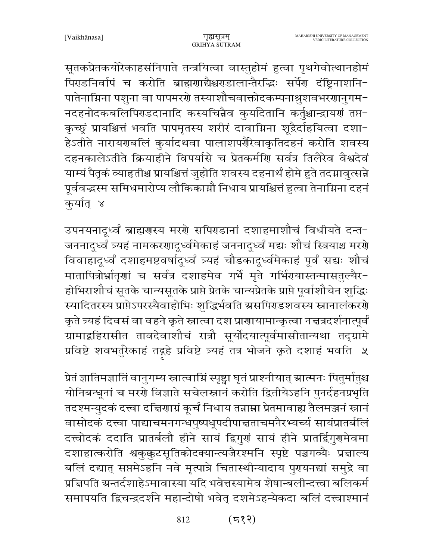सूतकप्रेतकयोरेकाहसंनिपाते तन्त्रयित्वा वास्तुहोमं हुत्वा पृथगेवोत्थानहोमं पिराडनिर्वापं च करोति ब्राह्मणाद्यैश्चराडालान्तैरद्धिः सर्पेण दंष्ट्रिनाशनि-पातेनाग्निना पशुना वा पापमरणे तस्याशौचवाक्तोदकम्पनाश्रुशवभरणानुगम-नदहनोदकबलिपिराडदानादि कस्यचिन्नैव कुर्यादेतानि कर्तुश्चान्द्रायणं तप्त-कृच्छूं प्रायश्चित्तं भवति पापमृतस्य शरीरं दावाग्निना शूद्रैर्दाहयित्वा दशा-हेऽतीते नारायरणबलिं कुर्यादथवा पालाशपर्णैरेवाकृतिदहनं करोति शवस्य दहनकालेऽतीते क्रियाहीने विपर्यासे च प्रेतकर्मणि सर्वत्र तिलैरेव वैश्वदेवं याम्यं पैतृकं व्याहृतीश्च प्रायश्चित्तं जुहोति शवस्य दहनार्थं होमे हुते तदग्नावृत्सन्ने पूर्ववद्धस्म समिधमारोप्य लौकिकाग्नौ निधाय प्रायश्चित्तं हुत्वा तेनाग्निना दहनं कुर्यात् ४

उपनयनादूर्ध्वं ब्राह्मरास्य मररो सपिराडानां दशाहमाशौचं विधीयते दन्त-जननादुर्ध्वं त्र्यहं नामकरणादुर्ध्वमेकाहं जननादुर्ध्वं मद्यः शौचं स्त्रियाश्च मरणे विवाहादूर्ध्वं दशाहमष्टवर्षादूर्ध्वं त्र्यहं चौडकादूर्ध्वमेकाहं पूर्वं सद्यः शौचं मातापित्रोर्भ्रातृणां च सर्वत्र दशाहमेव गर्भे मृते गर्भिगयास्तन्मासतुल्यैर-होभिराशौचं सूतके चान्यसूतके प्राप्ते प्रेतके चान्यप्रेतके प्राप्ते पूर्वाशौचेन शुद्धिः स्यादितरस्य प्राप्तेऽपरस्यैवाहोभिः शुद्धिर्भवति ग्रसपिराडशवस्य स्नानालंकररो कृते त्र्यहं दिवसं वा वहने कृते स्नात्वा दश प्राणायामान्कृत्वा नच्चत्रदर्शनात्पूर्वं ग्रामाद्बहिरासीत तावदेवाशौचं रात्रौ सूर्योदयात्पूर्वमासीतान्यथा तद्ग्रामे प्रविष्टे शवभर्तुरेकाहं तद्गहे प्रविष्टे त्र्यहं तत्र भोजने कृते दशाहं भवति ५

प्रेतं ज्ञातिमज्ञातिं वानुगम्य स्नात्वाम्निं स्पृष्ट्वा घृतं प्राश्नीयात् स्रात्मनः पितुर्मातुश्च योनिबन्धूनां च मरणे विज्ञाते सचेलस्नानं करोति द्वितीयेऽहनि पुनर्दहनप्रभृति तदश्मन्युदकं दत्त्वा दत्त्विणाग्रं कूर्चं निधाय तन्नाम्ना प्रेतमावाह्य तैलमञ्जनं स्नानं वासोदकं दत्त्वा पाद्याचमनगन्धपुष्पधूपदीपाच्तताचमनैरभ्यर्च्य सायंप्रातर्बलिं दत्त्वोदकं ददाति प्रातर्बलौ हीने सायं द्विगुणं सायं हीने प्रातर्द्विगुणमेवमा दशाहात्करोति श्वकुक्कुटसूतिकोदक्यान्त्यजैरश्मनि स्पृष्टे पञ्चगव्यैः प्रज्ञाल्य बलिं दद्यात् सप्तमेऽहनि नवे मृत्पात्रे चितास्थीन्यादाय पुरायनद्यां समुद्रे वा प्रचिपति ग्रन्तर्दशाहेऽमावास्या यदि भवेत्तस्यामेव शेषान्बलीन्दत्त्वा बलिकर्म समापयति द्विचन्द्रदर्शने महान्दोषो भवेत् दशमेऽहन्येकदा बलिं दत्त्वाश्मानं

> $(533)$ 812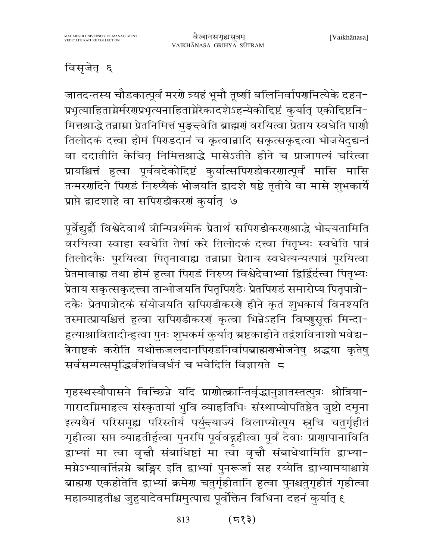### विसृजेत् ६

जातदन्तस्य चौडकात्पूर्वं मरगे त्र्यहं भूमौ तूष्णीं बलिनिर्वापगमित्येके दहन-प्रभृत्याहिताग्नेर्मरणप्रभृत्यनाहिताग्नेरेकादशेऽहन्येकोद्दिष्टं कुर्यात् एकोद्दिष्टनि-मित्तश्राद्धे तन्नाम्ना प्रेतनिमित्तं भुङ्च्वेति ब्राह्मणं वरयित्वा प्रेताय स्वधेति पाणौ तिलोदकं दत्त्वा होमं पिराडदानं च कृत्वान्नादि सकृत्सकृदत्वा भोजयेदुद्यन्तं वा ददातीति केचित् निमित्तश्राद्धे मासेऽतीते हीने च प्राजापत्यं चरित्वा प्रायश्चित्तं हुत्वा पूर्ववदेकोद्दिष्टं कुर्यात्सपिराडीकरणात्पूर्वं मासि मासि तन्मरणदिने पिराडं निरुप्यैकं भोजयति द्वादशे षष्ठे तृतीये वा मासे शुभकार्ये प्राप्ते द्वादशाहे वा सपिराडीकरणं कुर्यात् ७

पूर्वेद्युद्वौ विश्वेदेवार्थं त्रीन्पित्रर्थमेकं प्रेतार्थं सपिराडीकरराश्राद्धे भोन्त्यतामिति वरयित्वा स्वाहा स्वधेति तेषां करे तिलोदकं दत्त्वा पितृभ्यः स्वधेति पात्रं तिलोदकैः पूरयित्वा पितृनावाह्य तन्नाम्ना प्रेताय स्वधेत्यन्यत्पात्रं पूरयित्वा प्रेतमावाह्य तथा होमं हुत्वा पिराडं निरुप्य विश्वेदेवाभ्यां द्विर्द्विर्दत्त्वा पितृभ्यः प्रेताय सकृत्सकृद्त्त्वा तान्भोजयति पितृपिराडैः प्रेतपिराडं समारोप्य पितृपात्रो-दकैः प्रेतपात्रोदकं संयोजयति सपिराडीकरणे हीने कृतं शुभकार्यं विनश्यति तस्मात्प्रायश्चित्तं हुत्वा सपिराडीकरणं कृत्वा भिन्नेऽहनि विष्णुसूक्तं मिन्दा-हुत्याश्रावितादीन्हुत्वा पुनः शुभकर्म कुर्यात् ग्रष्टकाहीने तद्वंशविनाशो भवेद्य-त्नेनाष्टकं करोति यथोक्तजलदानपिराडनिर्वापब्राह्मणभोजनेषु श्रद्धया कृतेषु सर्वसम्पत्समृद्धिर्वशविवर्धनं च भवेदिति विज्ञायते 5

गृहस्थस्यौपासने विच्छिन्ने यदि प्राणोत्क्रान्तिर्वृद्धानुज्ञातस्तत्पुत्रः श्रोत्रिया-गारादग्निमाहत्य संस्कृतायां भुवि व्याहतिभिः संस्थाप्योपतिष्ठेत जुष्टो दमूना इत्यथैनं परिसमूह्य परिस्तीर्य पर्युन्त्याज्यं विलाप्योत्पूय स्तुचि चतुर्गृहीतं गृहीत्वा सप्त व्याहृतीर्हुत्वा पुनरपि पूर्ववद्गहीत्वा पूर्वं देवाः प्राणापानाविति द्वाभ्यां मा त्वा वृत्तौ संबाधिष्टां मा त्वा वृत्तौ संबाधेथामिति द्वाभ्या-मग्नेऽभ्यावर्तिन्नग्ने ग्रङ्गिर इति द्वाभ्यां पुनरूर्जा सह रय्येति द्वाभ्यामयाश्चाग्ने ब्राह्मण एकहोतेति द्वाभ्यां क्रमेण चतुर्गृहीतानि हुत्वा पुनश्चतुगृहीतं गृहीत्वा महाव्याहतीश्च जुहुयादेवमग्निमुत्पाद्य पूर्वोक्तेन विधिना दहनं कुर्यात् ६

> $(535)$ 813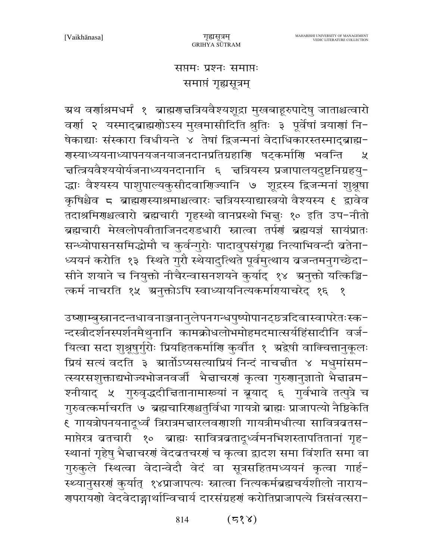#### सप्तमः प्रश्नः समाप्तः समाप्तं गृह्यसूत्रम्

ग्रथ वर्णाश्रमधर्मं १ ब्राह्मराज्ञत्रियवैश्यशूद्रा मुखबाहूरुपादेषु जाताश्चत्वारो वर्णा २ यस्माद्ब्राह्मणोऽस्य मुखमासीदिति श्रुतिः ३ पूर्वेषां त्रयाणां नि-षेकाद्याः संस्कारा विधीयन्ते ४ तेषां द्विजन्मनां वेदाधिकारस्तस्माद्ब्राह्म-गस्याध्ययनाध्यापनयजनयाजनदानप्रतिग्रहाणि षट्कर्माणि भवन्ति  $\chi$ चत्त्रियवैश्ययोर्यजनाध्ययनदानानि ६ चत्रियस्य प्रजापालयदुष्टनिग्रहयु− द्धाः वैश्यस्य पाशुपाल्यकुसीदवाणिज्यानि ७ शूद्रस्य द्विजन्मनां शुश्रूषा कृषिश्चैव ८ ब्राह्मणस्याश्रमाश्चत्वारः त्तत्रियस्याद्यास्त्रयो वैश्यस्य ६ द्वावेव तदाश्रमिराश्चत्वारो ब्रह्मचारी गृहस्थो वानप्रस्थो भिन्नुः १० इति उप-नीतो ब्रह्मचारी मेखलोपवीताजिनदराडधारी स्नात्वा तर्पणं ब्रह्मयज्ञं सायंप्रातः सन्ध्योपासनसमिद्धोमौ च कुर्वन्गुरोः पादावुपसंगृह्य नित्याभिवन्दी ब्रतेना-ध्ययनं करोति १३ स्थिते गुरौ स्थेयादुत्थिते पूर्वमुत्थाय व्रजन्तमनुगच्छेदा-सीने शयाने च नियुक्तो नीचैरन्वासनशयने कुर्याद् १४ अनुक्तो यत्किञ्चि-त्कर्म नाचरति १५ अनुक्तोऽपि स्वाध्यायनित्यकर्मारयाचरेद् १६ १

उष्णाम्बुस्नानदन्तधावनाञ्जनानुलेपनगन्धपुष्पोपानट्छत्रदिवास्वापरेतःस्क-न्दस्त्रीदर्शनस्पर्शनमैथुनानि कामक्रोधलोभमोहमदमात्सर्यहिंसादीनि वर्ज-यित्वा सदा शुश्रूषुर्गुरोः प्रियहितकर्माणि कुर्वीत १ अद्वेषी वाक्चित्तानुकूलः प्रियं सत्यं वदति ३ म्रार्तोऽप्यसत्याप्रियं निन्दं नाचन्नीत ४ मधुमांसम-त्स्यरसशुक्ताद्यभोज्यभोजनवर्जी भैद्माचरणं कृत्वा गुरुणानुज्ञातो भैद्मान्नम-श्नीयाद् ५ गुरुवृद्धदीचितानामारूयां न ब्रूयाद् ६ गुर्वभावे तत्पुत्रे च गुरुवत्कर्माचरति ७ ब्रह्मचारिणश्चतुर्विधा गायत्रो ब्राह्मः प्राजापत्यो नैष्ठिकेति ९ गायत्रोपनयनादूर्ध्वं त्रिरात्रमज्ञारलवणाशी गायत्रीमधीत्या सावित्रव्रतस− माप्तेरत्र बतचारी १० ब्राह्मः सावित्रबतादूर्ध्वमनभिशस्तापतितानां गृह-स्थानां गृहेषु भैज्ञाचरणं वेदव्रतचरणं च कृत्वा द्वादश समा विंशति समा वा गुरुकुले स्थित्वा वेदान्वेदौ वेदं वा सूत्रसहितमध्ययनं कृत्वा गार्ह-स्थ्यानुसरणं कुर्यात् १४प्राजापत्यः स्नात्वा नित्यकर्मब्रह्मचर्यशीलो नाराय-गुपरायणो वेदवेदाङ्गार्थान्विचार्य दारसंग्रहगं करोतिप्राजापत्ये त्रिसंवत्सरा-

> $(5\%)$ 814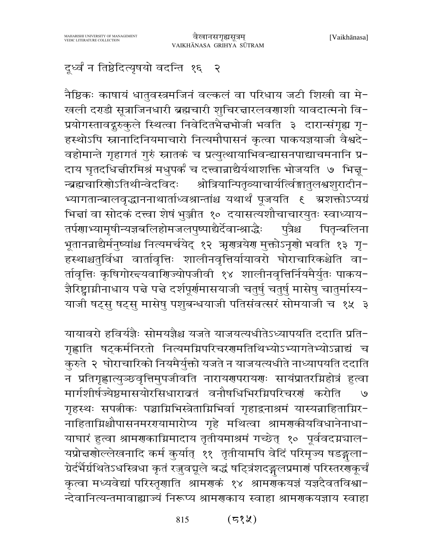## दूर्ध्वं न तिष्ठेदित्यृषयो वदन्ति १६ २

नैष्ठिकः काषायं धातुवस्त्रमजिनं वल्कलं वा परिधाय जटी शिखी वा मे-खली दर्गडी सूत्राजिनधारी ब्रह्मचारी शुचिरद्मारलवणाशी यावदात्मनो वि-प्रयोगस्तावद्गुरुकुले स्थित्वा निवेदितभैज्ञभोजी भवति ३ दारान्संगृह्य गृ-हस्थोऽपि स्नानादिनियमाचारो नित्यमौपासनं कृत्वा पाकयज्ञयाजी वैश्वदे-वहोमान्ते गृहागतं गुरुं स्नातकं च प्रत्युत्थायाभिवन्द्यासनपाद्याचमनानि प्र-दाय घृतदधिज्ञीरमिश्रं मधुपर्कं च दत्त्वान्नाद्यैर्यथाशक्ति भोजयति ७ भिज्ञू-श्रोत्रियान्पितृव्याचार्यत्विङ्गातुलश्वशुरादीन− न्ब्रह्मचारिणोऽतिथीन्वेदविदः भ्यागतान्बालवृद्धाननाथार्ताध्वश्रान्तांश्च यथार्थं पूजयति ६ त्रशक्तोऽप्यग्रं भिन्नां वा सोदकं दत्त्वा शेषं भुञ्जीत १० दयासत्यशौचाचारयुतः स्वाध्याय-तर्पणाभ्यामृषीन्यज्ञबलिहोमजलपुष्पाद्यैर्देवान्श्राद्धैः प्त्रैश्च पितन्बलिना भूतानन्नाद्यैर्मनुष्यांश्च नित्यमर्चयेद् १२ ॠणत्रयेण मुक्तोऽनृणो भवति १३ गृ− हस्थाश्चतुर्विधा वार्तावृत्तिः शालीनवृत्तिर्यायावरो घोराचारिकश्चेति वा-र्तावृत्तिः कृषिगोरन्दयवाणिज्योपजीवी १४ शालीनवृत्तिर्नियमैर्युतः पाकय-ज्ञैरिष्ट्वामीनाधाय पद्मे पद्मे दर्शपूर्णमासयाजी चतुर्षु चतुर्षु मासेषु चातुर्मास्य-याजी षट्सु षट्सु मासेषु पशुबन्धयाजी पतिसंवत्सरं सोमयाजी च १५ ३

यायावरो हविर्यज्ञैः सोमयज्ञैश्च यजते याजयत्यधीतेऽध्यापयति ददाति प्रति-गृह्णाति षट्कर्मनिरतो नित्यमग्निपरिचरणमतिथिभ्योऽभ्यागतेभ्योऽन्नाद्यं च कुरुते २ घोराचारिको नियमैर्युक्तो यजते न याजयत्यधीते नाध्यापयति ददाति न प्रतिगृह्णात्युञ्छ्वृत्तिमुपजीवति नारायणपरायणः सायंप्रातरग्निहोत्रं हुत्वा मार्गशीर्षज्येष्ठमासयोरसिधारावतं वनौषधिभिरम्रिपरिचरणं करोति  $\overline{e}$ गृहस्थः सपत्नीकः पञ्चाग्निभिस्त्रेताग्निभिर्वा गृहाद्वनाश्रमं यास्यन्नाहिताग्निर-नाहिताग्निश्चौपासनमररायामारोप्य गृहे मथित्वा श्रामराकीयविधानेनाधा-याघारं हुत्वा श्रामणकाग्निमादाय तृतीयमाश्रमं गच्छेत् १० पूर्ववदग्नचाल-यप्रोन्नगोल्लेखनादि कर्म कुर्यात् ११ तृतीयामपि वेदिं परिमृज्य षडङ्गला-ग्रेर्दर्भैर्ग्रथितेऽधस्त्रिधा कृतं रजुवद्मूले बद्धं षट्त्रिंशदङ्गलप्रमाणं परिस्तरग्जूर्चं कृत्वा मध्यवेद्यां परिस्तृणाति श्रामणकं १४ श्रामणकयज्ञं यज्ञदैवतविश्वा− न्देवानित्यन्तमावाह्याज्यं निरूप्य श्रामणकाय स्वाहा श्रामणकयज्ञाय स्वाहा

> (८१५) 815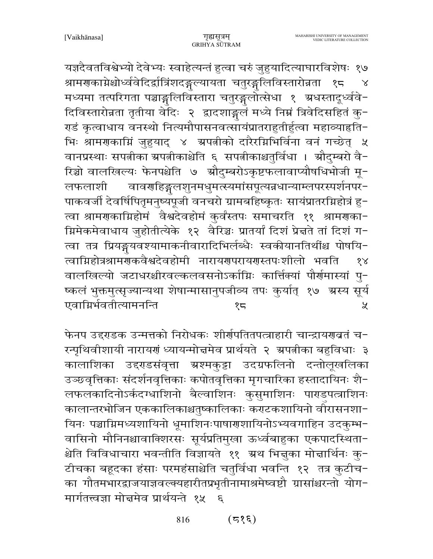यज्ञदैवतविश्वेभ्यो देवेभ्यः स्वाहेत्यन्तं हुत्वा चरुं जुहुयादित्याघारविशेषः १७ श्रामणकाग्नेश्चोर्ध्ववेदिर्द्वात्रिंशदङ्गल्यायता चतुरङ्गलिविस्तारोन्नता  $25$  $\lambda$ मध्यमा तत्परिगता पञ्चाङ्गलिविस्तारा चतुरङ्गलोत्सेधा १ ग्रधस्तादूर्ध्ववे-दिविस्तारोन्नता तृतीया वेदिः २ द्वादशाङ्गलं मध्ये निम्नं त्रिवेदिसहितं कु-राडं कृत्वाधाय वनस्थो नित्यमौपासनवत्सायंप्रातराहुतीर्हुत्वा महाव्याहति− भिः श्रामणकाम्निं जुहुयाद् ४ अपत्नीको दारैरम्निभिर्विना वनं गच्छेत् ५ वानप्रस्थाः सपत्नीका ग्रपत्नीकाश्चेति ६ सपत्नीकाश्चतुर्विधा । स्रौदुम्बरो वै-रिञ्चो वालखिल्यः फेनपश्चेति ७ औदुम्बरोऽकृष्टफलावाप्यौषधिभोजी मू-वावर्णाहङ्गलशुनमधुमत्स्यमांसपूत्यन्नधान्याम्लपरस्पर्शनपर-लफलाशी पाकवर्जी देवर्षिपितृमनुष्यपूजी वनचरो ग्रामबहिष्कृतः सायंप्रातरग्निहोत्रं हु-त्वा श्रामणकाम्निहोमं वैश्वदेवहोमं कुर्वंस्तपः समाचरति ११ श्रामणका-म्रिमेकमेवाधाय जुहोतीत्येके १२ वैरिञ्चः प्रातर्यां दिशं प्रेत्तते तां दिशं ग− त्वा तत्र प्रियङ्गयवश्यामाकनीवारादिभिर्लब्धैः स्वकीयानतिथींश्च पोषयि-त्वाग्निहोत्रश्रामणुकवैश्वदेवहोमी नारायणपरायणस्तपःशीलो भवति  $88$ वालखिल्यो जटाधरश्चीरवल्कलवसनोऽर्काग्निः कार्त्तिक्यां पौर्णमास्यां पू-ष्कलं भुक्तमुत्सृज्यान्यथा शेषान्मासानुपजीव्य तपः कुर्यात् १७ अस्य सूर्य एवाग्निर्भवतीत्यामनन्ति  $85$ ¥.

फेनप उद्दराडक उन्मत्तको निरोधकः शीर्णपतितपत्त्राहारी चान्द्रायगवतं च-रन्पृथिवीशायी नारायणं ध्यायन्मोत्तमेव प्रार्थयते २ अपतीका बहुविधाः ३ कालाशिका उद्दर्यडसंवृत्ता ग्रश्मकट्टा उदग्रफलिनो दन्तोलखलिका उञ्छ्वृत्तिकाः संदर्शनवृत्तिकाः कपोतवृत्तिका मृगचारिका हस्तादायिनः शै-लफलकादिनोऽर्कदग्धाशिनो बैल्वाशिनः कुसुमाशिनः पाराडपत्त्राशिनः कालान्तरभोजिन एककालिकाश्चतुष्कालिकाः कराटकशायिनो वीरासनशा-यिनः पञ्चाग्निमध्यशायिनो धूमाशिनःपाषाराशायिनोऽभ्यवगाहिन उदकुम्भ-वासिनो मौनिनश्चावाक्शिरसः सूर्यप्रतिमुखा ऊर्ध्वबाहुका एकपादस्थिता-श्चेति विविधाचारा भवन्तीति विज्ञायते ११ अथ भिन्नुका मोन्नार्थिनः कु-टीचका बहूदका हंसाः परमहंसाश्चेति चतुर्विधा भवन्ति १२ तत्र कुटीच-का गौतमभारद्वाजयाज्ञवल्क्यहारीतप्रभृतीनामाश्रमेष्वष्टौ ग्रासांश्चरन्तो योग-मार्गतत्त्वज्ञा मोन्नमेव प्रार्थयन्ते १५  $\mathcal{E}$ 

> $(5\$ 816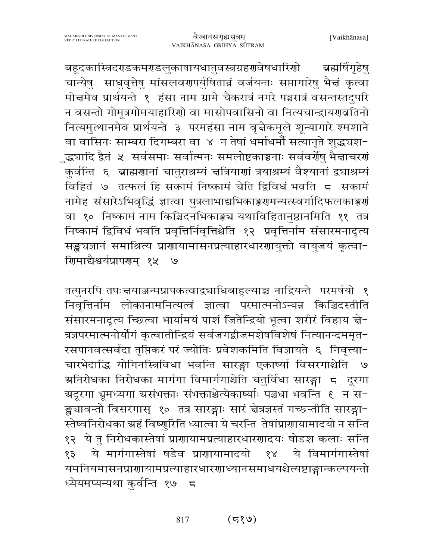बहूदकास्त्रिदरसडकमरसडलुकाषायधातुवस्त्रग्रहरणवेषधारिणो ब्रह्मर्षिगृहेषु चान्येषु साधुवृत्तेषु मांसलवरणपर्युषितान्नं वर्जयन्तः सप्तागारेषु भैद्मं कृत्वा मोत्तमेव प्रार्थयन्ते १ हंसा नाम ग्रामे चैकरात्रं नगरे पञ्चरात्रं वसन्तस्तदुपरि न वसन्तो गोमूत्रगोमयाहारिणो वा मासोपवासिनो वा नित्यचान्द्रायणबतिनो नित्यमुत्थानमेव प्रार्थयन्ते ३ परमहंसा नाम वृद्गैकमूले शून्यागारे श्मशाने वा वासिनः साम्बरा दिगम्बरा वा ४ न तेषां धर्माधर्मौ सत्यानृते शुद्धघश-ुद्ध्यादि द्वैतं ५ सर्वसमाः सर्वात्मनः समलोष्टकाञ्चनाः सर्ववर्णेषु भैज्ञाचरणं कुर्वन्ति ६ ब्राह्मणानां चातुराश्रम्यं चत्रियाणां त्रयाश्रम्यं वैश्यानां द्व्याश्रम्यं विहितं ७ तत्फलं हि सकामं निष्कामं चेति द्विविधं भवति ८ सकामं नामेह संसारेऽभिवृद्धिं ज्ञात्वा पुत्रलाभाद्यभिकाङ्गरामन्यत्स्वर्गादिफलकाङ्गरां वा १० निष्कामं नाम किञ्चिदनभिकाङ्मच यथाविहितानुष्ठानमिति ११ तत्र निष्कामं द्विविधं भवति प्रवृत्तिर्निवृत्तिश्चेति १२ प्रवृत्तिर्नाम संसारमनादृत्य सङ्खचज्ञानं समाश्रित्य प्राणायामासनप्रत्याहारधारणायुक्तो वायुजयं कृत्वा-णिमाद्यैश्वर्यप्रापरणम् १५ ७

तत्पुनरपि तपःचयाज्जन्मप्रापकत्वाद्व्याधिबाहुल्याच्च नाद्रियन्ते परमर्षयो १ निवृत्तिर्नाम लोकानामनित्यत्वं ज्ञात्वा परमात्मनोऽन्यन्न किञ्चिदस्तीति संसारमनादृत्य च्छित्वा भार्यामयं पाशं जितेन्द्रियो भूत्वा शरीरं विहाय चे-त्रज्ञपरमात्मनोर्योगं कृत्वातीन्द्रियं सर्वजगद्वीजमशेषविशेषं नित्यानन्दममृत-रसपानवत्सर्वदा तृप्तिकरं परं ज्योतिः प्रवेशकमिति विज्ञायते ६ निवृत्त्या-चारभेदाद्धि योगिनस्त्रिविधा भवन्ति सारङ्गा एकार्ष्या विसरगाश्चेति ७ ञ्चनिरोधका निरोधका मार्गगा विमार्गगाश्चेति चतुर्विधा सारङ्गा = दूरगा ङ्ख्यावन्तो विसरगास् १० तत्र सारङ्गाः सारं चेत्रज्ञस्तं गच्छन्तीति सारङ्गा-स्तेष्वनिरोधका ग्रहं विष्णुरिति ध्यात्वा ये चरन्ति तेषांप्राणायामादयो न सन्ति १२ ये तु निरोधकास्तेषां प्राणायामप्रत्याहारधारणादयः षोडश कलाः सन्ति ये मार्गगास्तेषां षडेव प्राणायामादयो ये विमार्गगास्तेषां  $88$ १३ यमनियमासनप्राणायामप्रत्याहारधारणाध्यानसमाधयश्चेत्यष्टाङ्गान्कल्पयन्तो ध्येयमप्यन्यथा कुर्वन्ति १७ ८

> $(5\sqrt{2})$ 817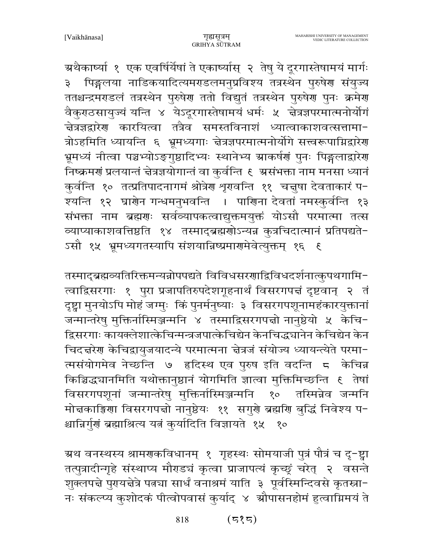ग्रथैकाष्यां १ एक एवर्षिर्येषां ते एकार्ष्यास् २ तेषु ये दूरगास्तेषामयं मार्गः ३ पिङ्गलया नाडिकयादित्यमराडलमनुप्रविश्य तत्रस्थेन पुरुषेण संयुज्य ततश्चन्द्रमंगडलं तत्रस्थेन पुरुषेग ततो विद्युतं तत्रस्थेन पुरुषेग पुनः क्रमेग वैकुराठसायुज्यं यन्ति ४ येऽदूरगास्तेषामयं धर्मः ५ चेत्रज्ञपरमात्मनोर्योगं ्<br>चेत्रज्ञद्वारेण कारयित्वा तत्रैव समस्तविनाशं ध्यात्वाकाशवत्सत्तामा-त्रोऽहमिति ध्यायन्ति ६ भ्रूमध्यगाः न्नेत्रज्ञपरमात्मनोर्योगे सत्त्वरूपाग्निद्वारेण भ्रूमध्यं नीत्वा पञ्चभ्योऽङ्गुष्ठादिभ्यः स्थानेभ्य म्राकर्षणं पुनः पिङ्गलाद्वारेण निष्क्रमणं प्रलयान्तं चेत्रज्ञयोगान्तं वा कुर्वन्ति १ ग्रसंभक्ता नाम मनसा ध्यानं कुर्वन्ति १० तत्प्रतिपादनागमं श्रोत्रेण शृगवन्ति ११ चत्तुषा देवताकारं प− श्यन्ति १२ घ्राणेन गन्धमनुभवन्ति । पाणिना देवतां नमस्कुर्वन्ति १३ संभक्ता नाम ब्रह्मणः सर्वव्यापकत्वाद्युक्तमयुक्तं योऽसौ परमात्मा तत्स व्याप्याकाशवत्तिष्ठति १४ तस्माद्ब्रह्मणोऽन्यन्न कुत्रचिदात्मानं प्रतिपद्यते-ऽसौ १५ भ्रूमध्यगतस्यापि संशयान्निष्प्रमार्गमेवेत्युक्तम् १६ ६

तस्माद्ब्रह्मव्यतिरिक्तमन्यन्नोपपद्यते विविधसरणाद्विविधदर्शनात्कुपथगामि-त्वाद्विसरगाः १ पुरा प्रजापतिरुपदेशगूहनार्थं विसरगपत्तं दृष्टवान् २ तं दृष्ट्वा मुनयोऽपि मोहं जग्मुः किं पुनर्मनुष्याः ३ विसरगपशूनामहंकारयुक्तानां जन्मान्तरेषु मुक्तिर्नास्मिञ्जन्मनि ४ तस्माद्विसरगपन्नो नानुष्ठेयो ५ केचि-द्विसरगाः कायक्लेशात्केचिन्मन्त्रजपात्केचिद्येन केनचिद्ध्यानेन केचिद्येन केन चिदत्तरेण केचिद्रायुजयादन्ये परमात्मना त्तेत्रजं संयोज्य ध्यायन्त्येते परमा-त्मसंयोगमेव नेच्छन्ति ७ हृदिस्थ एव पुरुष इति वदन्ति ८ केचिन्न किञ्चिद्ध्यानमिति यथोक्तानुष्ठानं योगमिति ज्ञात्वा मुक्तिमिच्छन्ति ६ तेषां विसरगपशूनां जन्मान्तरेषु मुक्तिर्नास्मिञ्जन्मनि १० तस्मिन्नेव जन्मनि मोत्तकाङ्गिणा विसरगपत्तो नानुष्ठेयः ११ सगुणे ब्रह्मणि बुद्धिं निवेश्य प-श्चान्निर्गुणं ब्रह्माश्रित्य यतं कुर्यादिति विज्ञायते १५ १०

ग्रथ वनस्थस्य श्रामगकविधानम् १ गृहस्थः सोमयाजी पुत्रं पौत्रं च दृ-ष्ट्वा तत्पुत्रादीन्गृहे संस्थाप्य मौराडचं कृत्वा प्राजापत्यं कृच्छ्रं चरेत् २ वसन्ते शुक्लपद्मे पुरायद्मेत्रे पत्न्या सार्धं वनाश्रमं याति ३ पूर्वस्मिन्दिवसे कृतस्रा-नः संकल्प्य कुशोदकं पीत्वोपवासं कुर्याद् ४ ग्रौपासनहोमं हुत्वाग्निमयं ते

> $(535)$ 818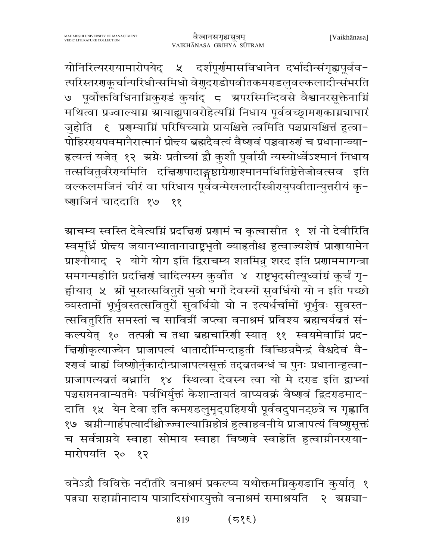योनिरित्यरगयामारोपयेद् ५ दर्शपूर्णमासविधानेन दर्भादीन्संगृह्यपूर्वव-त्परिस्तरगळूर्चान्परिधीन्समिधो वेगुदराडोपवीतकमराडलुवल्कलादीन्संभरति ७ पूर्वोक्तविधिनाम्निकुराडं कुर्याद् ८ ग्रपरस्मिन्दिवसे वैश्वानरसूक्तेनाम्नि मथित्वा प्रज्वाल्याग्न स्रायाह्युपावरोहेत्यग्निं निधाय पूर्ववच्छ्रामरणकाग्रंघाघारं जुहोति ह प्रणम्याग्निं परिषिच्याग्ने प्रायश्चित्ते त्वमिति पञ्चप्रायश्चित्तं हुत्वा− पोहिररयपवमानैरात्मानं प्रोद्त्य ब्रह्मदैवत्यं वैष्णवं पञ्चवारुणं च प्रधानान्व्या-हत्यन्तं यजेत् १२ अग्नेः प्रतीच्यां द्वौ कुशौ पूर्वाग्रौ न्यस्योर्ध्वेऽश्मानं निधाय तत्सवितुर्वरेरायमिति दच्चिरणपादाङ्गष्ठाग्रेणाश्मानमधितिष्ठेत्तेजोवत्सव इति वल्कलमजिनं चीरं वा परिधाय पूर्वेवन्मेखलादींस्त्रीरययुपवीतान्युत्तरीयं कृ− ष्णाजिनं चाददाति १७ ११

ग्राचम्य स्वस्ति देवेत्यम्निं प्रदत्तिरां प्रशामं च कृत्वासीत १ शं नो देवीरिति स्वमूर्धि प्रोन्दय जयानभ्यातानान्राष्ट्रभूतो व्याहतीश्च हुत्वाज्यशेषं प्राणायामेन प्राश्नीयाद् २ योगे योग इति द्विराचम्य शतमिन्नू शरद इति प्रणाममागन्त्रा समगन्महीति प्रदत्तिर्णं चादित्यस्य कुर्वात ४ राष्ट्रभुदसीत्यृध्वांग्रं कुर्चं गृ-ह्लीयात् ४ ग्रों भूस्तत्सवितुरों भुवो भर्गो देवस्यों सुवर्धियो यो न इति पच्छो व्यस्तामों भूर्भुवस्तत्सवितुरों सुवर्धियो यो न इत्यर्धर्चामों भूर्भुवः सुवस्त-त्सवितुरिति समस्तां च सावित्रीं जप्त्वा वनाश्रमं प्रविश्य ब्रह्मचर्यबतं सं-कल्पयेत् १० तत्पत्नी च तथा ब्रह्मचारिणी स्यात् ११ स्वयमेवाग्निं प्रद-चिर्णाकृत्याज्येन प्राजापत्यं धातादीन्मिन्दाहुती विच्छिन्नमैन्द्रं वैश्वदेवं वै-श्णवं बाह्यं विष्णोर्नुकादीन्प्राजापत्यसूक्तं तद्व्रतबन्धं च पुनः प्रधानान्हुत्वा-प्राजापत्यव्रतं बध्नाति १४ स्थित्वा देवस्य त्वा यो मे दराड इति द्वाभ्यां पञ्चसप्तनवान्यतमैः पर्वभिर्युक्तं केशान्तायतं वाप्यवक्रं वैष्णवं द्विदराडमाद-दाति १५ येन देवा इति कमराडलुमृद्ग्रहिरायौ पूर्ववदुपानट्छ्त्रे च गृह्णाति १७) अमीन्गार्हपत्यादींश्चोज्ज्वाल्यामिहोत्रं हुत्वाहवनीये प्राजापत्यं विष्णुसूक्तं च सर्वत्राग्नये स्वाहा सोमाय स्वाहा विष्णुवे स्वाहेति हुत्वाग्नीनरगया-मारोपयति २० १२

वनेऽद्रौ विविक्ते नदीतीरे वनाश्रमं प्रकल्प्य यथोक्तमग्निकुराडानि कुर्यात् १ पत्नचा सहाम्रीनादाय पात्रादिसंभारयुक्तो वनाश्रमं समाश्रयति २ अम्रचा-

> $(35)$ 819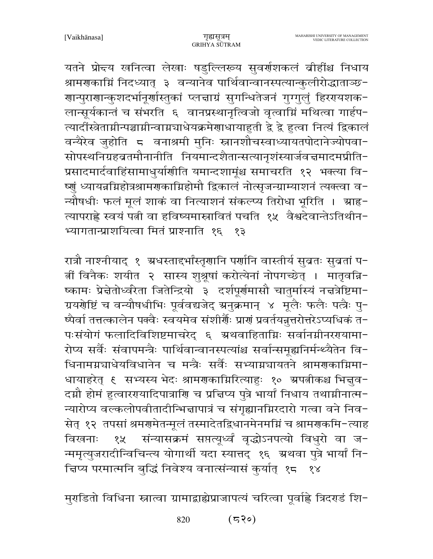यतने प्रोन्दय खनित्वा लेखाः षडुल्लिरूय सुवर्णशकलं व्रीहींश्च निधाय श्रामणकाग्निं निदध्यात् ३ वन्यानेव पार्थिवान्वानस्पत्यान्कुलीरोद्धाताञ्छ-णान्पुराणान्कुशदर्भानूर्णास्तुकां प्लचाग्रं सुगन्धितेजनं गुग्गुलुं हिरगयशक− लान्सूर्यकान्तं च संभरति ६ वानप्रस्थानृत्विजो वृत्वाम्निं मथित्वा गार्हप-त्यादोंस्त्रेताम्रीन्पञ्चामीन्वाम्रघाधेयक्रमेणाधायाहुती द्वे ह्रे हुत्वा नित्यं द्विकालं वन्यैरेव जुहोति 5 वनाश्रमी मुनिः स्नानशौचस्वाध्यायतपोदानेज्योपवा-सोपस्थनिग्रहब्रतमौनानीति नियमान्दशैतान्सत्यानृशंस्यार्जवज्ञमादमप्रीति-प्रसादमार्दवाहिंसामाधुर्याणीति यमान्दशामूंश्च समाचरति १२ भक्त्या वि-ष्णुं ध्यायन्नग्निहोत्रश्रामणकाग्निहोमौ द्विकालं नोत्सृजन्ग्राम्याशनं त्यक्त्वा व-न्यौषधीः फलं मूलं शाकं वा नित्याशनं संकल्प्य तिरोधा भूरिति । स्राह-त्यापराह्णे स्वयं पत्नी वा हविष्यमास्नावितं पचति १५ वैश्वदेवान्तेऽतिथीन-भ्यागतान्प्राशयित्वा मितं प्राश्नाति १६ १३

रात्रौ नाश्नीयाद् १ अधस्ताद्दर्भांस्तृणानि पर्णानि वास्तीर्य सुव्रतः सुव्रतां प-र्त्नी विनैकः शयीत २ सास्य शुश्रूषां करोत्येनां नोपगच्छेत् । मातृवचि− ष्कामः प्रेन्नेतोर्ध्वरेता जितेन्द्रियो ३ दर्शपूर्णमासौ चातुर्मास्यं नन्नत्रेष्टिमा-ग्रयरोष्टिं च वन्यौषधीभिः पूर्ववद्यजेद् ग्रनुक्रमान् ४ मूलैः फलैः पत्नैः पु-ष्पैर्वा तत्तत्कालेन पक्वैः स्वयमेव संशीर्णैः प्राणं प्रवर्तयन्नुत्तरोत्तरेऽप्यधिकं त-पःसंयोगं फलादिविशिष्टमाचरेद् ६ ग्रथवाहिताग्निः सर्वानमीनररयामा-रोप्य सर्वैः संवापमन्त्रैः पार्थिवान्वानस्पत्यांश्च सर्वान्समह्यनिर्मन्थ्यैतेन वि-धिनामग्नञाधेयविधानेन च मन्त्रैः सर्वैः सभ्याग्नञायतने श्रामणकाग्निमा− दग्नौ होमं हुत्वाररयादिपात्राणि च प्रचिप्य पुत्रे भार्यां निधाय तथाग्नीनात्म-न्यारोप्य वल्कलोपवीतादीन्भिज्ञापात्रं च संगृह्यानग्निरदारो गत्वा वने निव-सेत् १२ तपसां श्रमरामेतन्मूलं तस्मादेतद्विधानमेनमग्निं च श्रामराकमि-त्याह १५ संन्यासक्रमं सप्तत्यूर्ध्वं वृद्धोऽनपत्यो विधुरो वा ज-विखनाः न्ममृत्युजरादीन्विचिन्त्य योगार्थी यदा स्यात्तद् १६ अ्रथवा पुत्रे भार्यां नि-न्निप्य परमात्मनि बुद्धिं निवेश्य वनात्संन्यासं कुर्यात् १८ १४

मुराडितो विधिना स्नात्वा ग्रामाद्वाह्येप्राजापत्यं चरित्वा पूर्वाह्ने त्रिदराडं शि-

 $(530)$ 820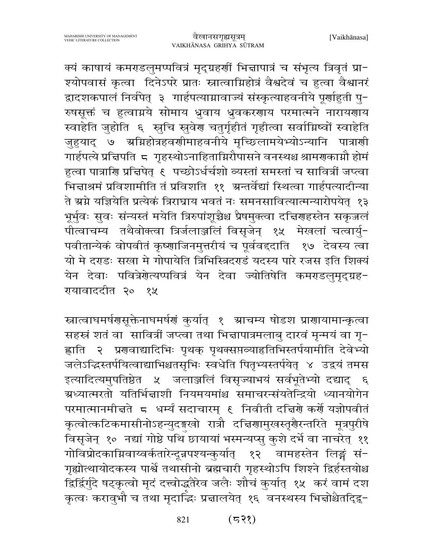क्यं काषायं कमराडलुमप्पवित्रं मृद्ग्रहणीं भिज्ञापात्रं च संभृत्य त्रिवृतं प्रा-श्योपवासं कृत्वा दिनेऽपरे प्रातः स्नात्वाग्निहोत्रं वैश्वदेवं च हुत्वा वैश्वानरं द्वादशकपालं निर्वपेत् ३ गार्हपत्याम्रावाज्यं संस्कृत्याहवनीये पूर्णाहुती पू-रुषसूक्तं च हुत्वाग्नये सोमाय ध्रुवाय ध्रुवकरणाय परमात्मने नारायणाय स्वाहेति जुहोति ६ स्वृचि स्रुवेर चतुर्गृहीतं गृहीत्वा सर्वाग्निष्वों स्वाहेति जुहयाद् ७ अग्निहोत्रहवर्णामाहवनीये मृच्छिलामयेभ्योऽन्यानि पात्राणी गार्हपत्ये प्रत्निपति 5 गृहस्थोऽनाहिताग्निरौपासने वनस्थश्च श्रामणकाम्नौ होमं हुत्वा पात्राणि प्रत्तिपेत् ६ पच्छोऽर्धर्चशो व्यस्तां समस्तां च सावित्रीं जप्त्वा भिन्नाश्रमं प्रविशामीति तं प्रविशति ११ अन्तर्वेद्यां स्थित्वा गार्हपत्यादीन्या ते ग्रग्ने यज्ञियेति प्रत्येकं त्रिराघ्राय भवतं नः समनसावित्यात्मन्यारोपयेत् १३ भूर्भुवः सुवः संन्यस्तं मयेति त्रिरुपांशूच्चैश्च प्रैषमुक्त्वा दत्तिराहस्तेन सकृजलं पीत्वाचम्य तथैवोक्त्वा त्रिर्जलाञ्जलिं विसृजेन् १५ मेखलां चत्वार्यु-पवीतान्येकं वोपवीतं कृष्णाजिनमुत्तरीयं च पूर्ववद्दाति १७ देवस्य त्वा यो मे दराडः सखा मे गोपायेति त्रिभिस्त्रिदराडं यदस्य पारे रजस इति शिक्यं येन देवाः पवित्रेगेत्यप्पवित्रं येन देवा ज्योतिषेति कमराडलमुद्ग्रह-रायावाददीत २० १५

स्नात्वाघमर्षणसूक्तेनाघमर्षणं कुर्यात् १ स्राचम्य षोडश प्राणायामान्कृत्वा सहस्रं शतं वाल्सावित्रीं जप्त्वा तथा भिन्नापात्रमलाबु दारवं मृन्मयं वा गृ-ह्लाति २ प्रणवाद्यादिभिः पृथक् पृथक्सप्तव्याहृतिभिस्तर्पयामीति देवेभ्यो जलेऽद्धिस्तर्पयित्वाद्याभिश्चतसृभिः स्वधेति पितृभ्यस्तर्पयेत् ४ उद्वयं तमस इत्यादित्यमुपतिष्ठेत ५ जलाञ्जलिं विसृज्याभयं सर्वभूतेभ्यो दद्याद् ६ ग्रध्यात्मरतो यतिर्भिन्नाशी नियमयमांश्च समाचरन्संयतेन्द्रियो ध्यानयोगेन परमात्मानमीत्तते ८ धर्म्यं सदाचारम् ६ निवीती दत्तिशे कर्शे यज्ञोपवीतं कृत्वोत्कटिकमासीनोऽहन्युदङ्गखो रात्रौ दचििणामुखस्तृगैरन्तरिते मूत्रपुरीषे विसृजेन् १० नद्यां गोष्ठे पथि छायायां भस्मन्यप्सु कुशे दर्भे वा नाचरेत् ११ गोविप्रोदकाग्निवाय्वर्कतारेन्दून्नपश्यन्कुर्यात् १२ वामहस्तेन लिङ्गं सं-गृह्योत्थायोदकस्य पार्श्वे तथासीनो ब्रह्मचारी गृहस्थोऽपि शिश्ने द्विर्हस्तयोश्च द्विर्द्विर्गुदे षट्कृत्वो मृदं दत्त्वोद्धतैरेव जलैः शौचं कुर्यात् १५ करं वामं दश कृत्वः करावुभौ च तथा मृदाद्धिः प्रन्नालयेत् १६ वनस्थस्य भिन्नोश्चैतदि्द्द−

> $(53)$ 821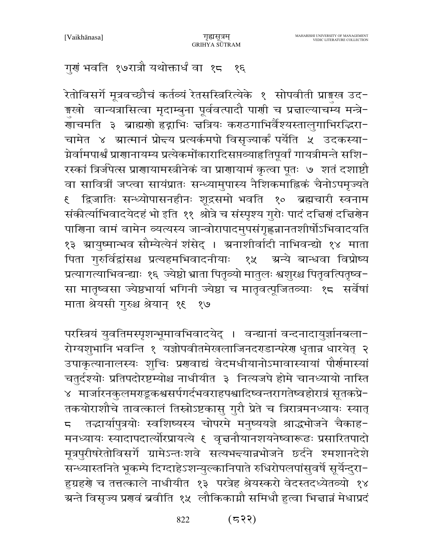गुणं भवति १७रात्रौ यथोक्तार्धं वा १८  $\mathcal{S}\mathcal{E}$ 

रेतोविसर्गे मूत्रवच्छौचं कर्तव्यं रेतसस्त्रिरित्येके १ सोपवीती प्राङ्गख उद-इखो वान्यत्रासित्वा मृदाम्बुना पूर्ववत्पादौ पाणी च प्रत्नाल्याचम्य मन्त्रे− जाचमति ३ ब्राह्मणो हृद्गभिः चत्रियः कराठगाभिर्वैश्यस्तालुगाभिरद्धिरा− चामेत ४ म्रात्मानं प्रोद्त्य प्रत्यर्कमपो विसृज्यार्कं पर्येति ५ उदकस्या-ग्नेर्वामपार्श्वं प्राणानायम्य प्रत्येकमोंकारादिसप्तव्याहृतिपूर्वां गायत्रीमन्ते सशि-रस्कां त्रिर्जपेत्स प्राणायामस्त्रीनेकं वा प्राणायामं कृत्वा पूतः ७ शतं दशाष्टौ वा सावित्रीं जप्त्वा सायंप्रातः सन्ध्यामुपास्य नैशिकमाह्निकं चैनोऽपमृज्यते द्विजातिः सन्ध्योपासनहीनः शूद्रसमो भवति १० ब्रह्मचारी स्वनाम  $\overline{\mathcal{E}}$ संकीर्त्याभिवादयेदहं भो इति ११ श्रोत्रे च संस्पृश्य गुरोः पादं दत्तिर्गं दत्तिरोन पाणिना वामं वामेन व्यत्यस्य जान्वोरापादमुपसंगृह्णज्ञानतशीर्षोऽभिवादयति १३ ग्रायुष्मान्भव सौम्येत्येनं शंसेद् । ग्रनाशीर्वादी नाभिवन्द्यो १४ माता पिता गुरुर्विद्वांसश्च प्रत्यहमभिवादनीयाः १५ अन्ये बान्धवा विप्रोष्य प्रत्यागत्याभिवन्द्याः १६ ज्येष्ठो भ्राता पितृव्यो मातुलः श्वशुरश्च पितृवत्पितृष्व-सा मातृष्वसा ज्येष्ठभार्या भगिनी ज्येष्ठा च मातृवत्पूजितव्याः १८ सर्वेषां माता श्रेयसी गुरुश्च श्रेयान् १६ १७

परस्त्रियं युवतिमस्पृशन्भूमावभिवादयेद् । वन्द्यानां वन्दनादायुर्ज्ञानबला-रोग्यशुभानि भवन्ति १ यज्ञोपवीतमेखलाजिनदराडान्परेण धृतान्न धारयेत् २ उपाकृत्यानालस्यः शुचिः प्रणवाद्यं वेदमधीयानोऽमावास्यायां पौर्णमास्यां चतुर्दश्योः प्रतिपदोरष्टम्योश्च नाधीयीत ३ नित्यजपे होमे चानध्यायो नास्ति ४ मार्जारनकुलमराडूकश्वसर्पगर्दभवराहपश्वादिष्वन्तरागतेष्वहोरात्रं सूतकप्रे-तकयोराशौचे तावत्कालं तिस्रोऽष्टकासु गुरौ प्रेते च त्रिरात्रमनध्यायः स्यात् तद्धार्यापुत्रयोः स्वशिष्यस्य चोपरमे मनुष्ययज्ञे श्राद्धभोजने चैकाह- $\overline{5}$ मनध्यायः स्यादापदार्त्योरप्रायत्ये ६ वृत्तनौयानशयनेष्वारूढः प्रसारितपादो मूत्रपुरीषरेतोविसर्गे ग्रामेऽन्तःशवे सत्यभन्त्यान्नभोजने छर्दने श्मशानदेशे सन्ध्यास्तनिते भूकम्पे दिग्दाहेऽशन्युल्कानिपाते रुधिरोपलपांसुवर्षे सूर्येन्दुरा-ह़ग्रहणे च तत्तत्काले नाधीयीत १३ परत्रेह श्रेयस्करो वेदस्तदध्येतव्यो १४ ग्रन्ते विसृज्य प्रगत्वं ब्रवीति १५) लौकिकाग्नौ समिधौ हुत्वा भिन्नान्नं मेधाप्रदं

> $(533)$ 822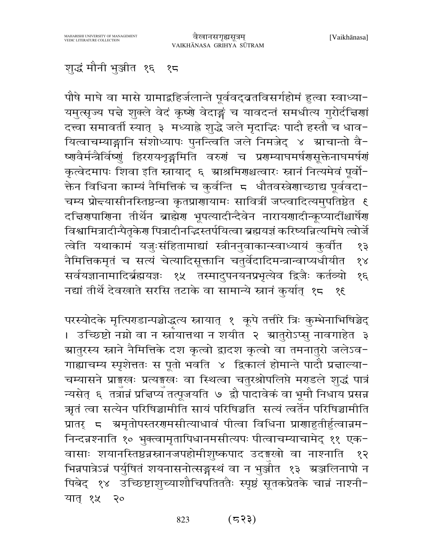# शुद्धं मौनी भुञ्जीत १६ १८

पौषे माघे वा मासे ग्रामाद्रहिर्जलान्ते पूर्ववद्व्रतविसर्गहोमं हुत्वा स्वाध्या-यमुत्सृज्य पन्ने शुक्ले वेदं कृष्णे वेदाङ्गं च यावदन्तं समधीत्य गुरोर्दन्निणां दत्त्वा समावर्ती स्यात् ३ मध्याह्ने शुद्धे जले मृदाद्धिः पादौ हस्तौ च धाव-यित्वाचम्याङ्गानि संशोध्यापः पुनन्त्विति जले निमज़ेद् ४ ग्राचान्तो वै-ष्णवैर्मन्त्रैर्विष्णुं हिररायशृङ्गमिति वरुणं च प्रगम्याघमर्षणसूक्तेनाघमर्षणं कृत्वेदमापः शिवा इति स्नायाद् ६ ग्राश्रमिणश्चत्वारः स्नानं नित्यमेवं पूर्वो-क्तेन विधिना काम्यं नैमित्तिकं च कुर्वन्ति ८ धौतवस्त्रेणाच्छाद्य पूर्ववदा− चम्य प्रोन्दयासीनस्तिष्ठन्वा कृतप्राणायामः सावित्रीं जप्त्वादित्यमुपतिष्ठेत १ दच्चिरणपारिणना तीर्थेन ब्राह्मेरण भूपत्यादीन्दैवेन नारायरणादीन्कूप्यादींश्चार्षेरण विश्वामित्रादीन्पैतृकेरा पित्रादीनद्भिस्तर्पयित्वा ब्रह्मयज्ञं करिष्यन्नित्यमिषे त्वोर्जे त्वेति यथाकामं यजुःसंहितामाद्यां स्त्रीननुवाकान्स्वाध्यायं कुर्वात  $59$ नैमित्तिकमृतं च सत्यं चेत्यादिसूक्तानि चतुर्वेदादिमन्त्रान्वाप्यधीयीत  $88$ सर्वयज्ञानामादिर्ब्रह्मयज्ञः १५ तस्मादुपनयनप्रभृत्येव द्विजैः कर्तव्यो  $38$ नद्यां तीर्थे देवखाते सरसि तटाके वा सामान्ये स्नानं कुर्यात् १८ १६

परस्योदके मृत्पिराडान्पञ्चोद्धत्य स्नायात् १ कूपे तत्तीरे त्रिः कुम्भेनाभिषिञ्चेद् । उच्छिष्टो नम्नो वा न स्त्रायात्तथा न शयीत २ ग्रातुरोऽप्सु नावगाहेत ३ ग्रातुरस्य स्नाने नैमित्तिके दश कृत्वो द्वादश कृत्वो वा तमनातुरो जलेऽव− गाह्याचम्य स्पृशेत्ततः स पूतो भवति ४ द्विकालं होमान्ते पादौ प्रद्माल्या-चम्यासने प्राङ्गखः प्रत्यङ्गखः वा स्थित्वा चतुरश्रोपलिप्ते मराडले शुद्धं पात्रं न्यसेत् ६ तत्रांचं प्रचिप्य तत्पूजयति ७ द्वौ पादावेकं वा भूमौ निधाय प्रसन्न ऋतं त्वा सत्येन परिषिञ्चामीति सायं परिषिञ्चति सत्यं त्वर्तेन परिषिञ्चामीति प्रातर् ८ अमृतोपस्तररामसीत्याधावं पीत्वा विधिना प्रारााहुतीर्हुत्वान्नम-निन्दन्नश्नाति १० भुक्त्वामृतापिधानमसीत्यपः पीत्वाचम्याचामेद् ११ एक-वासाः शयानस्तिष्ठन्नस्नानजपहोमीशुष्कपाद उदङ्गखो वा नाश्नाति १२ भिन्नपात्रेऽन्नं पर्युषितं शयनासनोत्सङ्गस्थं वा न भुर्ञ्जीत १३ अञ्जलिनापो न पिबेद् १४ उच्छिष्टाशुच्याशौचिपतिततैः स्पृष्ठं सूतकप्रेतके चान्नं नाश्नी-यात् १५ २०

#### $(555)$ 823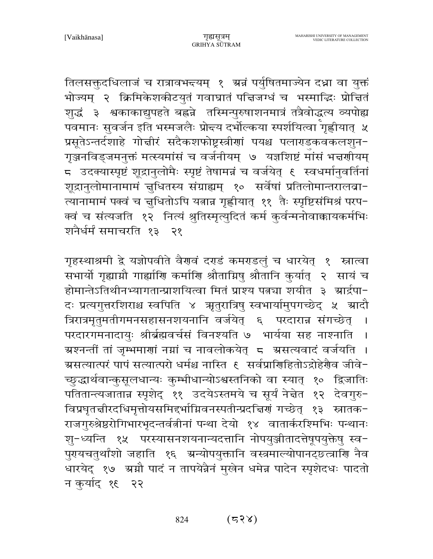तिलसक्तुदधिलाजं च रात्रावभन्दयम् १ अन्नं पर्युषितमाज्येन दध्ना वा युक्तं भोज्यम् २ क्रिमिकेशकीटयुतं गवाघ्रातं पत्तिजग्धं च भस्माद्धिः प्रोत्तितं शुद्धं ३ श्वकाकाद्युपहते बह्नन्ने तस्मिन्पुरुषाशनमात्रं तत्रैवोद्धत्य व्यपोह्य पवमानः सुवर्जन इति भस्मजलैः प्रोन्दय दर्भोल्कया स्पर्शयित्वा गृह्णीयात् ५ प्रसूतेऽन्तर्दशाहे गोत्तीरं सदैकशफोष्ट्रस्त्रीणां पयश्च पलाराडकवकलशुन-गृञ्जनविड्जमनुक्तं मत्स्यमांसं च वर्जनीयम् ७ यज्ञशिष्टं मांसं भन्नणीयम् 5 उदक्यास्पृष्टं शूद्रानुलोमैः स्पृष्टं तेषामन्नं च वर्जयेत् १ स्वधर्मानुवर्तिनां शूद्रानुलोमानामामं चुधितस्य संग्राह्यम् १० सर्वेषां प्रतिलोमान्तरालबा-त्यानामामं पक्वं च चुधितोऽपि यतान्न गृह्णीयात् ११ तैः स्पृष्टिसंमिश्रं परप-क्वं च संत्यजति १२ नित्यं श्रुतिस्मृत्युदितं कर्म कुर्वन्मनोवाक्कायकर्मभिः शनैर्धर्मं समाचरति १३ २१

गृहस्थाश्रमी द्वे यज्ञोपवीते वैरणवं दराडं कमराडलुं च धारयेत् १ स्नात्वा सभार्यो गृह्याम्रौ गार्ह्याणि कर्माणि श्रौतामिषु श्रौतानि कुर्यात् २ सायं च होमान्तेऽतिथीनभ्यागतान्प्राशयित्वा मितं प्राश्य पत्न्या शयीत ३ म्रार्द्रपा− दः प्रत्यगुत्तरशिराश्च स्वपिति ४ ऋतुरात्रिषु स्वभार्यामुपगच्छेद् ५ स्रादौ त्रिरात्रमृतुमतीगमनसहासनशयनानि वर्जयेत् ६ परदारान्न संगच्छेत् । परदारगमनादायुः श्रीर्ब्रह्मवर्चसं विनश्यति ७ भार्यया सह नाश्नाति ग्रश्नन्तीं तां जुम्भमाणां नग्नां च नावलोकयेत् = ग्रसत्यवादं वर्जयति । म्रसत्यात्परं पापं सत्यात्परो धर्मश्च नास्ति € सर्वप्राणिहितोऽद्रोहेरौव जीवे− च्छुद्धार्थवान्कुसूलधान्यः कुम्भीधान्योऽश्वस्तनिको वा स्यात् १० द्विजातिः पतितान्त्यजातान्न स्पृशेद् ११ उदयेऽस्तमये च सूर्यं नेन्नेत १२ देवगुरु-विप्रघृतचीरदधिमृत्तोयसमिद्दर्भाग्निवनस्पतीन्प्रदच्चिणं गच्छेत् १३ स्नातक-राजगुरुश्रेष्ठरोगिभारभृदन्तर्वतीनां पन्था देयो १४ वातार्करश्मिभिः पन्थानः शु-ध्यन्ति १५ परस्यासनशयनान्यदत्तानि नोपयुञ्जीतादत्तेषूपयुक्तेषु स्व-पुरायचतुर्थांशो जहाति १६ अन्योपयुक्तानि वस्त्रमाल्योपानट्छ्त्त्राणि नैव धारयेद् १७ अग्नौ पादं न तापयेन्नैनं मुखेन धमेन्न पादेन स्पृशेदधः पादतो न कुर्याद् १६ २२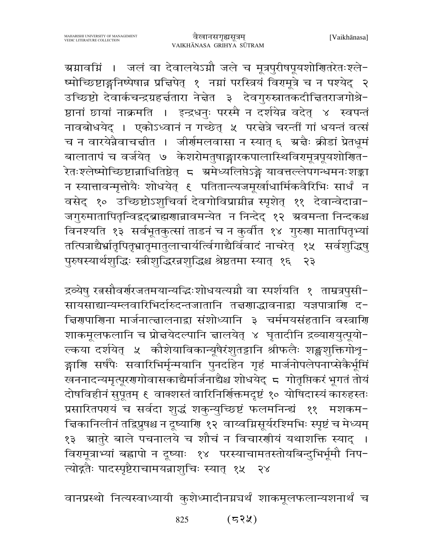ग्रग्नावग्निं । जलं वा देवालयेऽग्नौ जले च मूत्रपुरीषपूयशोणितरेतःश्ले-ष्मोच्छिष्टाङ्गनिष्पेषान्न प्रचिपेत् १ नम्नां परस्त्रियं विरामूत्रे च न पश्येद् २ उच्छिष्टो देवार्कचन्द्रग्रहर्चतारा नेचेत ३ देवगुरुस्नातकदीचितराजगोश्रे-ष्ठानां छायां नाक्रमति । इन्द्रधनुः परस्मै न दर्शयेन्न वदेत् ४ स्वपन्तं नावबोधयेद् । एकोऽध्वानं न गच्छेत् ५ परद्मेत्रे चरन्तीं गां धयन्तं वर्त्स च न वारयेन्नैवाचचीत । जीर्णमलवासा न स्यात् ६ अचैः क्रीडां प्रेतधूमं बालातापं च वर्जयेत् ७ केशरोमतुषाङ्गारकपालास्थिविरामूत्रपूयशोणित-.<br>रेतःश्लेष्मोच्छिष्टान्नाधितिष्ठेत् ८ ग्रमेध्यलिप्तेऽङ्गे यावत्तल्लेपगन्धमनःशङ्का न स्यात्तावन्मृत्तोयैः शोधयेत् १ पतितान्त्यजमूर्खाधार्मिकवैरिभिः सार्धं न वसेद् १० उच्छिष्टोऽशुचिर्वा देवगोविप्राम्नीन स्पृशेत् ११ देवान्वेदान्रा-जगुरुमातापितृन्विद्वद्ब्राह्मणान्नावमन्येत न निन्देद् १२ ग्रवमन्ता निन्दकश्च विनश्यति १३ सर्वभूतकुत्सां ताडनं च न कुर्वीत १४ गुरुणा मातापितृभ्यां तत्पित्राद्यैर्भ्रातृपितृभ्रातृमातुलाचार्यत्विंगाद्यैर्विवादं नाचरेत् १५ सर्वशुद्धिषु पुरुषस्यार्थशुद्धिः स्त्रीशुद्धिरन्नशुद्धिश्च श्रेष्ठतमा स्यात् १६  $55$ 

द्रव्येषु रतसौवर्णरजतमयान्यद्धिःशोधयत्यग्नौ वा स्पर्शयति १ ताम्रत्रपुसी-सायसाद्यान्यम्लवारिभिर्दारुदन्तजातानि तत्त्रणाद्धावनाद्रा यज्ञपात्राणि द-द्विरूपार्णिना मार्जनात्त्वालनाद्वा संशोध्यानि ३ चर्ममयसंहतानि वस्त्राणि शाकमूलफलानि च प्रोन्नयेदल्पानि न्नालयेत् ४ घृतादीनि द्रव्यारायुत्पूयो-ल्कया दर्शयेत् ५ कौशेयाविकान्यूषैरंशुतट्टानि श्रीफलैः शङ्खशुक्तिगोश्रु-ङ्गाणि सर्षपैः सवारिभिर्मृन्मयानि पुनर्दाहेन गृहं मार्जनोपलेपनाप्सेकैर्भूमिं .<br>खननादन्यमृत्पूरणगोवासकाद्यैर्मार्जनाद्यैश्च शोधयेद् 5 गोतृप्तिकरं भूगतं तोयं दोषविहीनं सुपूतम् ६ वाक्शस्तं वारिनिर्णिक्तमदृष्टं १० योषिदास्यं कारुहस्तः प्रसारितपरायं च सर्वदा शुद्धं शकुन्युच्छिष्टं फलमनिन्द्यं ११ मशकम-चिकानिलीनं तद्विप्रुषश्च न दृष्याणि १२ वाय्वग्निसूर्यरश्मिभिः स्पृष्टं च मेध्यम् १३) स्रातुरे बाले पचनालये च शौचं न विचारणीयं यथाशक्ति स्याद् । विरामूत्राभ्यां बह्वापो न दूष्याः १४ परस्याचामतस्तोयबिन्दुभिर्भूमौ निप-त्योद्गतैः पादस्पृष्टैराचामयन्नाशुचिः स्यात् १५ २४

वानप्रस्थो नित्यस्वाध्यायी कुशेध्मादीनग्नचर्थं शाकमूलफलान्यशनार्थं च

 $(53)$ 825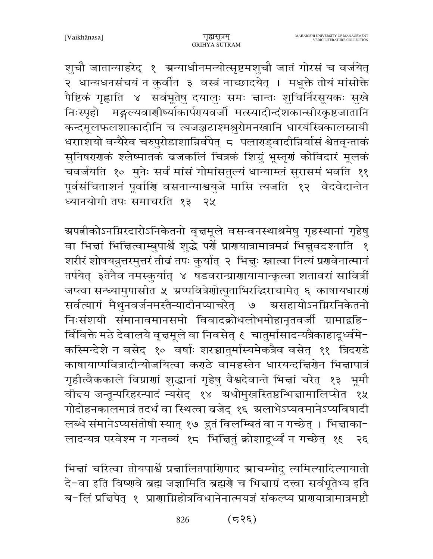शुचौ जातान्याहरेद् १ ग्रन्याधीनमन्योत्सृष्टमशुचौ जातं गोरसं च वर्जयेत् २ धान्यधनसंचयं न कुर्वीत ३ वस्त्रं नाच्छादयेत् । मधूक्ते तोयं मांसोक्ते पैष्टिकं गृह्णाति ४ सर्वभूतेषु दयालुः समः चान्तः शुचिर्निरसूयकः सुखे निःस्पृहो मङ्गल्यवाणीर्ष्याकार्परायवर्जी मत्स्यादीन्दंशकान्सीरकृष्टजातानि कन्दमूलफलशाकादीनि च त्यजञ्जटाश्मश्रुरोमनखानि धारयंस्त्रिकालस्नायी धरााशयो वन्यैरेव चरुपुरोडाशान्निर्वपेत् ८ पलाराड्वादीन्निर्यासं श्वेतवृन्ताकं सुनिषरणकं श्लेष्मातकं व्रजकलिं चित्रकं शिग्रुं भूस्तृणं कोविदारं मूलकं चवर्जयति १० मुनेः सर्वं मांसं गोमांसतुल्यं धान्याम्लं सुरासमं भवति ११ पूर्वसंचिताशनं पूर्वाणि वसनान्याश्वयुजे मासि त्यजति १२ वेदवेदान्तेन ध्यानयोगी तपः समाचरति १३ २५

ग्रपतीकोऽनम्निरदारोऽनिकेतनो वृत्तमूले वसन्वनस्थाश्रमेषु गृहस्थानां गृहेषु वा भिज्ञां भिज्ञित्वाम्बुपार्श्वे शुद्धे पर्णे प्राणयात्रामात्रमन्नं भिज्ञुवदश्नाति १ शरीरं शोषयन्नुत्तरमुत्तरं तीव्रं तपः कुर्यात् २ भिचुः स्नात्वा नित्यं प्रणवेनात्मानं तर्पयेत् ३तेनैव नमस्कर्यात् ४ षडवरान्प्राणायामान्क्रत्वा शतावरां सावित्रीं जप्त्वा सन्ध्यामुपासीत ५ ग्रप्पवित्रेणोत्पूताभिरद्धिराचामेत् ६ काषायधारणं सर्वत्यागं मैथुनवर्जनमस्तैन्यादीनप्याचरेत् ७ ग्रसहायोऽनग्निरनिकेतनो निःसंशयी संमानावमानसमो विवादक्रोधलोभमोहानृतवर्जी ग्रामाद्बहि-र्विविक्ते मठे देवालये वृत्तमूले वा निवसेत् ६ चातुर्मासादन्यत्रैकाहादूर्ध्वमे-कस्मिन्देशे न वसेद् १० वर्षाः शरच्चातुर्मास्यमेकत्रैव वसेत् ११ त्रिदर्ग्डे काषायाप्पवित्रादीन्योजयित्वा कराठे वामहस्तेन धारयन्दचिरोन भिज्ञापात्रं गृहीत्वैककाले विप्राणां शुद्धानां गृहेषु वैश्वदेवान्ते भित्तां चरेत् १३ भूमौ वीन्दय जन्तून्परिहरन्पादं न्यसेद् १४ ग्रधोमुखस्तिष्ठन्भिन्नामालिप्सेत १५ गोदोहनकालमात्रं तदर्धं वा स्थित्वा बजेद् १६ अलाभेऽप्यवमानेऽप्यविषादी लब्धे संमानेऽप्यसंतोषी स्यात् १७ द्रुतं विलम्बितं वा न गच्छेत् । भिद्माका-लादन्यत्र परवेश्म न गन्तव्यं १८ भिन्नितुं क्रोशादुर्ध्वं न गच्छेत् १६ २६

भिन्नां चरित्वा तोयपार्श्वे प्रन्नालितपाणिपाद ग्राचम्योदु त्यमित्यादित्यायातो दे-वा इति विष्णवे ब्रह्म जज्ञामिति ब्रह्मणे च भिज्ञाग्रं दत्त्वा सर्वभूतेभ्य इति ब−लिं प्रचिपेत् १ प्राणाग्निहोत्रविधानेनात्मयज्ञं संकल्प्य प्राणयात्रामात्रमष्टौ

> $(555)$ 826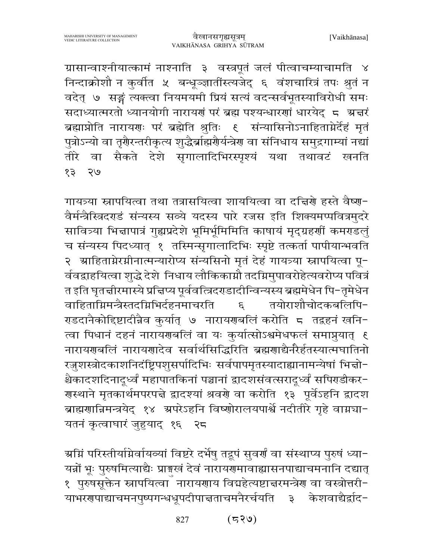ग्रासान्वाश्नीयात्कामं नाश्नाति ३ वस्त्रपूतं जलं पीत्वाचम्याचामति ४ निन्दाक्रोशौ न कुर्वीत ५ बन्धूञ्ज्ञातींस्त्यजेद् ६ वंशचारित्रं तपः श्रुतं न वदेत् ७ सङ्गं त्यक्त्वा नियमयमी प्रियं सत्यं वदन्सर्वभूतस्याविरोधी समः सदाध्यात्मरतो ध्यानयोगी नारायणं परं ब्रह्म पश्यन्धारणां धारयेद् ८ अर्चारं ब्रह्माप्नोति नारायणः परं ब्रह्मेति श्रुतिः ६ संन्यासिनोऽनाहिताग्नेर्देहं मृतं पुत्रोऽन्यो वा तृगैरन्तरीकृत्य शुद्धैर्ब्राह्मगैर्यन्त्रेग वा संनिधाय समुद्रगाम्यां नद्यां तीरे वा सैकते देशे सृगालादिभिरस्पृश्यं यथा तथावटं खनति २७ १३

गायत्र्या स्नापयित्वा तथा तत्रासयित्वा शाययित्वा वा दत्तिरो हस्ते वैष्ण-वैर्मन्त्रैस्त्रिदराडं संन्यस्य सव्ये यदस्य पारे रजस इति शिक्यमप्पवित्रमुदरे सावित्र्या भित्तापात्रं गुह्यप्रदेशे भूमिर्भूमिमिति काषायं मृद्ग्रहर्णी कमराडलुं च संन्यस्य पिदध्यात् १ तस्मिन्सृगालादिभिः स्पृष्टे तत्कर्ता पापीयान्भवति २ श्राहिताग्नेरग्नीनात्मन्यारोप्य संन्यसिनो मृतं देहं गायत्र्या स्नापयित्वा पू-र्ववद्वाहयित्वा शुद्धे देशे निधाय लौकिकाग्नौ तदग्निमुपावरोहेत्यवरोप्य पवित्रं त इति घृतत्तीरमास्ये प्रत्तिप्य पूर्ववत्त्रिदराडादीन्विन्यस्य ब्रह्ममेधेन पि-तृमेधेन वाहिताग्निमन्त्रैस्तदग्निभिर्दहनमाचरति तयोराशौचोदकबलिपि- $\epsilon$ राडदानैकोद्दिष्टादीन्नैव कुर्यात् ७ नारायरणबलिं करोति ८ तद्रहनं खनि− त्वा पिधानं दहनं नारायणबलिं वा यः कुर्यात्सोऽश्वमेधफलं समाप्नुयात् १ नारायणबलिं नारायणादेव सर्वार्थसिद्धिरिति ब्रह्मणाद्यैनरैर्हतस्यात्मघातिनो रजुशस्त्रोदकाशनिदंष्ट्रिपशुसर्पादिभिः सर्वपापमृतस्यादाह्यानामन्येषां भिज्ञो-श्चैकादशदिनादृध्वं महापातकिनां पञ्चानां द्वादशसंवत्सरादृध्वं सपिराडीकर-गस्थाने मृतकार्थमपरपत्ते द्वादश्यां श्रवगे वा करोति १३ पूर्वेऽहनि द्वादश ब्राह्मणान्निमन्त्रयेद् १४ अपरेऽहनि विष्णोरालयपार्श्वे नदीतीरे गृहे वाग्नचा-यतनं कृत्वाघारं जुहुयाद् १६ २८

ग्रम्निं परिस्तीर्यामेर्वायव्यां विष्टरे दर्भेषु तद्रूपं सुवर्णं वा संस्थाप्य पुरुषं ध्या− यन्नों भूः पुरुषमित्याद्यैः प्राङ्गस्वं देवं नारायणमावाह्यासनपाद्याचमनानि दद्यात् १ पुरुषसूक्तेन स्नापयित्वा ँ नारायणाय विद्यहेत्यष्टाचरमन्त्रेण वा वस्त्रोत्तरी− याभरगपाद्याचमनपुष्पगन्धधूपदीपाच्तताचमनैरर्चयति ३ केशवाद्यैर्द्वाद-

> $(539)$ 827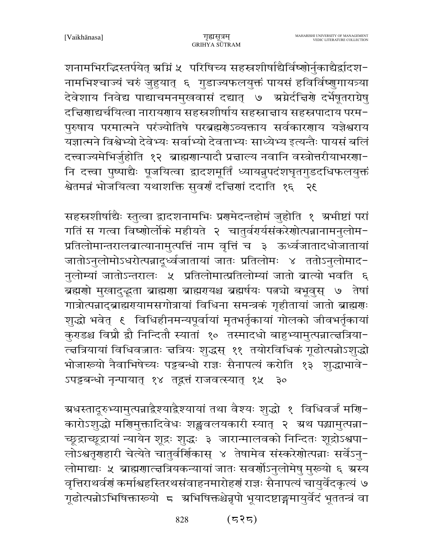शनामभिरद्धिस्तर्पयेत् ग्रग्निं ५ परिषिच्य सहस्रशीर्षाद्यैर्विष्णोर्नुकाद्यैर्द्वादश-नामभिश्चाज्यं चरुं जुहुयात् ६ गुडाज्यफलयुक्तं पायसं हविर्विष्णुगायत्र्या देवेशाय निवेद्य पाद्याचमनमुखवासं दद्यात् ७ अप्नेर्दचिरणे दर्भेषूतराग्रेषु दच्चिणाद्यर्चयित्वा नारायणाय सहस्रशीर्षाय सहस्राचाय सहस्रपादाय परम-पुरुषाय परमात्मने परंज्योतिषे परब्रह्मरोऽव्यक्ताय सर्वकारणाय यज्ञेश्वराय यज्ञात्मने विश्वेभ्यो देवेभ्यः सर्वाभ्यो देवताभ्यः साध्येभ्य इत्यन्तैः पायसं बलिं दत्त्वाज्यमेभिर्जुहोति १२ ब्राह्मणान्पादौ प्रचाल्य नवानि वस्त्रोत्तरीयाभरणा-नि दत्त्वा पुष्पाद्यैः पूजयित्वा द्वादशमूर्तिं ध्यायन्नुपदंशघृतगुडदधिफलयुक्तं श्वेतमन्नं भोजयित्वा यथाशक्ति सूवर्यं दत्तियां ददाति १६ २६

सहस्रशीर्षाद्यैः स्तुत्वा द्वादशनामभिः प्रशमेदन्तहोमं जुहोति १ अभीष्टां परां गतिं स गत्वा विष्णोर्लोके महीयते २ चातुर्वर्यर्यसंकरेणोत्पन्नानामनुलोम-प्रतिलोमान्तरालबात्यानामुत्पत्तिं नाम वृत्तिं च ३ ऊर्ध्वजातादधोजातायां जातोऽनुलोमोऽधरोत्पन्नादूर्ध्वजातायां जातः प्रतिलोमः ४ ततोऽनुलोमाद-नुलोम्यां जातोऽन्तरालः ५ प्रतिलोमात्प्रतिलोम्यां जातो बात्यो भवति ६ ब्रह्मणो मुखादुद्भता ब्राह्मणा ब्राह्मरायश्च ब्रह्मर्षयः पत्नचो बभूवुस् ७ तेषां गात्रोत्पन्नाद्ब्राह्मरायामसगोत्रायां विधिना समन्त्रकं गृहीतायां जातो ब्राह्मराः शुद्धो भवेत् १ विधिहीनमन्यपूर्वायां मृतभर्तृकायां गोलको जीवभर्तृकायां कुराडश्च विप्रौ द्वौ निन्दितौ स्यातां १० तस्मादधो बाहुभ्यामुत्पन्नात्त्वत्रिया− त्त्वत्रियायां विधिवज्जातः त्तत्रियः शुद्धस् ११ तयोरविधिकं गूढोत्पन्नोऽशुद्धो भोजारूयो नैवाभिषेच्यः पट्टबन्धो राज्ञः सैनापत्यं करोति १३ शृद्धाभावे− ऽपट्टबन्धो नृन्पायात् १४) तद्वत्तं राजवत्स्यात् १५ ३०

ग्रधस्तादूरुभ्यामुत्पन्नाद्वैश्याद्वैश्यायां तथा वैश्यः शुद्धो १ विधिवर्जं मणि− कारोऽशुद्धो मणिमुक्तादिवेधः शङ्खवलयकारी स्यात् २ अथ पद्धामुत्पन्ना-च्छूद्राच्छूद्रायां न्यायेन शूद्रः शुद्धः ३ जारान्मालवको निन्दितः शूद्रोऽश्वपा− लोऽश्वतृणहारी चेत्येते चातुर्वर्णिकास् ४ तेषामेव संस्करेणोत्पन्नाः सर्वेऽन्-लोमाद्याः ५ ब्राह्मणात्त्वत्रियकन्यायां जातः सवर्णोऽनुलोमेषु मुरूयो ६ ग्रस्य वृत्तिराथर्वणं कर्माश्वहस्तिरथसंवाहनमारोहणं राज्ञः सैनापत्यं चायुर्वेदकृत्यं ७ गूढोत्पन्नोऽभिषिक्तारूयो ८ अभिषिक्तश्चेन्नृपो भूयादष्टाङ्गमायुर्वेदं भूततन्त्रं वा

> 828  $(535)$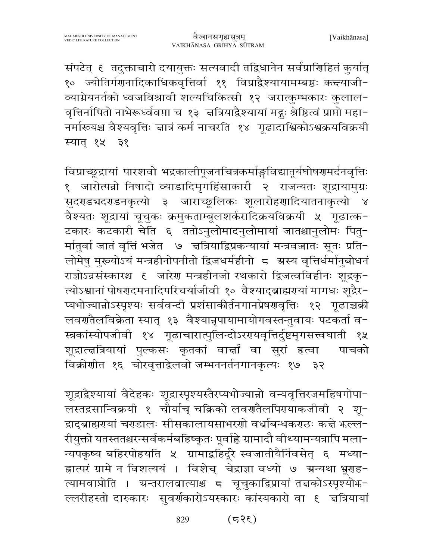संपटेत् ६ तदुक्ताचारो दयायुक्तः सत्यवादी तद्विधानेन सर्वप्राणिहितं कुर्यात् १० ज्योतिर्गणनादिकाधिकवृत्तिर्वा ११ विप्राद्वैश्यायामम्बष्ठः कन्दयाजी− व्याग्नेयनर्तको ध्वजविश्रावी शल्यचिकित्सी १२ जरात्कुम्भकारः कुलाल-वृत्तिर्नापितो नाभेरूर्ध्ववप्ता च १३ चत्रियाद्वैश्यायां मद्गुः श्रेष्ठित्वं प्राप्तो महा− नर्माख्यश्च वैश्यवृत्तिः ज्ञात्रं कर्म नाचरति १४ गूढादाश्विकोऽश्वक्रयविक्रयी स्यात् १५ ३१

विप्राच्छूद्रायां पारशवो भद्रकालीपूजनचित्रकर्माङ्गविद्यातूर्यघोषणमर्दनवृत्तिः १ जारोत्पन्नो निषादो व्याडादिमृगहिंसाकारी २ राजन्यतः शूद्रायामुग्रः सुदराडचदराडनकृत्यो ३ जाराच्छूलिकः शूलारोहणादियातनाकृत्यो ४ वैश्यतः शूद्रायां चूचुकः क्रमुकताम्बूलशर्करादिक्रयविक्रयी ५ गूढात्क-टकारः कटकारी चेति ६ ततोऽनुलोमादनुलोमायां जातश्चानुलोमः पितु-र्मातुर्वा जातं वृत्तिं भजेत ७ चत्रियाद्विप्रकन्यायां मन्त्रवज्जातः सूतः प्रति− लोमेषु मुरूयोऽयं मन्त्रहीनोपनीतो द्विजधर्महीनो 5 अस्य वृत्तिर्धर्मानुबोधनं राज्ञोऽन्नसंस्कारश्च ६ जारेण मन्त्रहीनजो रथकारो द्विजत्वविहीनः शूद्रकृ-त्योऽश्वानां पोषणदमनादिपरिचर्याजीवी १० वैश्याद्ब्राह्मरायां मागधः शूद्रैर-प्यभोज्यान्नोऽस्पृश्यः सर्ववन्दी प्रशंसाकीर्तनगानप्रेषणवृत्तिः १२ गूढाच्चक्री लवर्णतैलविक्रेता स्यात् १३ वैश्यानृपायामायोगवस्तन्तुवायः पटकर्ता व-स्त्रकांस्योपजीवी १४ गूढाचारात्पुलिन्दोऽररयवृत्तिर्दुष्टमृगसत्त्वघाती १५ शूद्रात्चत्रियायां पुल्कसः कृतकां वार्चां वा सूरां हत्वा पाचको विक्रीणीत १६ चोरवृत्ताद्वेलवो जम्भननर्तनगानकृत्यः १७ ३२

शूद्राद्वैश्यायां वैदेहकः शूद्रास्पृश्यस्तैरप्यभोज्यान्नो वन्यवृत्तिरजमहिषगोपा-लस्तद्रसान्विक्रयी १ चौर्याच् चक्रिको लवणतैलपिरायाकजीवी २ शू-द्राद्ब्राह्मरायां चराडालः सीसकालायसाभरणो वर्ध्राबन्धकराठः कच्चे भल्ल-रीयुक्तो यतस्ततश्चरन्सर्वकर्मबहिष्कृतः पूर्वाह्ले ग्रामादौ वीथ्यामन्यत्रापि मला-न्यपकृष्य बहिरपोहयति ५ ग्रामाद्बहिर्दूरे स्वजातीयैर्निवसेत् ६ मध्या-ह्नात्परं ग्रामे न विशत्ययं । विशेच् चेद्राज्ञा वध्यो ७ ग्रन्यथा भ्रूणह-त्यामवाप्नोति । ग्रन्तरालवात्याश्च ८ चूचुकाद्विप्रायां तत्तकोऽस्पृश्योफ-ल्लरीहस्तो दारुकारः सुवर्णकारोऽयस्कारः कांस्यकारो वा ६ चत्रियायां

> $(355)$ 829